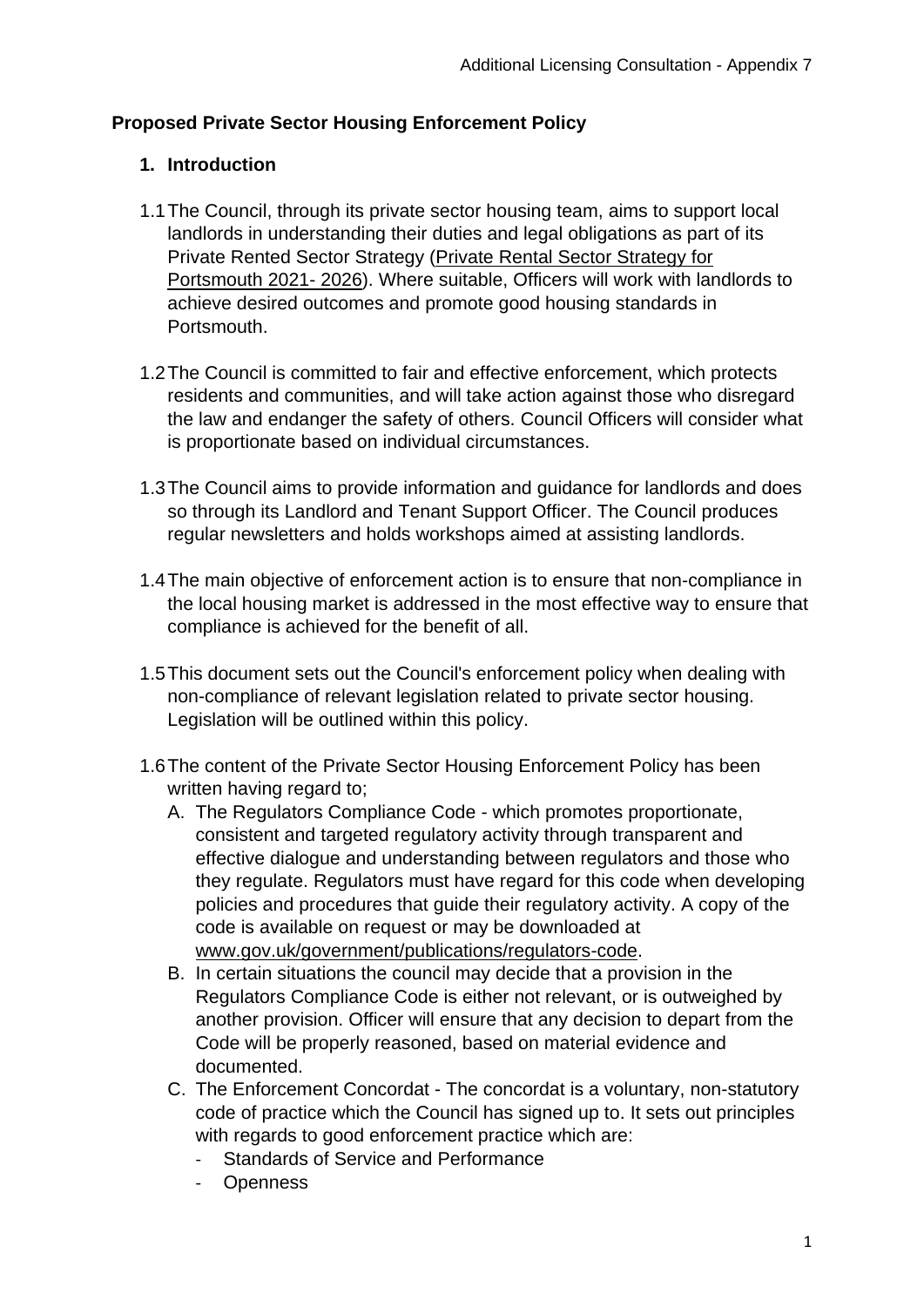## **Proposed Private Sector Housing Enforcement Policy**

#### **1. Introduction**

- 1.1The Council, through its private sector housing team, aims to support local landlords in understanding their duties and legal obligations as part of its Private Rented Sector Strategy [\(Private Rental Sector Strategy for](https://www.portsmouth.gov.uk/wp-content/uploads/2021/05/10.513-PRS-strategy_Accessible.pdf)  [Portsmouth 2021-](https://www.portsmouth.gov.uk/wp-content/uploads/2021/05/10.513-PRS-strategy_Accessible.pdf) 2026). Where suitable, Officers will work with landlords to achieve desired outcomes and promote good housing standards in Portsmouth.
- 1.2The Council is committed to fair and effective enforcement, which protects residents and communities, and will take action against those who disregard the law and endanger the safety of others. Council Officers will consider what is proportionate based on individual circumstances.
- 1.3The Council aims to provide information and guidance for landlords and does so through its Landlord and Tenant Support Officer. The Council produces regular newsletters and holds workshops aimed at assisting landlords.
- 1.4The main objective of enforcement action is to ensure that non-compliance in the local housing market is addressed in the most effective way to ensure that compliance is achieved for the benefit of all.
- 1.5This document sets out the Council's enforcement policy when dealing with non-compliance of relevant legislation related to private sector housing. Legislation will be outlined within this policy.
- 1.6The content of the Private Sector Housing Enforcement Policy has been written having regard to;
	- A. The Regulators Compliance Code which promotes proportionate, consistent and targeted regulatory activity through transparent and effective dialogue and understanding between regulators and those who they regulate. Regulators must have regard for this code when developing policies and procedures that guide their regulatory activity. A copy of the code is available on request or may be downloaded at [www.gov.uk/government/publications/regulators-code.](http://www.gov.uk/government/publications/regulators-code)
	- B. In certain situations the council may decide that a provision in the Regulators Compliance Code is either not relevant, or is outweighed by another provision. Officer will ensure that any decision to depart from the Code will be properly reasoned, based on material evidence and documented.
	- C. The Enforcement Concordat The concordat is a voluntary, non-statutory code of practice which the Council has signed up to. It sets out principles with regards to good enforcement practice which are:
		- Standards of Service and Performance
		- **Openness**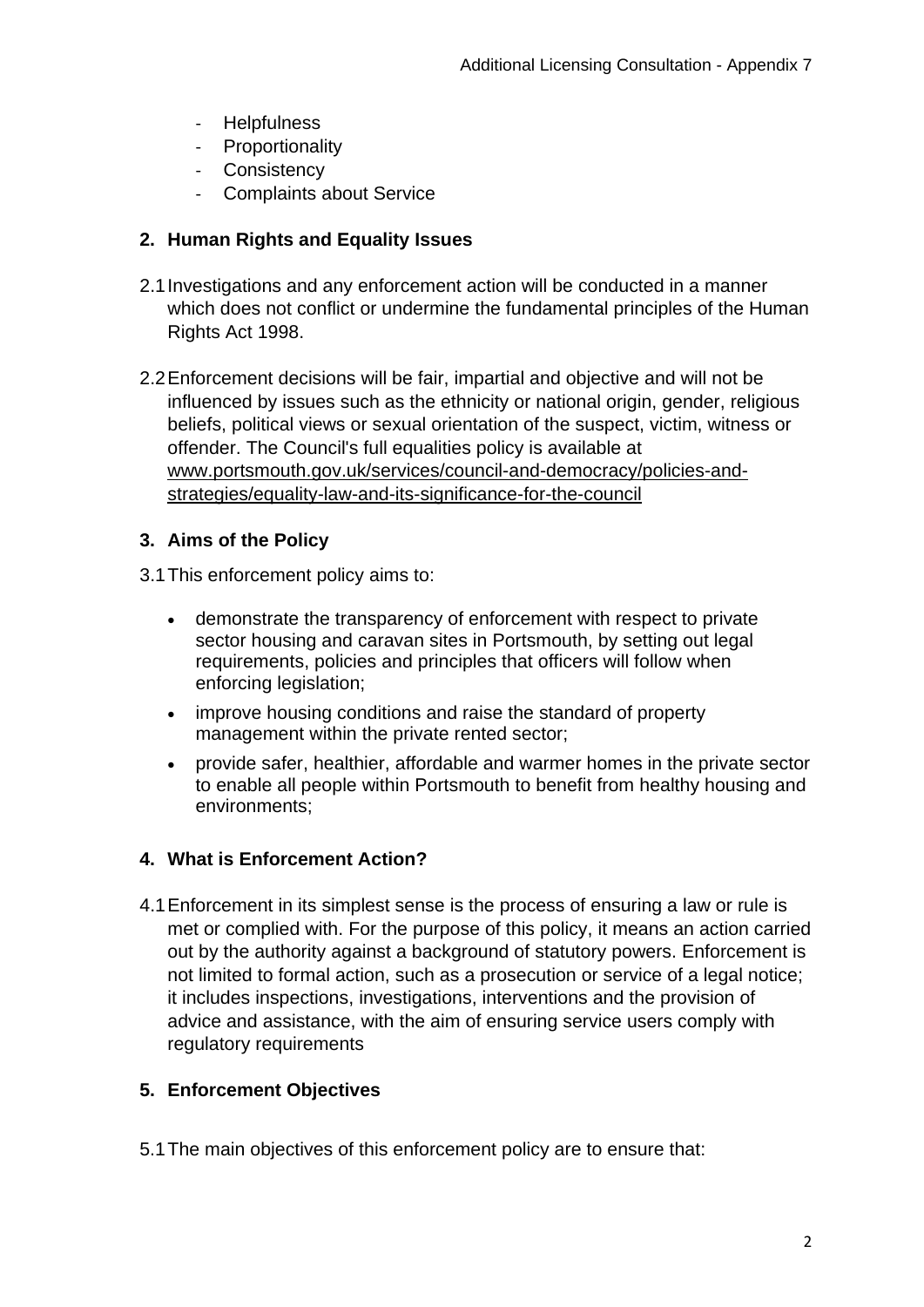- Helpfulness
- Proportionality
- Consistency
- Complaints about Service

## **2. Human Rights and Equality Issues**

- 2.1Investigations and any enforcement action will be conducted in a manner which does not conflict or undermine the fundamental principles of the Human Rights Act 1998.
- 2.2Enforcement decisions will be fair, impartial and objective and will not be influenced by issues such as the ethnicity or national origin, gender, religious beliefs, political views or sexual orientation of the suspect, victim, witness or offender. The Council's full equalities policy is available at [www.portsmouth.gov.uk/services/council-and-democracy/policies-and](http://www.portsmouth.gov.uk/services/council-and-democracy/policies-and-strategies/equality-law-and-its-significance-for-the-council)[strategies/equality-law-and-its-significance-for-the-council](http://www.portsmouth.gov.uk/services/council-and-democracy/policies-and-strategies/equality-law-and-its-significance-for-the-council)

## **3. Aims of the Policy**

3.1This enforcement policy aims to:

- demonstrate the transparency of enforcement with respect to private sector housing and caravan sites in Portsmouth, by setting out legal requirements, policies and principles that officers will follow when enforcing legislation;
- improve housing conditions and raise the standard of property management within the private rented sector;
- provide safer, healthier, affordable and warmer homes in the private sector to enable all people within Portsmouth to benefit from healthy housing and environments;

## **4. What is Enforcement Action?**

4.1Enforcement in its simplest sense is the process of ensuring a law or rule is met or complied with. For the purpose of this policy, it means an action carried out by the authority against a background of statutory powers. Enforcement is not limited to formal action, such as a prosecution or service of a legal notice; it includes inspections, investigations, interventions and the provision of advice and assistance, with the aim of ensuring service users comply with regulatory requirements

## **5. Enforcement Objectives**

5.1The main objectives of this enforcement policy are to ensure that: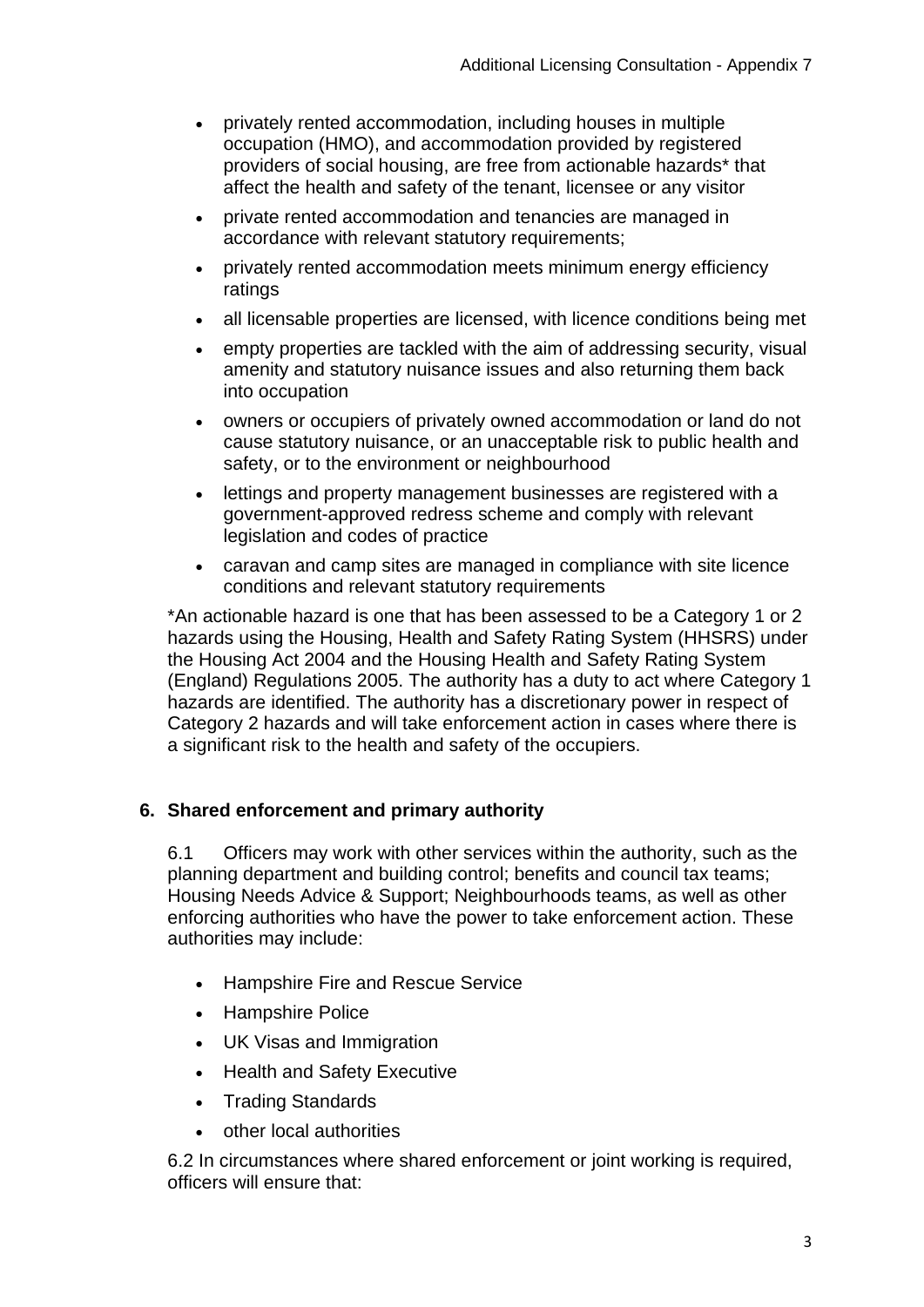- privately rented accommodation, including houses in multiple occupation (HMO), and accommodation provided by registered providers of social housing, are free from actionable hazards\* that affect the health and safety of the tenant, licensee or any visitor
- private rented accommodation and tenancies are managed in accordance with relevant statutory requirements;
- privately rented accommodation meets minimum energy efficiency ratings
- all licensable properties are licensed, with licence conditions being met
- empty properties are tackled with the aim of addressing security, visual amenity and statutory nuisance issues and also returning them back into occupation
- owners or occupiers of privately owned accommodation or land do not cause statutory nuisance, or an unacceptable risk to public health and safety, or to the environment or neighbourhood
- lettings and property management businesses are registered with a government-approved redress scheme and comply with relevant legislation and codes of practice
- caravan and camp sites are managed in compliance with site licence conditions and relevant statutory requirements

\*An actionable hazard is one that has been assessed to be a Category 1 or 2 hazards using the Housing, Health and Safety Rating System (HHSRS) under the Housing Act 2004 and the Housing Health and Safety Rating System (England) Regulations 2005. The authority has a duty to act where Category 1 hazards are identified. The authority has a discretionary power in respect of Category 2 hazards and will take enforcement action in cases where there is a significant risk to the health and safety of the occupiers.

## **6. Shared enforcement and primary authority**

6.1 Officers may work with other services within the authority, such as the planning department and building control; benefits and council tax teams; Housing Needs Advice & Support; Neighbourhoods teams, as well as other enforcing authorities who have the power to take enforcement action. These authorities may include:

- Hampshire Fire and Rescue Service
- Hampshire Police
- UK Visas and Immigration
- Health and Safety Executive
- Trading Standards
- other local authorities

6.2 In circumstances where shared enforcement or joint working is required, officers will ensure that: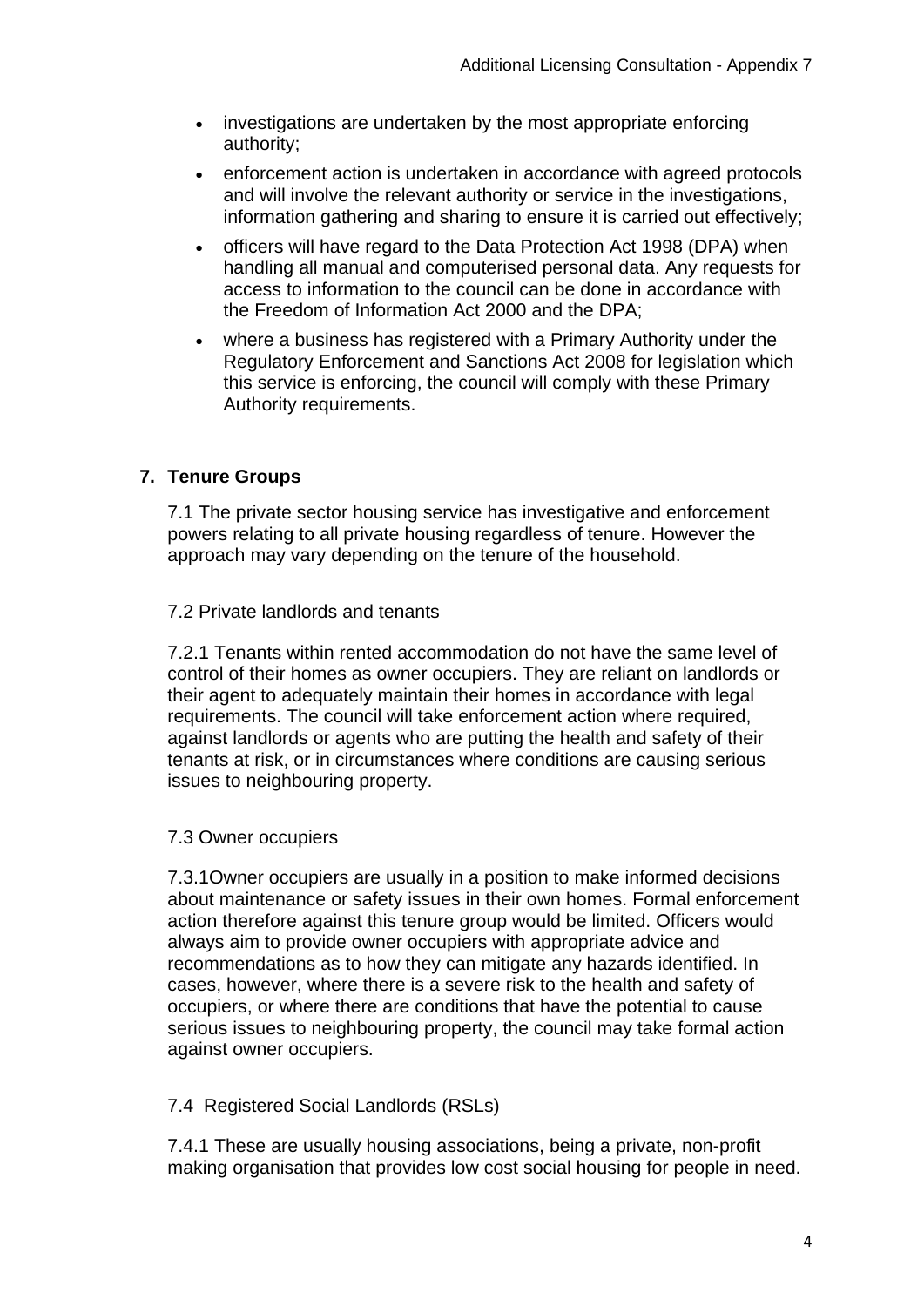- investigations are undertaken by the most appropriate enforcing authority;
- enforcement action is undertaken in accordance with agreed protocols and will involve the relevant authority or service in the investigations, information gathering and sharing to ensure it is carried out effectively;
- officers will have regard to the Data Protection Act 1998 (DPA) when handling all manual and computerised personal data. Any requests for access to information to the council can be done in accordance with the Freedom of Information Act 2000 and the DPA;
- where a business has registered with a Primary Authority under the Regulatory Enforcement and Sanctions Act 2008 for legislation which this service is enforcing, the council will comply with these Primary Authority requirements.

## **7. Tenure Groups**

7.1 The private sector housing service has investigative and enforcement powers relating to all private housing regardless of tenure. However the approach may vary depending on the tenure of the household.

#### 7.2 Private landlords and tenants

7.2.1 Tenants within rented accommodation do not have the same level of control of their homes as owner occupiers. They are reliant on landlords or their agent to adequately maintain their homes in accordance with legal requirements. The council will take enforcement action where required, against landlords or agents who are putting the health and safety of their tenants at risk, or in circumstances where conditions are causing serious issues to neighbouring property.

#### 7.3 Owner occupiers

7.3.1Owner occupiers are usually in a position to make informed decisions about maintenance or safety issues in their own homes. Formal enforcement action therefore against this tenure group would be limited. Officers would always aim to provide owner occupiers with appropriate advice and recommendations as to how they can mitigate any hazards identified. In cases, however, where there is a severe risk to the health and safety of occupiers, or where there are conditions that have the potential to cause serious issues to neighbouring property, the council may take formal action against owner occupiers.

#### 7.4 Registered Social Landlords (RSLs)

7.4.1 These are usually housing associations, being a private, non-profit making organisation that provides low cost social housing for people in need.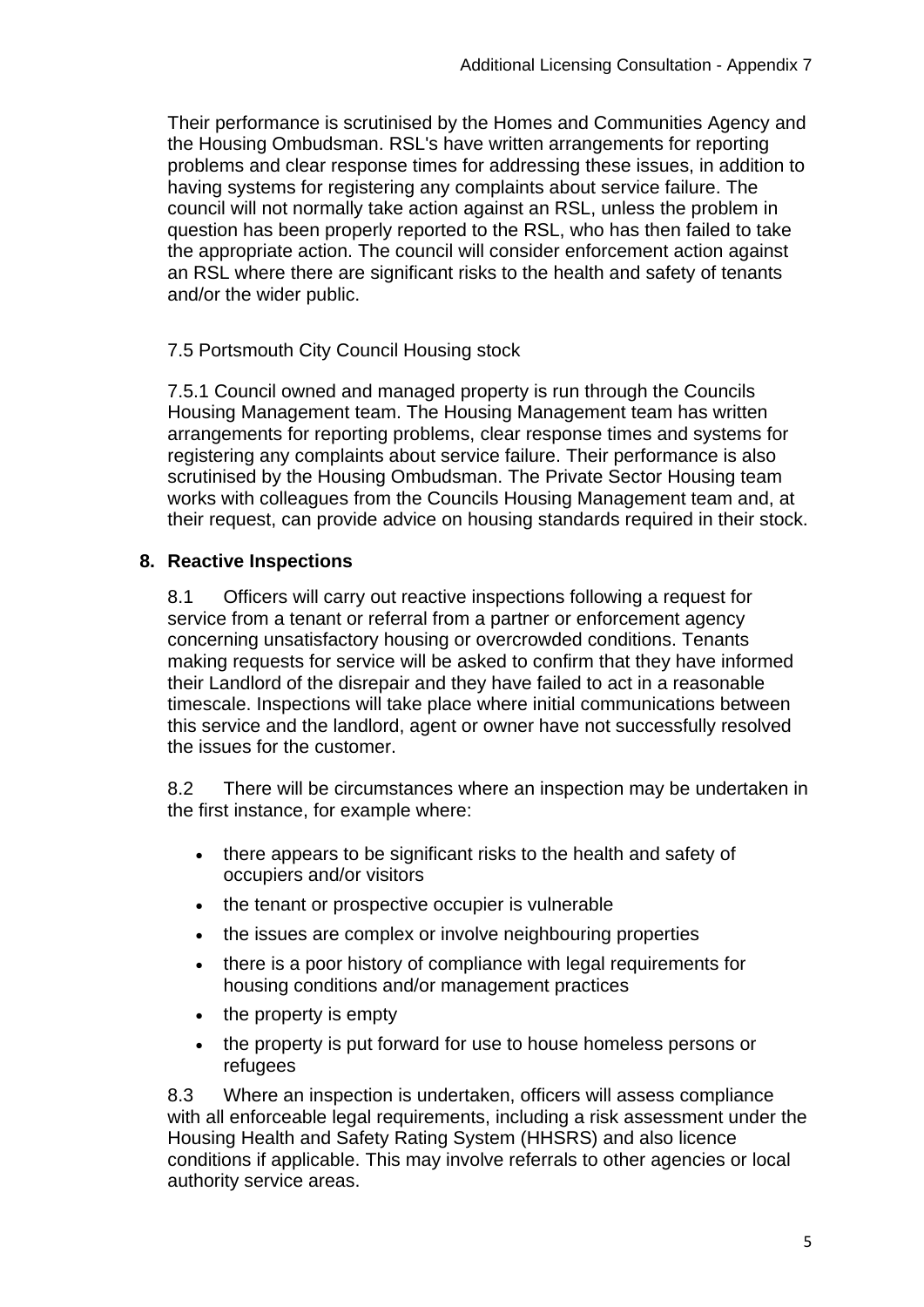Their performance is scrutinised by the Homes and Communities Agency and the Housing Ombudsman. RSL's have written arrangements for reporting problems and clear response times for addressing these issues, in addition to having systems for registering any complaints about service failure. The council will not normally take action against an RSL, unless the problem in question has been properly reported to the RSL, who has then failed to take the appropriate action. The council will consider enforcement action against an RSL where there are significant risks to the health and safety of tenants and/or the wider public.

## 7.5 Portsmouth City Council Housing stock

7.5.1 Council owned and managed property is run through the Councils Housing Management team. The Housing Management team has written arrangements for reporting problems, clear response times and systems for registering any complaints about service failure. Their performance is also scrutinised by the Housing Ombudsman. The Private Sector Housing team works with colleagues from the Councils Housing Management team and, at their request, can provide advice on housing standards required in their stock.

#### **8. Reactive Inspections**

8.1 Officers will carry out reactive inspections following a request for service from a tenant or referral from a partner or enforcement agency concerning unsatisfactory housing or overcrowded conditions. Tenants making requests for service will be asked to confirm that they have informed their Landlord of the disrepair and they have failed to act in a reasonable timescale. Inspections will take place where initial communications between this service and the landlord, agent or owner have not successfully resolved the issues for the customer.

8.2 There will be circumstances where an inspection may be undertaken in the first instance, for example where:

- there appears to be significant risks to the health and safety of occupiers and/or visitors
- the tenant or prospective occupier is vulnerable
- the issues are complex or involve neighbouring properties
- there is a poor history of compliance with legal requirements for housing conditions and/or management practices
- the property is empty
- the property is put forward for use to house homeless persons or refugees

8.3 Where an inspection is undertaken, officers will assess compliance with all enforceable legal requirements, including a risk assessment under the Housing Health and Safety Rating System (HHSRS) and also licence conditions if applicable. This may involve referrals to other agencies or local authority service areas.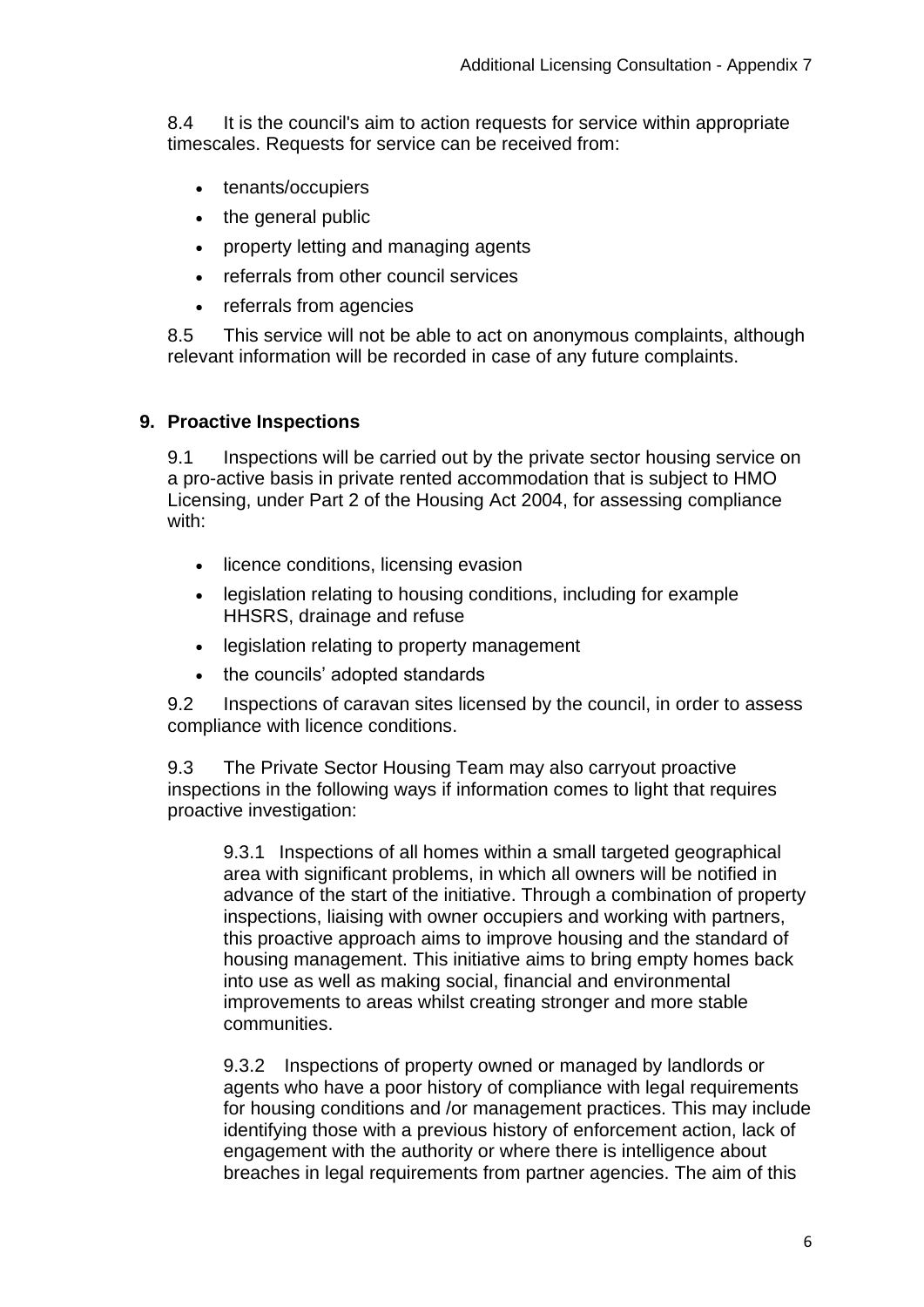8.4 It is the council's aim to action requests for service within appropriate timescales. Requests for service can be received from:

- tenants/occupiers
- the general public
- property letting and managing agents
- referrals from other council services
- referrals from agencies

8.5 This service will not be able to act on anonymous complaints, although relevant information will be recorded in case of any future complaints.

#### **9. Proactive Inspections**

9.1 Inspections will be carried out by the private sector housing service on a pro-active basis in private rented accommodation that is subject to HMO Licensing, under Part 2 of the Housing Act 2004, for assessing compliance with:

- licence conditions, licensing evasion
- legislation relating to housing conditions, including for example HHSRS, drainage and refuse
- legislation relating to property management
- the councils' adopted standards

9.2 Inspections of caravan sites licensed by the council, in order to assess compliance with licence conditions.

9.3 The Private Sector Housing Team may also carryout proactive inspections in the following ways if information comes to light that requires proactive investigation:

9.3.1 Inspections of all homes within a small targeted geographical area with significant problems, in which all owners will be notified in advance of the start of the initiative. Through a combination of property inspections, liaising with owner occupiers and working with partners, this proactive approach aims to improve housing and the standard of housing management. This initiative aims to bring empty homes back into use as well as making social, financial and environmental improvements to areas whilst creating stronger and more stable communities.

9.3.2 Inspections of property owned or managed by landlords or agents who have a poor history of compliance with legal requirements for housing conditions and /or management practices. This may include identifying those with a previous history of enforcement action, lack of engagement with the authority or where there is intelligence about breaches in legal requirements from partner agencies. The aim of this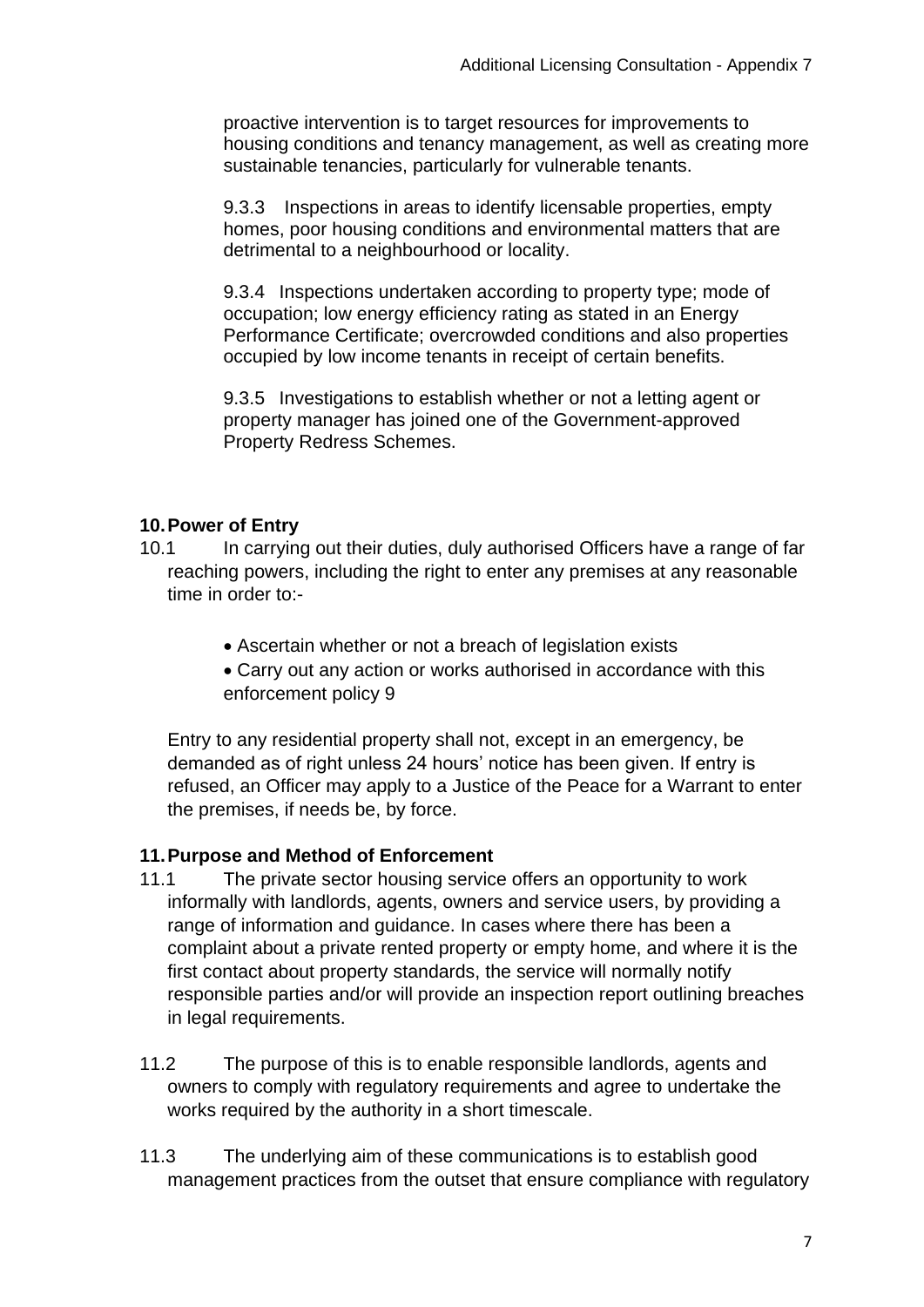proactive intervention is to target resources for improvements to housing conditions and tenancy management, as well as creating more sustainable tenancies, particularly for vulnerable tenants.

9.3.3 Inspections in areas to identify licensable properties, empty homes, poor housing conditions and environmental matters that are detrimental to a neighbourhood or locality.

9.3.4 Inspections undertaken according to property type; mode of occupation; low energy efficiency rating as stated in an Energy Performance Certificate; overcrowded conditions and also properties occupied by low income tenants in receipt of certain benefits.

9.3.5 Investigations to establish whether or not a letting agent or property manager has joined one of the Government-approved Property Redress Schemes.

#### **10.Power of Entry**

- 10.1 In carrying out their duties, duly authorised Officers have a range of far reaching powers, including the right to enter any premises at any reasonable time in order to:-
	- Ascertain whether or not a breach of legislation exists
	- Carry out any action or works authorised in accordance with this enforcement policy 9

Entry to any residential property shall not, except in an emergency, be demanded as of right unless 24 hours' notice has been given. If entry is refused, an Officer may apply to a Justice of the Peace for a Warrant to enter the premises, if needs be, by force.

## **11.Purpose and Method of Enforcement**

- 11.1 The private sector housing service offers an opportunity to work informally with landlords, agents, owners and service users, by providing a range of information and guidance. In cases where there has been a complaint about a private rented property or empty home, and where it is the first contact about property standards, the service will normally notify responsible parties and/or will provide an inspection report outlining breaches in legal requirements.
- 11.2 The purpose of this is to enable responsible landlords, agents and owners to comply with regulatory requirements and agree to undertake the works required by the authority in a short timescale.
- 11.3 The underlying aim of these communications is to establish good management practices from the outset that ensure compliance with regulatory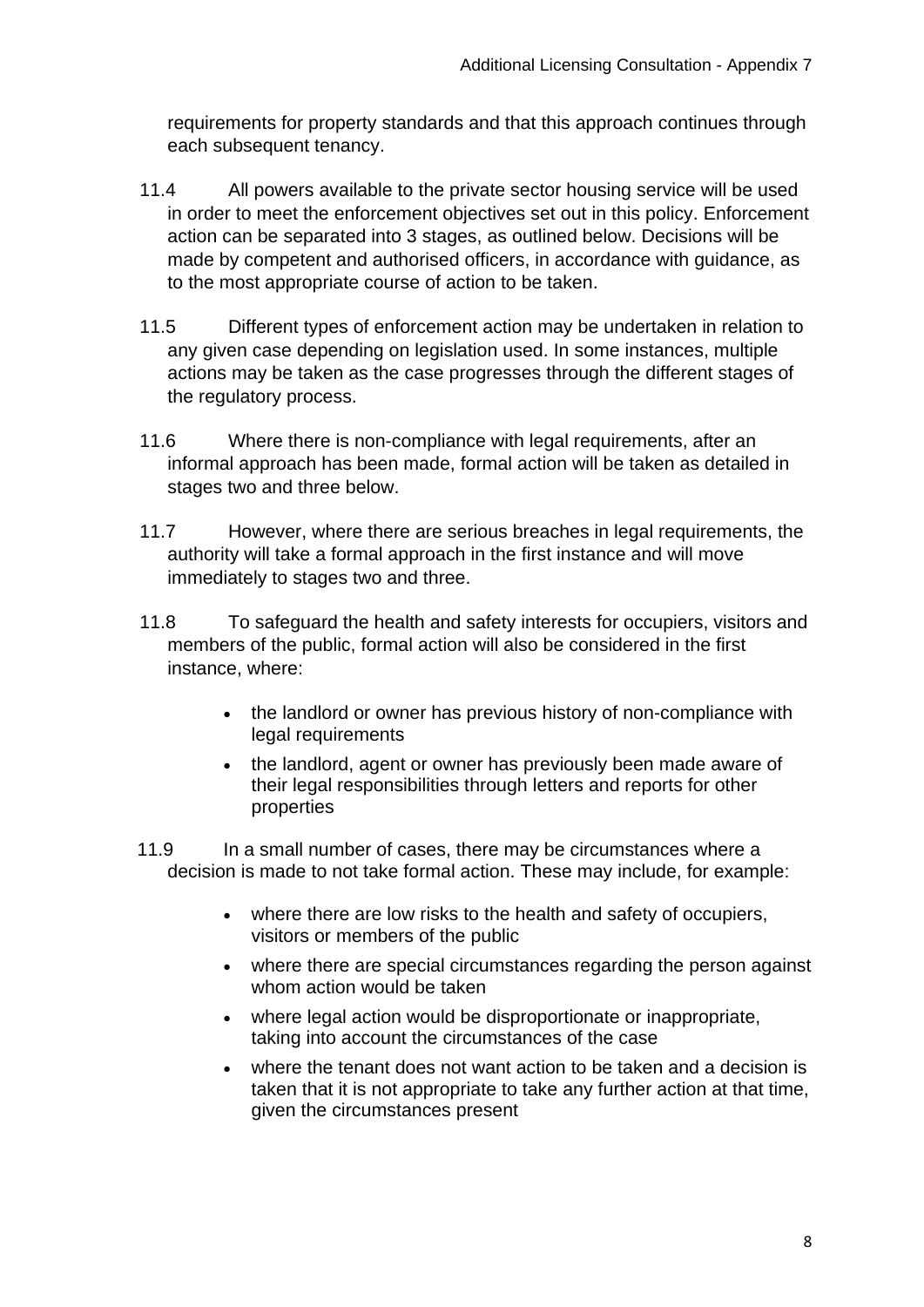requirements for property standards and that this approach continues through each subsequent tenancy.

- 11.4 All powers available to the private sector housing service will be used in order to meet the enforcement objectives set out in this policy. Enforcement action can be separated into 3 stages, as outlined below. Decisions will be made by competent and authorised officers, in accordance with guidance, as to the most appropriate course of action to be taken.
- 11.5 Different types of enforcement action may be undertaken in relation to any given case depending on legislation used. In some instances, multiple actions may be taken as the case progresses through the different stages of the regulatory process.
- 11.6 Where there is non-compliance with legal requirements, after an informal approach has been made, formal action will be taken as detailed in stages two and three below.
- 11.7 However, where there are serious breaches in legal requirements, the authority will take a formal approach in the first instance and will move immediately to stages two and three.
- 11.8 To safeguard the health and safety interests for occupiers, visitors and members of the public, formal action will also be considered in the first instance, where:
	- the landlord or owner has previous history of non-compliance with legal requirements
	- the landlord, agent or owner has previously been made aware of their legal responsibilities through letters and reports for other properties
- 11.9 In a small number of cases, there may be circumstances where a decision is made to not take formal action. These may include, for example:
	- where there are low risks to the health and safety of occupiers, visitors or members of the public
	- where there are special circumstances regarding the person against whom action would be taken
	- where legal action would be disproportionate or inappropriate, taking into account the circumstances of the case
	- where the tenant does not want action to be taken and a decision is taken that it is not appropriate to take any further action at that time, given the circumstances present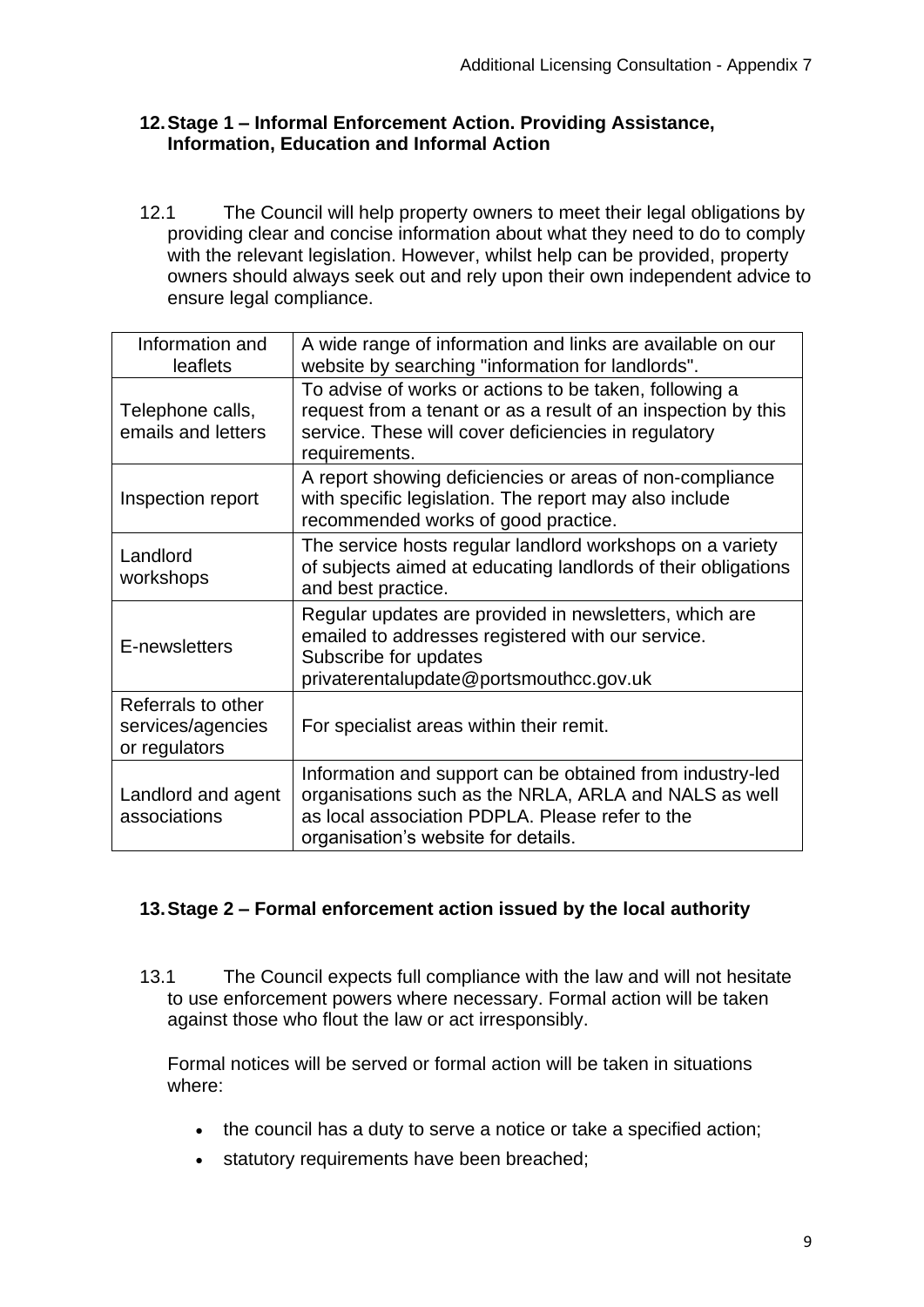#### **12.Stage 1 – Informal Enforcement Action. Providing Assistance, Information, Education and Informal Action**

12.1 The Council will help property owners to meet their legal obligations by providing clear and concise information about what they need to do to comply with the relevant legislation. However, whilst help can be provided, property owners should always seek out and rely upon their own independent advice to ensure legal compliance.

| Information and<br>leaflets                              | A wide range of information and links are available on our<br>website by searching "information for landlords".                                                                                              |
|----------------------------------------------------------|--------------------------------------------------------------------------------------------------------------------------------------------------------------------------------------------------------------|
| Telephone calls,<br>emails and letters                   | To advise of works or actions to be taken, following a<br>request from a tenant or as a result of an inspection by this<br>service. These will cover deficiencies in regulatory<br>requirements.             |
| Inspection report                                        | A report showing deficiencies or areas of non-compliance<br>with specific legislation. The report may also include<br>recommended works of good practice.                                                    |
| Landlord<br>workshops                                    | The service hosts regular landlord workshops on a variety<br>of subjects aimed at educating landlords of their obligations<br>and best practice.                                                             |
| E-newsletters                                            | Regular updates are provided in newsletters, which are<br>emailed to addresses registered with our service.<br>Subscribe for updates<br>privaterentalupdate@portsmouthcc.gov.uk                              |
| Referrals to other<br>services/agencies<br>or regulators | For specialist areas within their remit.                                                                                                                                                                     |
| Landlord and agent<br>associations                       | Information and support can be obtained from industry-led<br>organisations such as the NRLA, ARLA and NALS as well<br>as local association PDPLA. Please refer to the<br>organisation's website for details. |

## **13.Stage 2 – Formal enforcement action issued by the local authority**

13.1 The Council expects full compliance with the law and will not hesitate to use enforcement powers where necessary. Formal action will be taken against those who flout the law or act irresponsibly.

Formal notices will be served or formal action will be taken in situations where:

- the council has a duty to serve a notice or take a specified action;
- statutory requirements have been breached;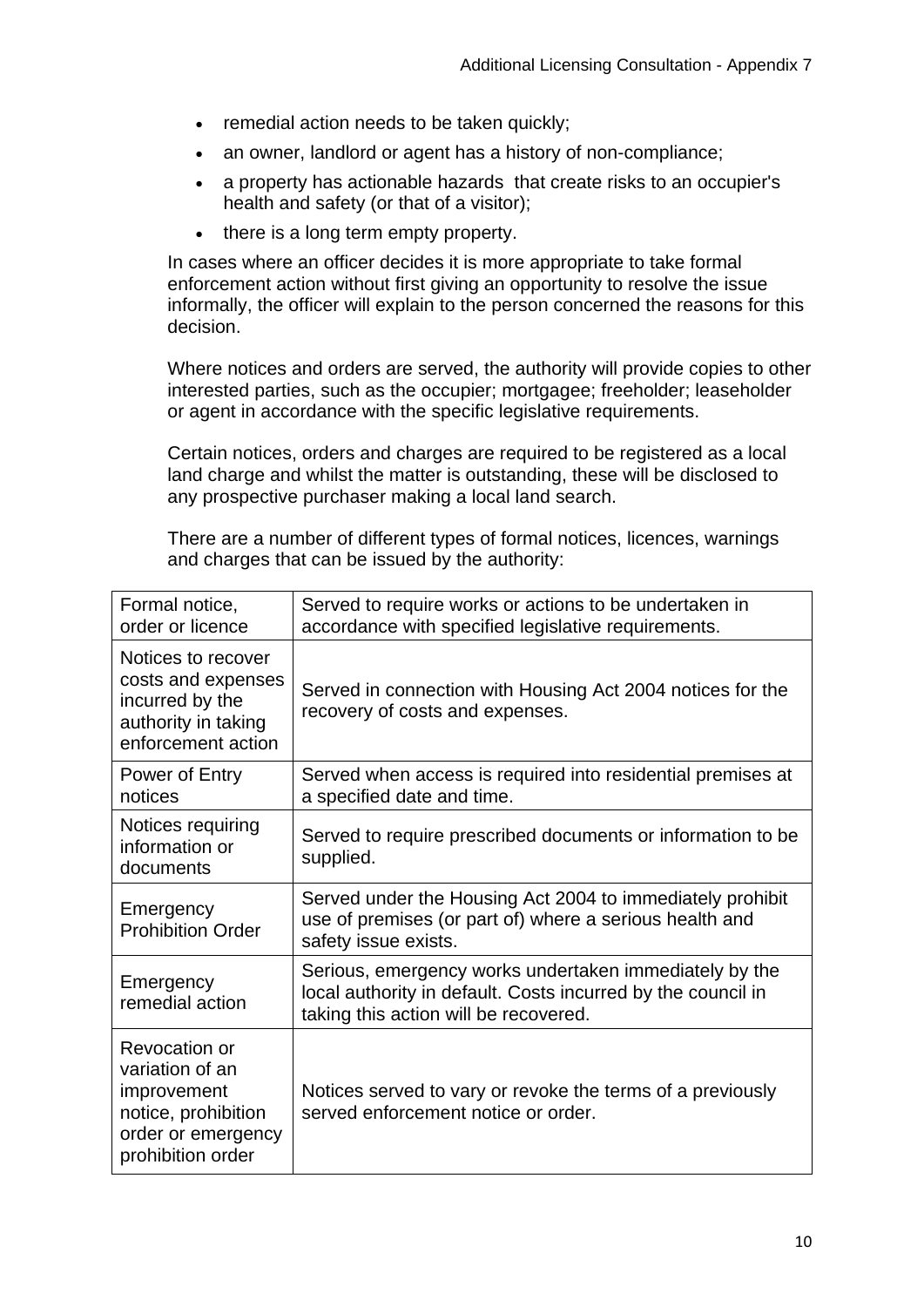- remedial action needs to be taken quickly;
- an owner, landlord or agent has a history of non-compliance:
- a property has actionable hazards that create risks to an occupier's health and safety (or that of a visitor);
- there is a long term empty property.

In cases where an officer decides it is more appropriate to take formal enforcement action without first giving an opportunity to resolve the issue informally, the officer will explain to the person concerned the reasons for this decision.

Where notices and orders are served, the authority will provide copies to other interested parties, such as the occupier; mortgagee; freeholder; leaseholder or agent in accordance with the specific legislative requirements.

Certain notices, orders and charges are required to be registered as a local land charge and whilst the matter is outstanding, these will be disclosed to any prospective purchaser making a local land search.

There are a number of different types of formal notices, licences, warnings and charges that can be issued by the authority:

| Formal notice,<br>order or licence                                                                                | Served to require works or actions to be undertaken in<br>accordance with specified legislative requirements.                                                   |
|-------------------------------------------------------------------------------------------------------------------|-----------------------------------------------------------------------------------------------------------------------------------------------------------------|
| Notices to recover<br>costs and expenses<br>incurred by the<br>authority in taking<br>enforcement action          | Served in connection with Housing Act 2004 notices for the<br>recovery of costs and expenses.                                                                   |
| Power of Entry<br>notices                                                                                         | Served when access is required into residential premises at<br>a specified date and time.                                                                       |
| Notices requiring<br>information or<br>documents                                                                  | Served to require prescribed documents or information to be<br>supplied.                                                                                        |
| Emergency<br><b>Prohibition Order</b>                                                                             | Served under the Housing Act 2004 to immediately prohibit<br>use of premises (or part of) where a serious health and<br>safety issue exists.                    |
| Emergency<br>remedial action                                                                                      | Serious, emergency works undertaken immediately by the<br>local authority in default. Costs incurred by the council in<br>taking this action will be recovered. |
| Revocation or<br>variation of an<br>improvement<br>notice, prohibition<br>order or emergency<br>prohibition order | Notices served to vary or revoke the terms of a previously<br>served enforcement notice or order.                                                               |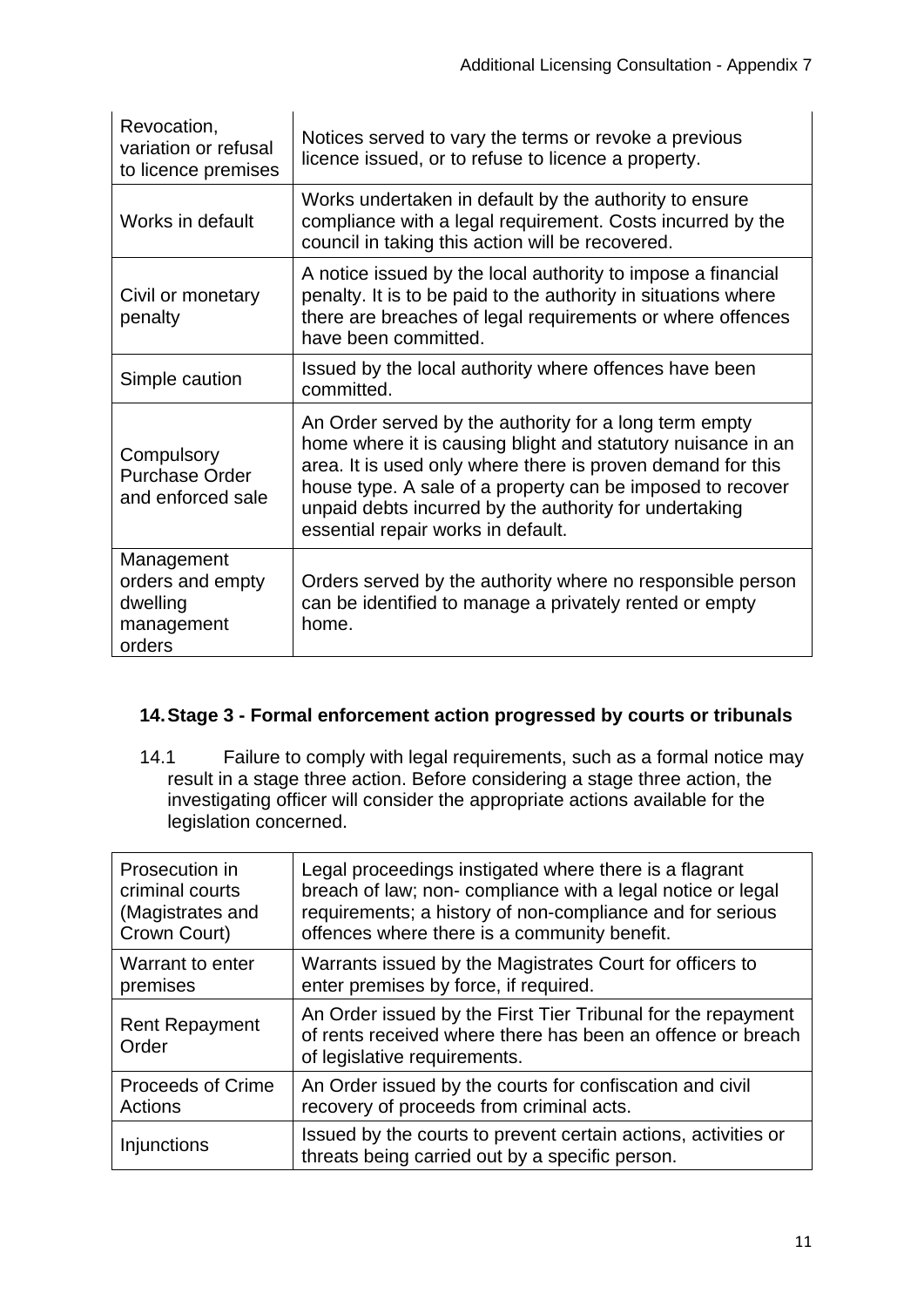| Revocation,<br>variation or refusal<br>to licence premises         | Notices served to vary the terms or revoke a previous<br>licence issued, or to refuse to licence a property.                                                                                                                                                                                                                                        |  |
|--------------------------------------------------------------------|-----------------------------------------------------------------------------------------------------------------------------------------------------------------------------------------------------------------------------------------------------------------------------------------------------------------------------------------------------|--|
| Works in default                                                   | Works undertaken in default by the authority to ensure<br>compliance with a legal requirement. Costs incurred by the<br>council in taking this action will be recovered.                                                                                                                                                                            |  |
| Civil or monetary<br>penalty                                       | A notice issued by the local authority to impose a financial<br>penalty. It is to be paid to the authority in situations where<br>there are breaches of legal requirements or where offences<br>have been committed.                                                                                                                                |  |
| Simple caution                                                     | Issued by the local authority where offences have been<br>committed.                                                                                                                                                                                                                                                                                |  |
| Compulsory<br><b>Purchase Order</b><br>and enforced sale           | An Order served by the authority for a long term empty<br>home where it is causing blight and statutory nuisance in an<br>area. It is used only where there is proven demand for this<br>house type. A sale of a property can be imposed to recover<br>unpaid debts incurred by the authority for undertaking<br>essential repair works in default. |  |
| Management<br>orders and empty<br>dwelling<br>management<br>orders | Orders served by the authority where no responsible person<br>can be identified to manage a privately rented or empty<br>home.                                                                                                                                                                                                                      |  |

## **14.Stage 3 - Formal enforcement action progressed by courts or tribunals**

14.1 Failure to comply with legal requirements, such as a formal notice may result in a stage three action. Before considering a stage three action, the investigating officer will consider the appropriate actions available for the legislation concerned.

| Prosecution in                 | Legal proceedings instigated where there is a flagrant                                                                                                      |
|--------------------------------|-------------------------------------------------------------------------------------------------------------------------------------------------------------|
| criminal courts                | breach of law; non- compliance with a legal notice or legal                                                                                                 |
| (Magistrates and               | requirements; a history of non-compliance and for serious                                                                                                   |
| Crown Court)                   | offences where there is a community benefit.                                                                                                                |
| Warrant to enter               | Warrants issued by the Magistrates Court for officers to                                                                                                    |
| premises                       | enter premises by force, if required.                                                                                                                       |
| <b>Rent Repayment</b><br>Order | An Order issued by the First Tier Tribunal for the repayment<br>of rents received where there has been an offence or breach<br>of legislative requirements. |
| <b>Proceeds of Crime</b>       | An Order issued by the courts for confiscation and civil                                                                                                    |
| Actions                        | recovery of proceeds from criminal acts.                                                                                                                    |
| <b>Injunctions</b>             | Issued by the courts to prevent certain actions, activities or<br>threats being carried out by a specific person.                                           |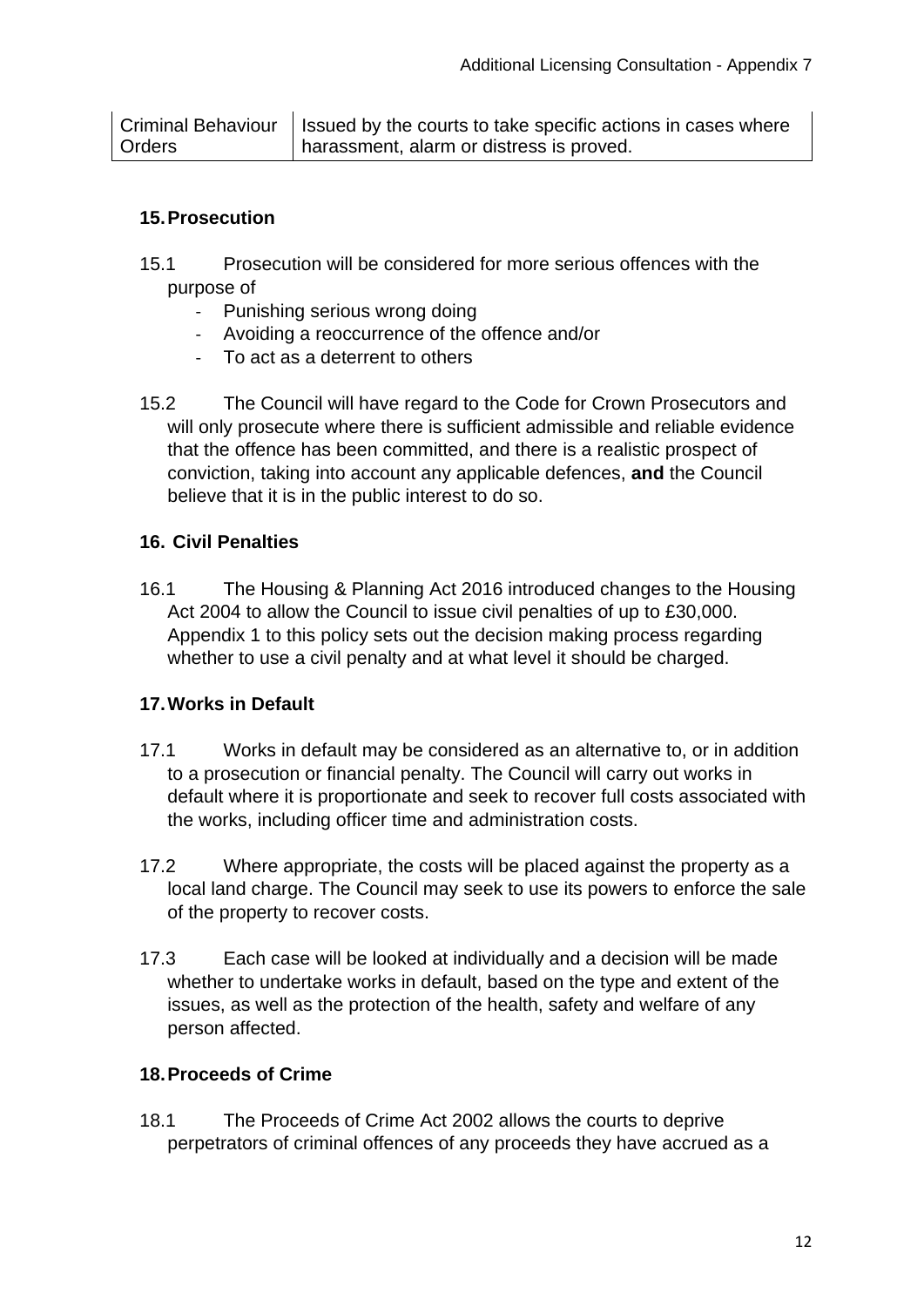## **15.Prosecution**

- 15.1 Prosecution will be considered for more serious offences with the purpose of
	- Punishing serious wrong doing
	- Avoiding a reoccurrence of the offence and/or
	- To act as a deterrent to others
- 15.2 The Council will have regard to the Code for Crown Prosecutors and will only prosecute where there is sufficient admissible and reliable evidence that the offence has been committed, and there is a realistic prospect of conviction, taking into account any applicable defences, **and** the Council believe that it is in the public interest to do so.

## **16. Civil Penalties**

16.1 The Housing & Planning Act 2016 introduced changes to the Housing Act 2004 to allow the Council to issue civil penalties of up to £30,000. Appendix 1 to this policy sets out the decision making process regarding whether to use a civil penalty and at what level it should be charged.

## **17.Works in Default**

- 17.1 Works in default may be considered as an alternative to, or in addition to a prosecution or financial penalty. The Council will carry out works in default where it is proportionate and seek to recover full costs associated with the works, including officer time and administration costs.
- 17.2 Where appropriate, the costs will be placed against the property as a local land charge. The Council may seek to use its powers to enforce the sale of the property to recover costs.
- 17.3 Each case will be looked at individually and a decision will be made whether to undertake works in default, based on the type and extent of the issues, as well as the protection of the health, safety and welfare of any person affected.

## **18.Proceeds of Crime**

18.1 The Proceeds of Crime Act 2002 allows the courts to deprive perpetrators of criminal offences of any proceeds they have accrued as a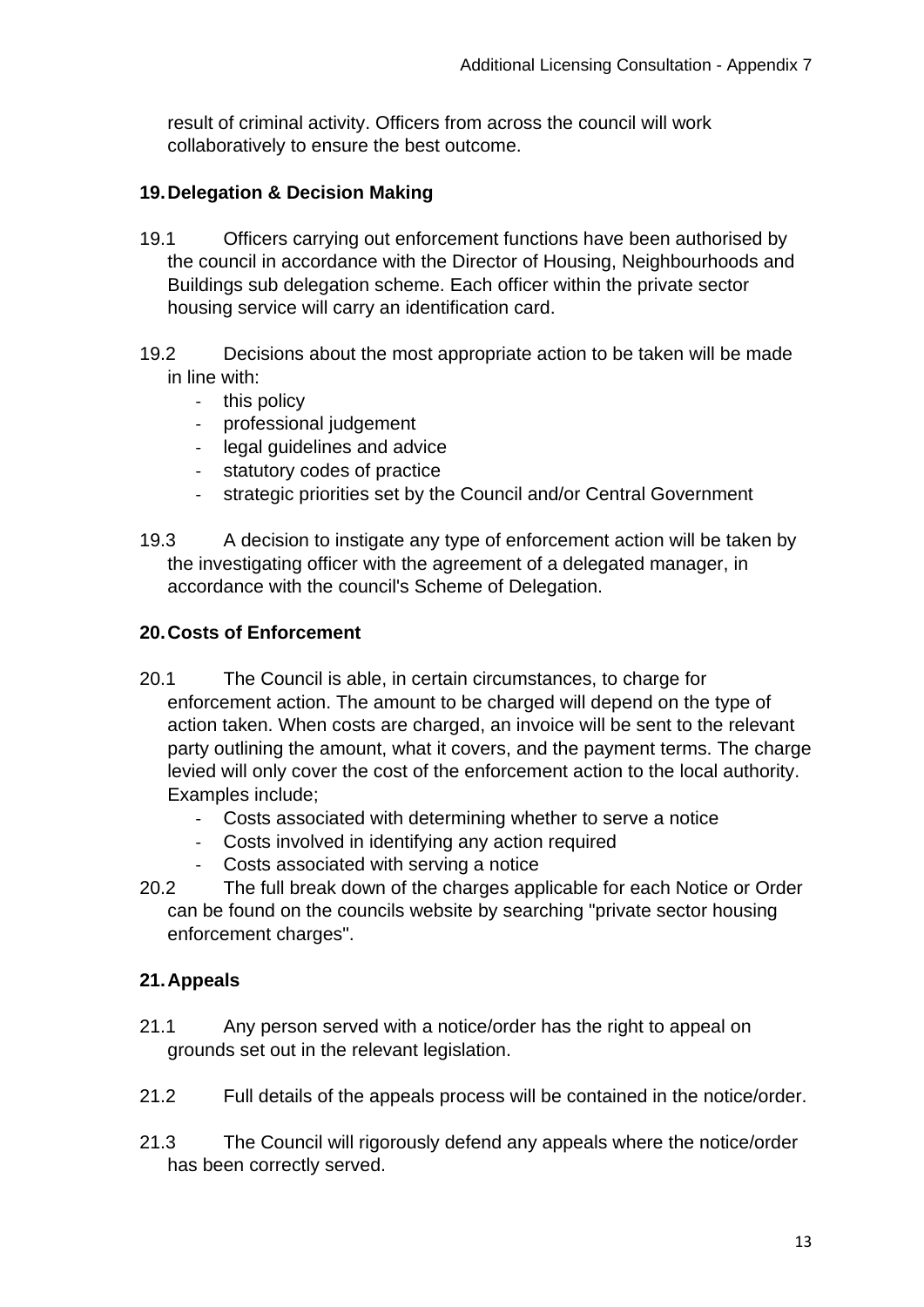result of criminal activity. Officers from across the council will work collaboratively to ensure the best outcome.

# **19.Delegation & Decision Making**

- 19.1 Officers carrying out enforcement functions have been authorised by the council in accordance with the Director of Housing, Neighbourhoods and Buildings sub delegation scheme. Each officer within the private sector housing service will carry an identification card.
- 19.2 Decisions about the most appropriate action to be taken will be made in line with:
	- this policy
	- professional judgement
	- legal guidelines and advice
	- statutory codes of practice
	- strategic priorities set by the Council and/or Central Government
- 19.3 A decision to instigate any type of enforcement action will be taken by the investigating officer with the agreement of a delegated manager, in accordance with the council's Scheme of Delegation.

## **20.Costs of Enforcement**

- 20.1 The Council is able, in certain circumstances, to charge for enforcement action. The amount to be charged will depend on the type of action taken. When costs are charged, an invoice will be sent to the relevant party outlining the amount, what it covers, and the payment terms. The charge levied will only cover the cost of the enforcement action to the local authority. Examples include;
	- Costs associated with determining whether to serve a notice
	- Costs involved in identifying any action required
	- Costs associated with serving a notice
- 20.2 The full break down of the charges applicable for each Notice or Order can be found on the councils website by searching "private sector housing enforcement charges".

# **21.Appeals**

- 21.1 Any person served with a notice/order has the right to appeal on grounds set out in the relevant legislation.
- 21.2 Full details of the appeals process will be contained in the notice/order.
- 21.3 The Council will rigorously defend any appeals where the notice/order has been correctly served.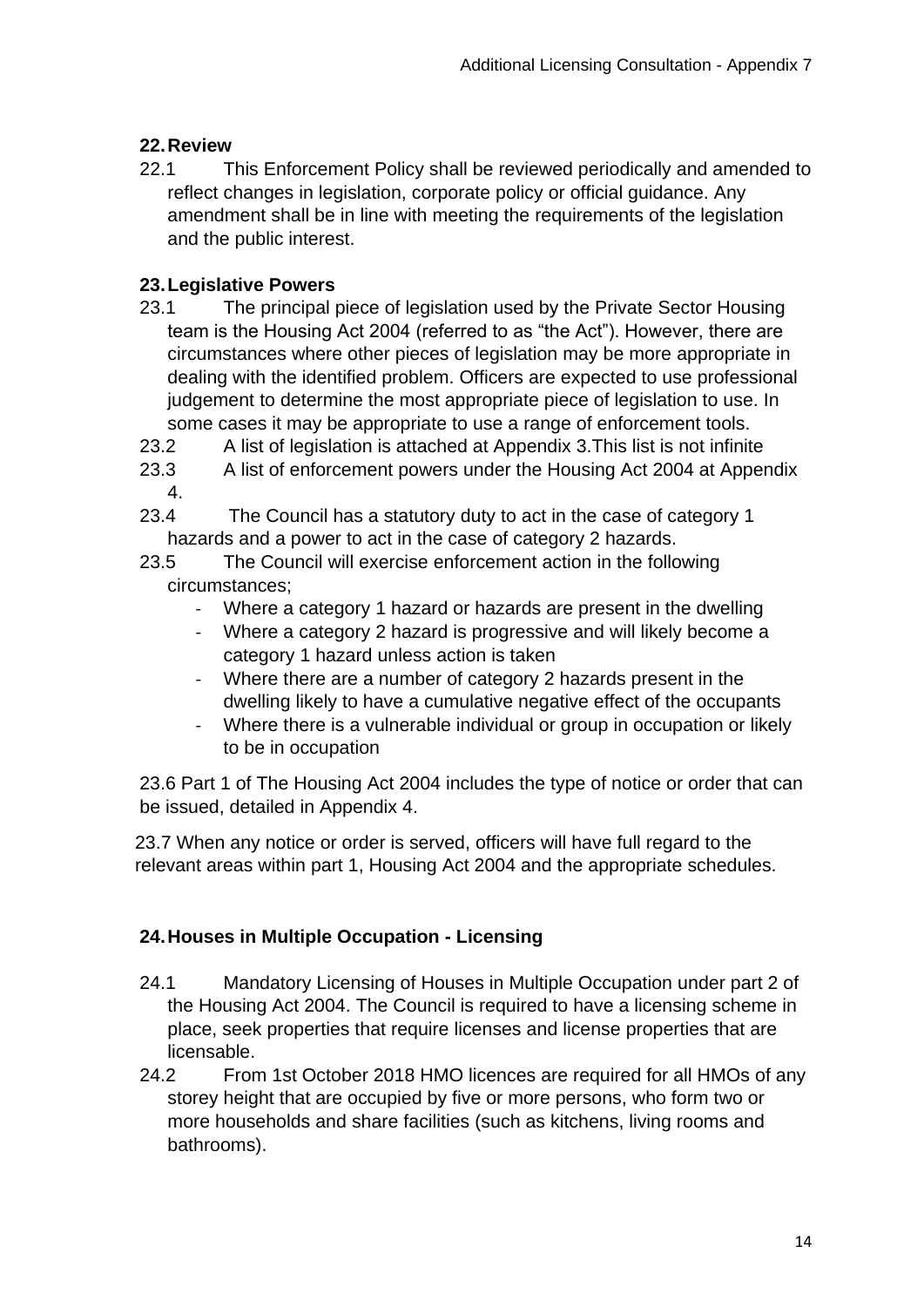# **22.Review**

22.1 This Enforcement Policy shall be reviewed periodically and amended to reflect changes in legislation, corporate policy or official guidance. Any amendment shall be in line with meeting the requirements of the legislation and the public interest.

# **23.Legislative Powers**

- 23.1 The principal piece of legislation used by the Private Sector Housing team is the Housing Act 2004 (referred to as "the Act"). However, there are circumstances where other pieces of legislation may be more appropriate in dealing with the identified problem. Officers are expected to use professional judgement to determine the most appropriate piece of legislation to use. In some cases it may be appropriate to use a range of enforcement tools.
- 23.2 A list of legislation is attached at Appendix 3.This list is not infinite
- 23.3 A list of enforcement powers under the Housing Act 2004 at Appendix 4.
- 23.4 The Council has a statutory duty to act in the case of category 1 hazards and a power to act in the case of category 2 hazards.
- 23.5 The Council will exercise enforcement action in the following circumstances;
	- Where a category 1 hazard or hazards are present in the dwelling
	- Where a category 2 hazard is progressive and will likely become a category 1 hazard unless action is taken
	- Where there are a number of category 2 hazards present in the dwelling likely to have a cumulative negative effect of the occupants
	- Where there is a vulnerable individual or group in occupation or likely to be in occupation

23.6 Part 1 of The Housing Act 2004 includes the type of notice or order that can be issued, detailed in Appendix 4.

23.7 When any notice or order is served, officers will have full regard to the relevant areas within part 1, Housing Act 2004 and the appropriate schedules.

# **24.Houses in Multiple Occupation - Licensing**

- 24.1 Mandatory Licensing of Houses in Multiple Occupation under part 2 of the Housing Act 2004. The Council is required to have a licensing scheme in place, seek properties that require licenses and license properties that are licensable.
- 24.2 From 1st October 2018 HMO licences are required for all HMOs of any storey height that are occupied by five or more persons, who form two or more households and share facilities (such as kitchens, living rooms and bathrooms).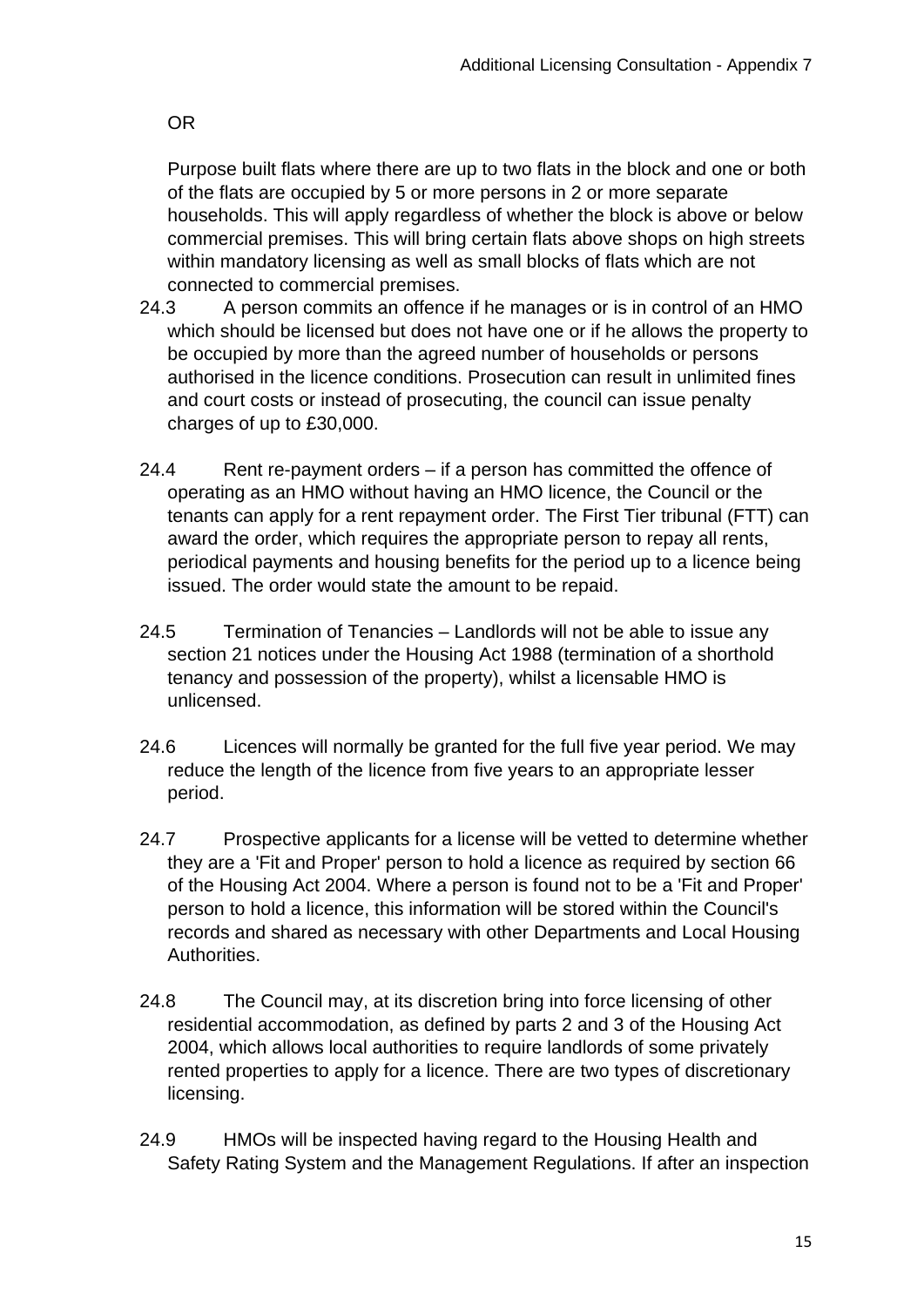OR

Purpose built flats where there are up to two flats in the block and one or both of the flats are occupied by 5 or more persons in 2 or more separate households. This will apply regardless of whether the block is above or below commercial premises. This will bring certain flats above shops on high streets within mandatory licensing as well as small blocks of flats which are not connected to commercial premises.

- 24.3 A person commits an offence if he manages or is in control of an HMO which should be licensed but does not have one or if he allows the property to be occupied by more than the agreed number of households or persons authorised in the licence conditions. Prosecution can result in unlimited fines and court costs or instead of prosecuting, the council can issue penalty charges of up to £30,000.
- 24.4 Rent re-payment orders if a person has committed the offence of operating as an HMO without having an HMO licence, the Council or the tenants can apply for a rent repayment order. The First Tier tribunal (FTT) can award the order, which requires the appropriate person to repay all rents, periodical payments and housing benefits for the period up to a licence being issued. The order would state the amount to be repaid.
- 24.5 Termination of Tenancies Landlords will not be able to issue any section 21 notices under the Housing Act 1988 (termination of a shorthold tenancy and possession of the property), whilst a licensable HMO is unlicensed.
- 24.6 Licences will normally be granted for the full five year period. We may reduce the length of the licence from five years to an appropriate lesser period.
- 24.7 Prospective applicants for a license will be vetted to determine whether they are a 'Fit and Proper' person to hold a licence as required by section 66 of the Housing Act 2004. Where a person is found not to be a 'Fit and Proper' person to hold a licence, this information will be stored within the Council's records and shared as necessary with other Departments and Local Housing Authorities.
- 24.8 The Council may, at its discretion bring into force licensing of other residential accommodation, as defined by parts 2 and 3 of the Housing Act 2004, which allows local authorities to require landlords of some privately rented properties to apply for a licence. There are two types of discretionary licensing.
- 24.9 HMOs will be inspected having regard to the Housing Health and Safety Rating System and the Management Regulations. If after an inspection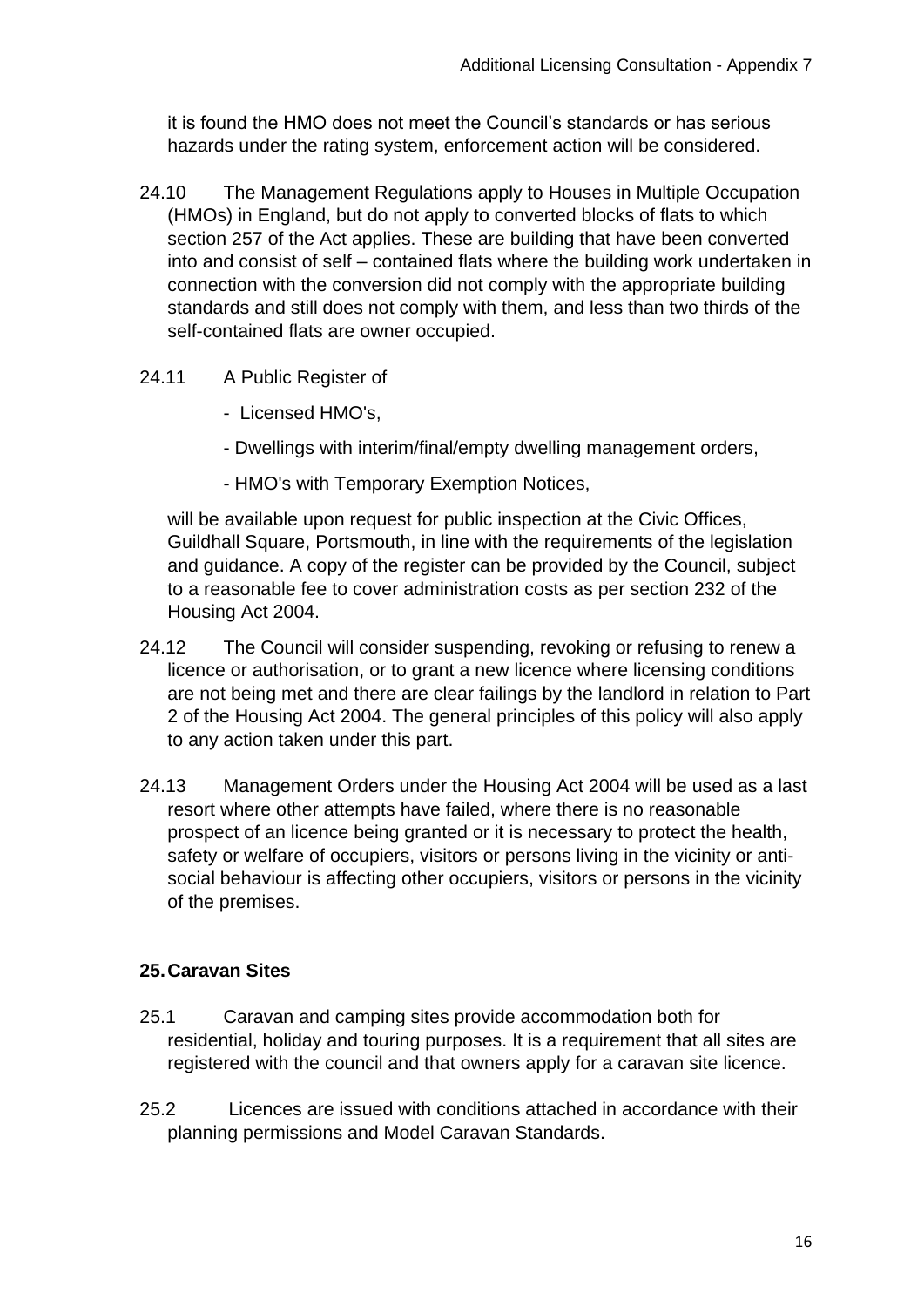it is found the HMO does not meet the Council's standards or has serious hazards under the rating system, enforcement action will be considered.

- 24.10 The Management Regulations apply to Houses in Multiple Occupation (HMOs) in England, but do not apply to converted blocks of flats to which section 257 of the Act applies. These are building that have been converted into and consist of self – contained flats where the building work undertaken in connection with the conversion did not comply with the appropriate building standards and still does not comply with them, and less than two thirds of the self-contained flats are owner occupied.
- 24.11 A Public Register of
	- Licensed HMO's,
	- Dwellings with interim/final/empty dwelling management orders,
	- HMO's with Temporary Exemption Notices,

will be available upon request for public inspection at the Civic Offices, Guildhall Square, Portsmouth, in line with the requirements of the legislation and guidance. A copy of the register can be provided by the Council, subject to a reasonable fee to cover administration costs as per section 232 of the Housing Act 2004.

- 24.12 The Council will consider suspending, revoking or refusing to renew a licence or authorisation, or to grant a new licence where licensing conditions are not being met and there are clear failings by the landlord in relation to Part 2 of the Housing Act 2004. The general principles of this policy will also apply to any action taken under this part.
- 24.13 Management Orders under the Housing Act 2004 will be used as a last resort where other attempts have failed, where there is no reasonable prospect of an licence being granted or it is necessary to protect the health, safety or welfare of occupiers, visitors or persons living in the vicinity or antisocial behaviour is affecting other occupiers, visitors or persons in the vicinity of the premises.

## **25.Caravan Sites**

- 25.1 Caravan and camping sites provide accommodation both for residential, holiday and touring purposes. It is a requirement that all sites are registered with the council and that owners apply for a caravan site licence.
- 25.2 Licences are issued with conditions attached in accordance with their planning permissions and Model Caravan Standards.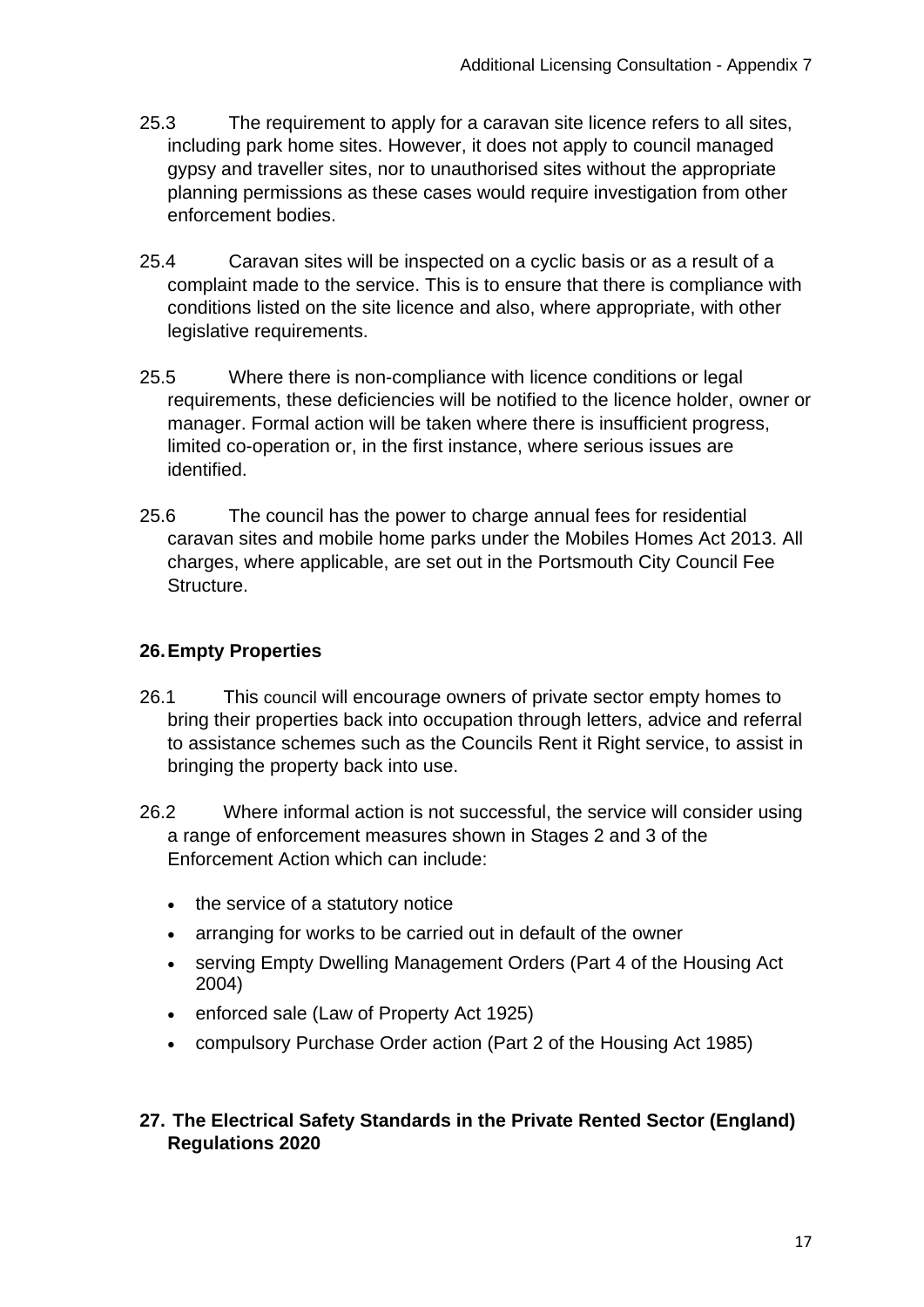- 25.3 The requirement to apply for a caravan site licence refers to all sites, including park home sites. However, it does not apply to council managed gypsy and traveller sites, nor to unauthorised sites without the appropriate planning permissions as these cases would require investigation from other enforcement bodies.
- 25.4 Caravan sites will be inspected on a cyclic basis or as a result of a complaint made to the service. This is to ensure that there is compliance with conditions listed on the site licence and also, where appropriate, with other legislative requirements.
- 25.5 Where there is non-compliance with licence conditions or legal requirements, these deficiencies will be notified to the licence holder, owner or manager. Formal action will be taken where there is insufficient progress, limited co-operation or, in the first instance, where serious issues are identified.
- 25.6 The council has the power to charge annual fees for residential caravan sites and mobile home parks under the Mobiles Homes Act 2013. All charges, where applicable, are set out in the Portsmouth City Council Fee **Structure**

# **26.Empty Properties**

- 26.1 This council will encourage owners of private sector empty homes to bring their properties back into occupation through letters, advice and referral to assistance schemes such as the Councils Rent it Right service, to assist in bringing the property back into use.
- 26.2 Where informal action is not successful, the service will consider using a range of enforcement measures shown in Stages 2 and 3 of the Enforcement Action which can include:
	- the service of a statutory notice
	- arranging for works to be carried out in default of the owner
	- serving Empty Dwelling Management Orders (Part 4 of the Housing Act 2004)
	- enforced sale (Law of Property Act 1925)
	- compulsory Purchase Order action (Part 2 of the Housing Act 1985)

## **27. The Electrical Safety Standards in the Private Rented Sector (England) Regulations 2020**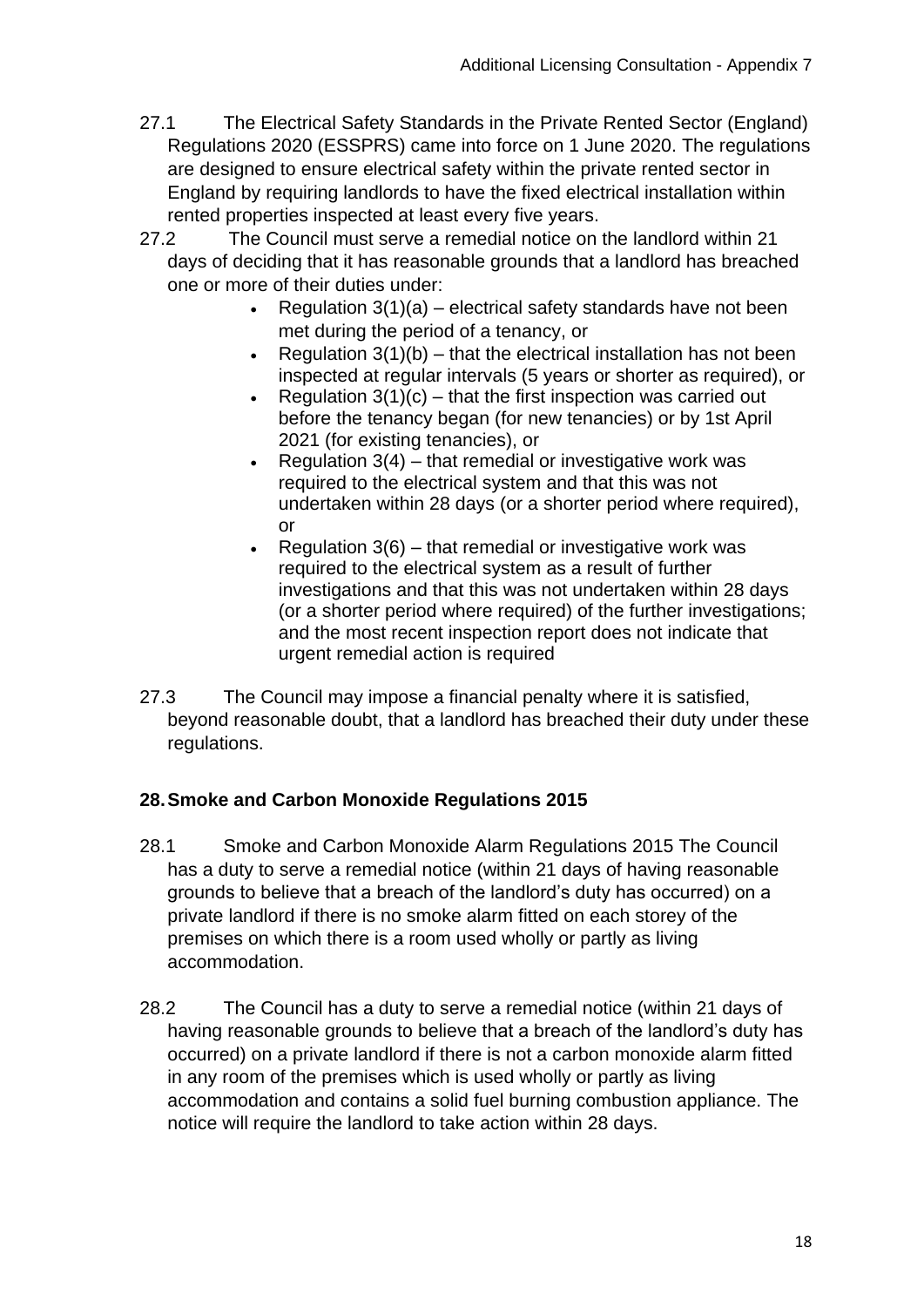- 27.1 The Electrical Safety Standards in the Private Rented Sector (England) Regulations 2020 (ESSPRS) came into force on 1 June 2020. The regulations are designed to ensure electrical safety within the private rented sector in England by requiring landlords to have the fixed electrical installation within rented properties inspected at least every five years.
- 27.2 The Council must serve a remedial notice on the landlord within 21 days of deciding that it has reasonable grounds that a landlord has breached one or more of their duties under:
	- Regulation  $3(1)(a)$  electrical safety standards have not been met during the period of a tenancy, or
	- Regulation  $3(1)(b)$  that the electrical installation has not been inspected at regular intervals (5 years or shorter as required), or
	- Regulation  $3(1)(c)$  that the first inspection was carried out before the tenancy began (for new tenancies) or by 1st April 2021 (for existing tenancies), or
	- Regulation  $3(4)$  that remedial or investigative work was required to the electrical system and that this was not undertaken within 28 days (or a shorter period where required), or
	- Regulation  $3(6)$  that remedial or investigative work was required to the electrical system as a result of further investigations and that this was not undertaken within 28 days (or a shorter period where required) of the further investigations; and the most recent inspection report does not indicate that urgent remedial action is required
- 27.3 The Council may impose a financial penalty where it is satisfied, beyond reasonable doubt, that a landlord has breached their duty under these regulations.

# **28.Smoke and Carbon Monoxide Regulations 2015**

- 28.1 Smoke and Carbon Monoxide Alarm Regulations 2015 The Council has a duty to serve a remedial notice (within 21 days of having reasonable grounds to believe that a breach of the landlord's duty has occurred) on a private landlord if there is no smoke alarm fitted on each storey of the premises on which there is a room used wholly or partly as living accommodation.
- 28.2 The Council has a duty to serve a remedial notice (within 21 days of having reasonable grounds to believe that a breach of the landlord's duty has occurred) on a private landlord if there is not a carbon monoxide alarm fitted in any room of the premises which is used wholly or partly as living accommodation and contains a solid fuel burning combustion appliance. The notice will require the landlord to take action within 28 days.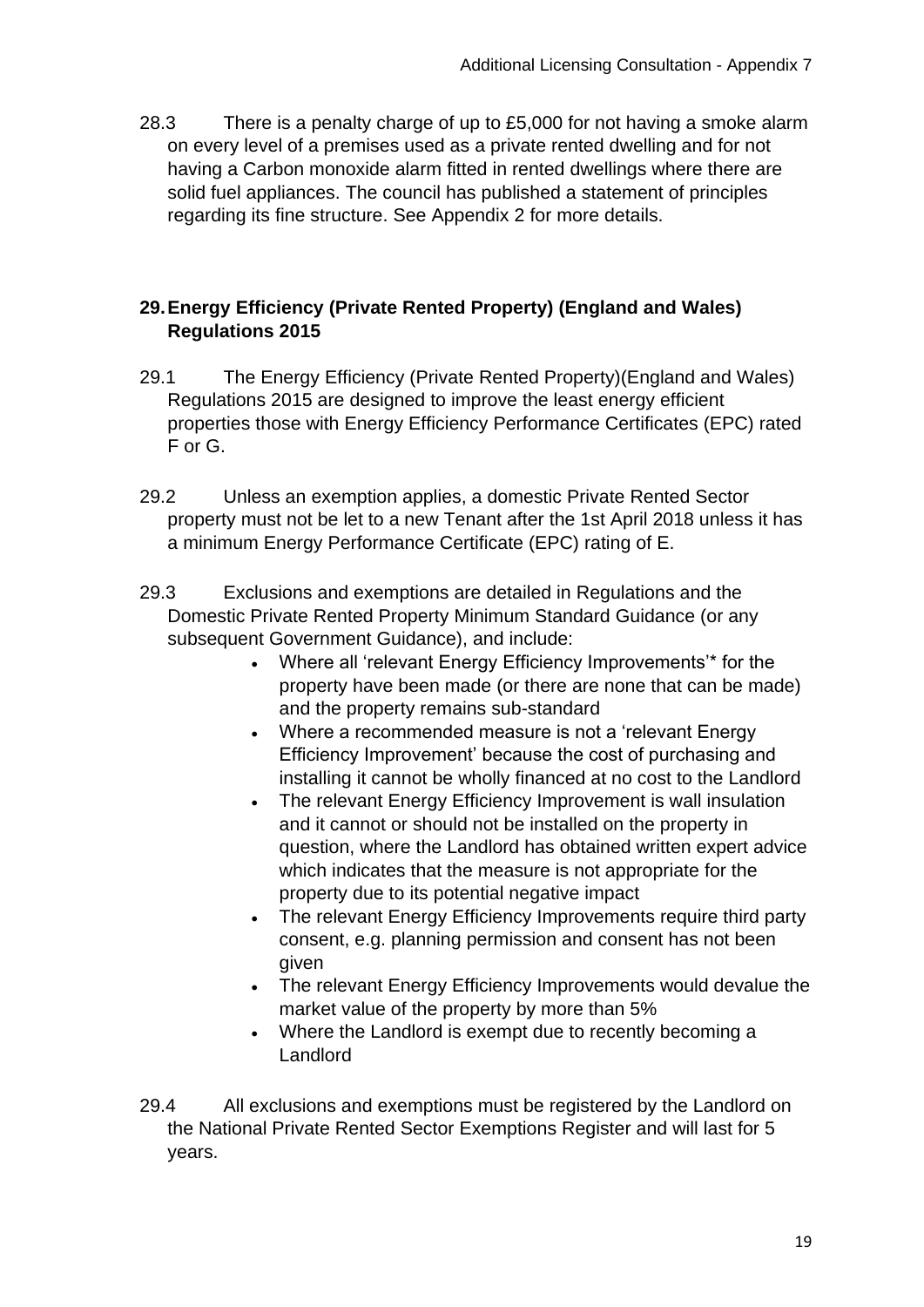28.3 There is a penalty charge of up to £5,000 for not having a smoke alarm on every level of a premises used as a private rented dwelling and for not having a Carbon monoxide alarm fitted in rented dwellings where there are solid fuel appliances. The council has published a statement of principles regarding its fine structure. See Appendix 2 for more details.

## **29.Energy Efficiency (Private Rented Property) (England and Wales) Regulations 2015**

- 29.1 The Energy Efficiency (Private Rented Property)(England and Wales) Regulations 2015 are designed to improve the least energy efficient properties those with Energy Efficiency Performance Certificates (EPC) rated F or G.
- 29.2 Unless an exemption applies, a domestic Private Rented Sector property must not be let to a new Tenant after the 1st April 2018 unless it has a minimum Energy Performance Certificate (EPC) rating of E.
- 29.3 Exclusions and exemptions are detailed in Regulations and the Domestic Private Rented Property Minimum Standard Guidance (or any subsequent Government Guidance), and include:
	- Where all 'relevant Energy Efficiency Improvements'\* for the property have been made (or there are none that can be made) and the property remains sub-standard
	- Where a recommended measure is not a 'relevant Energy Efficiency Improvement' because the cost of purchasing and installing it cannot be wholly financed at no cost to the Landlord
	- The relevant Energy Efficiency Improvement is wall insulation and it cannot or should not be installed on the property in question, where the Landlord has obtained written expert advice which indicates that the measure is not appropriate for the property due to its potential negative impact
	- The relevant Energy Efficiency Improvements require third party consent, e.g. planning permission and consent has not been given
	- The relevant Energy Efficiency Improvements would devalue the market value of the property by more than 5%
	- Where the Landlord is exempt due to recently becoming a **Landlord**

29.4 All exclusions and exemptions must be registered by the Landlord on the National Private Rented Sector Exemptions Register and will last for 5 years.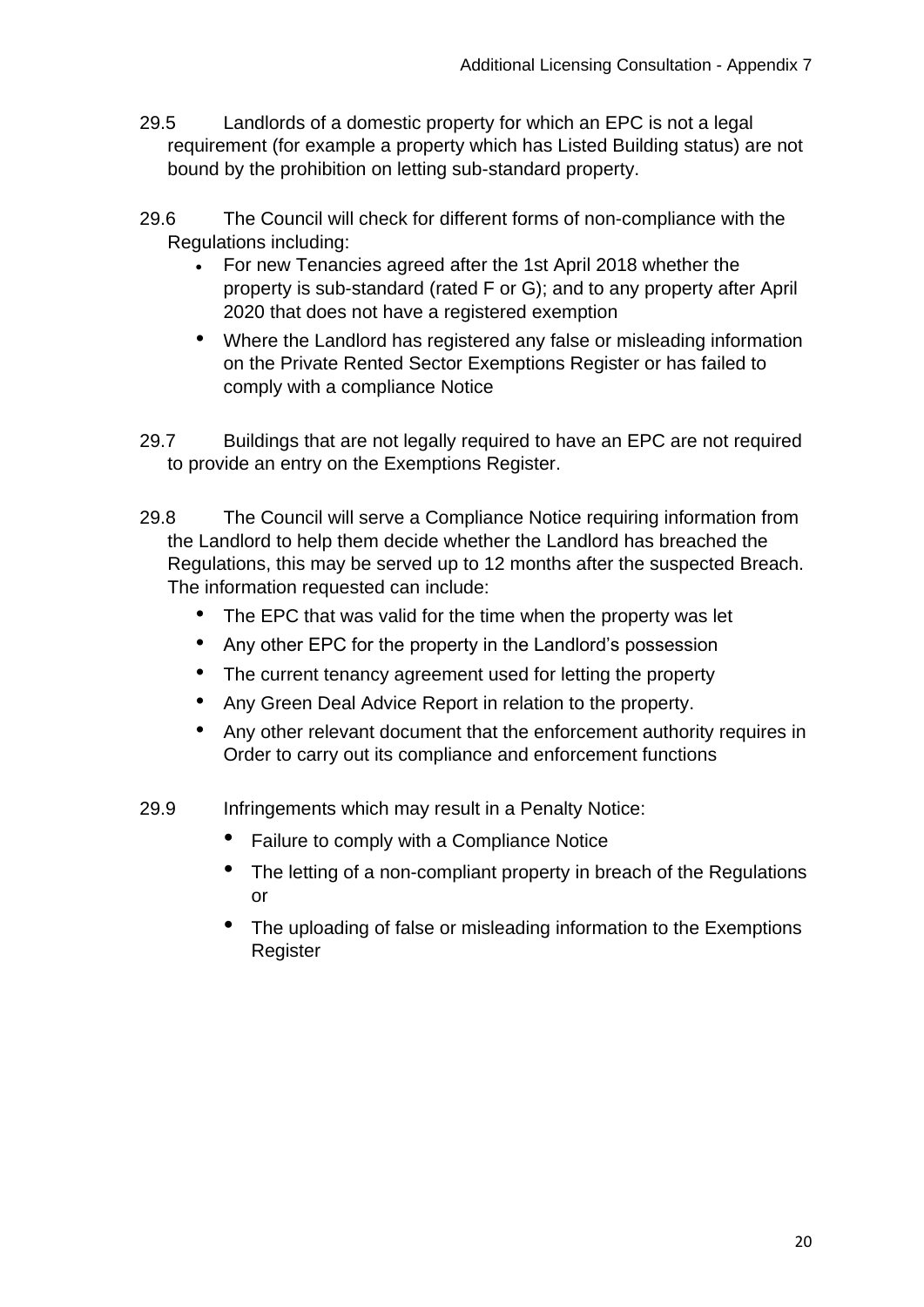- 29.5 Landlords of a domestic property for which an EPC is not a legal requirement (for example a property which has Listed Building status) are not bound by the prohibition on letting sub-standard property.
- 29.6 The Council will check for different forms of non-compliance with the Regulations including:
	- For new Tenancies agreed after the 1st April 2018 whether the property is sub-standard (rated F or G); and to any property after April 2020 that does not have a registered exemption
	- Where the Landlord has registered any false or misleading information on the Private Rented Sector Exemptions Register or has failed to comply with a compliance Notice
- 29.7 Buildings that are not legally required to have an EPC are not required to provide an entry on the Exemptions Register.
- 29.8 The Council will serve a Compliance Notice requiring information from the Landlord to help them decide whether the Landlord has breached the Regulations, this may be served up to 12 months after the suspected Breach. The information requested can include:
	- The EPC that was valid for the time when the property was let
	- Any other EPC for the property in the Landlord's possession
	- The current tenancy agreement used for letting the property
	- Any Green Deal Advice Report in relation to the property.
	- Any other relevant document that the enforcement authority requires in Order to carry out its compliance and enforcement functions
- 29.9 Infringements which may result in a Penalty Notice:
	- Failure to comply with a Compliance Notice
	- The letting of a non-compliant property in breach of the Regulations or
	- The uploading of false or misleading information to the Exemptions **Register**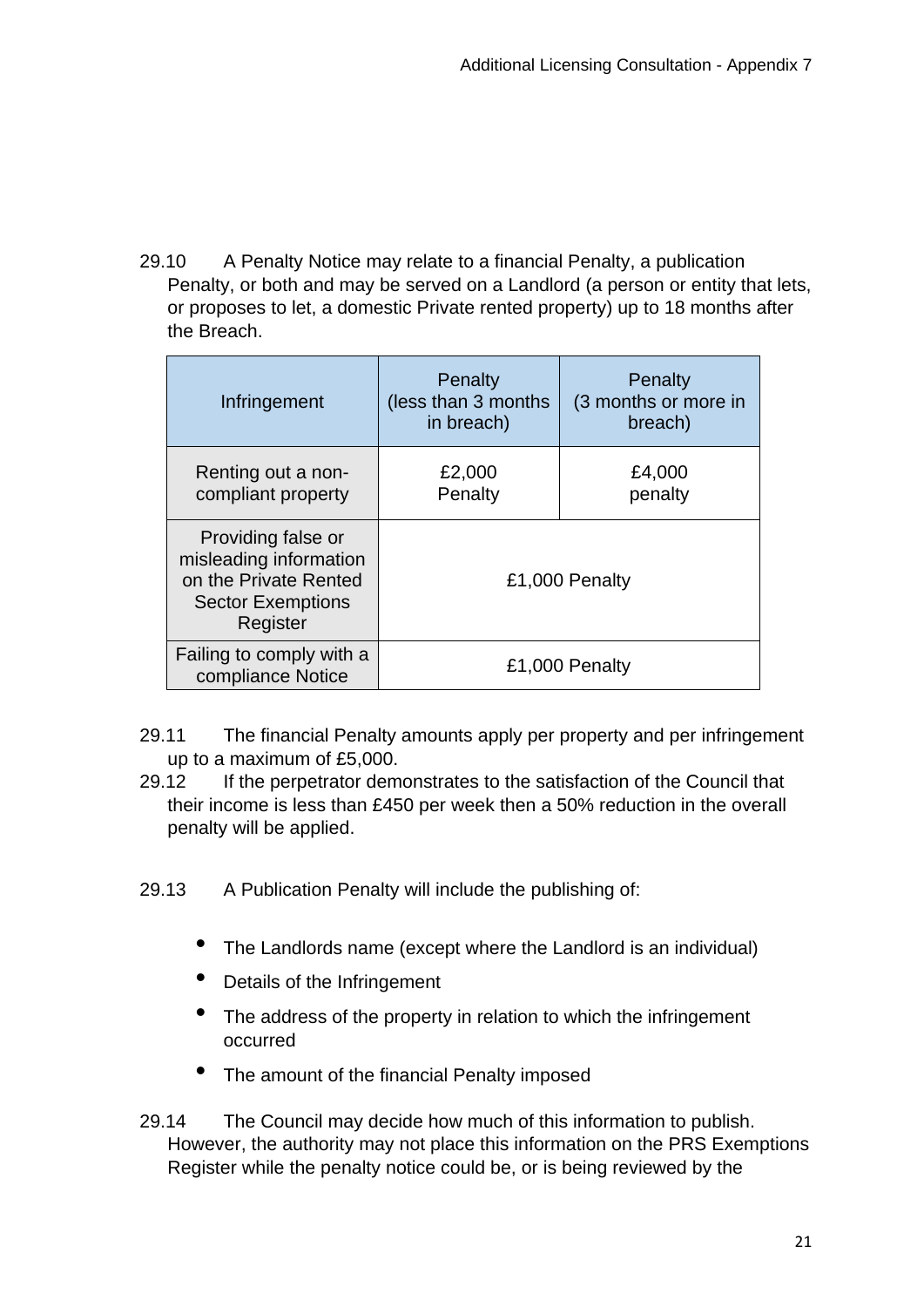29.10 A Penalty Notice may relate to a financial Penalty, a publication Penalty, or both and may be served on a Landlord (a person or entity that lets, or proposes to let, a domestic Private rented property) up to 18 months after the Breach.

| Infringement                                                                                                  | Penalty<br>(less than 3 months<br>in breach) | Penalty<br>(3 months or more in<br>breach) |
|---------------------------------------------------------------------------------------------------------------|----------------------------------------------|--------------------------------------------|
| Renting out a non-<br>compliant property                                                                      | £2,000<br>Penalty                            | £4,000<br>penalty                          |
| Providing false or<br>misleading information<br>on the Private Rented<br><b>Sector Exemptions</b><br>Register | £1,000 Penalty                               |                                            |
| Failing to comply with a<br>compliance Notice                                                                 | £1,000 Penalty                               |                                            |

- 29.11 The financial Penalty amounts apply per property and per infringement up to a maximum of £5,000.
- 29.12 If the perpetrator demonstrates to the satisfaction of the Council that their income is less than £450 per week then a 50% reduction in the overall penalty will be applied.
- 29.13 A Publication Penalty will include the publishing of:
	- The Landlords name (except where the Landlord is an individual)
	- Details of the Infringement
	- The address of the property in relation to which the infringement occurred
	- The amount of the financial Penalty imposed

29.14 The Council may decide how much of this information to publish. However, the authority may not place this information on the PRS Exemptions Register while the penalty notice could be, or is being reviewed by the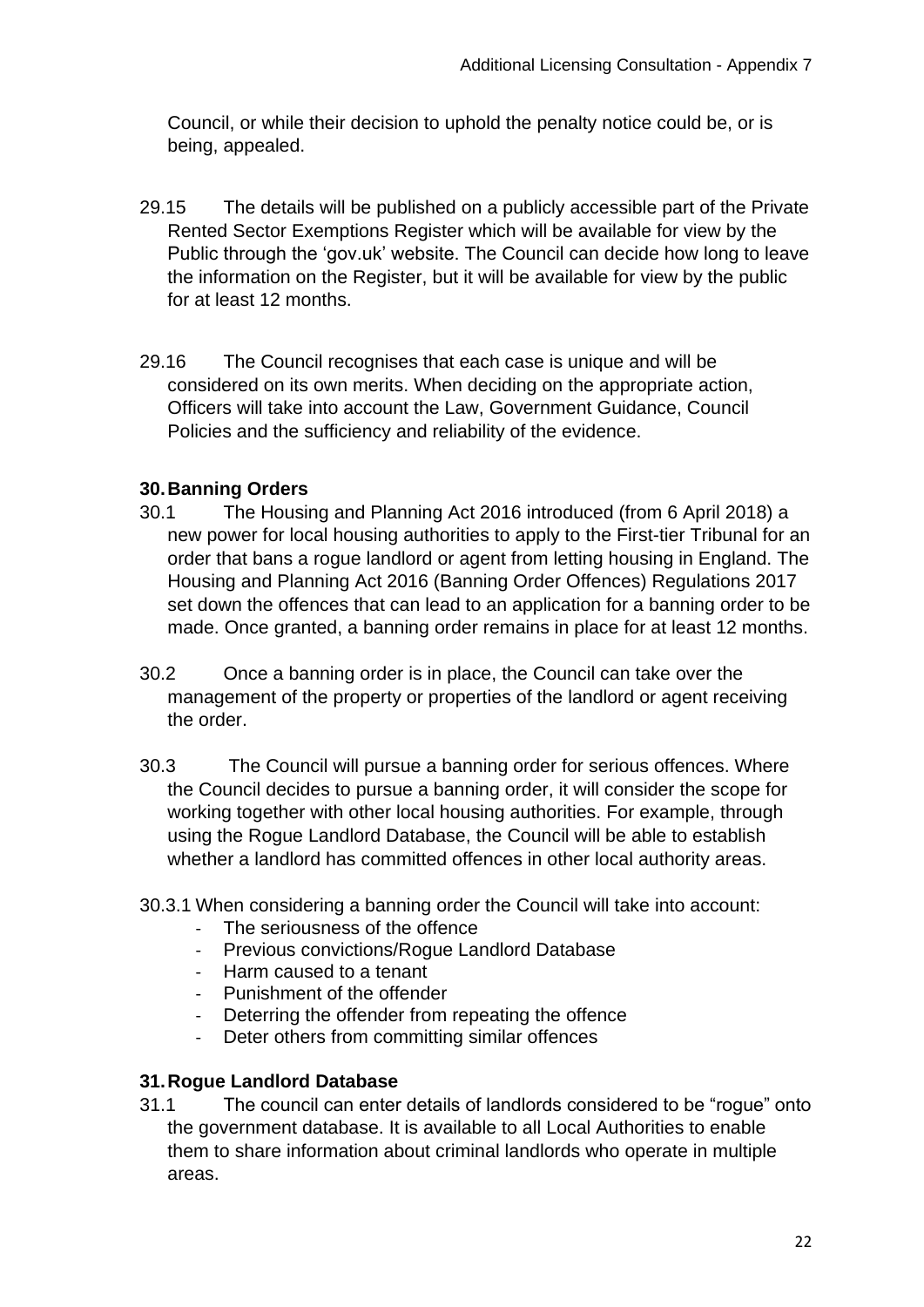Council, or while their decision to uphold the penalty notice could be, or is being, appealed.

- 29.15 The details will be published on a publicly accessible part of the Private Rented Sector Exemptions Register which will be available for view by the Public through the 'gov.uk' website. The Council can decide how long to leave the information on the Register, but it will be available for view by the public for at least 12 months.
- 29.16 The Council recognises that each case is unique and will be considered on its own merits. When deciding on the appropriate action, Officers will take into account the Law, Government Guidance, Council Policies and the sufficiency and reliability of the evidence.

#### **30.Banning Orders**

- 30.1 The Housing and Planning Act 2016 introduced (from 6 April 2018) a new power for local housing authorities to apply to the First-tier Tribunal for an order that bans a rogue landlord or agent from letting housing in England. The Housing and Planning Act 2016 (Banning Order Offences) Regulations 2017 set down the offences that can lead to an application for a banning order to be made. Once granted, a banning order remains in place for at least 12 months.
- 30.2 Once a banning order is in place, the Council can take over the management of the property or properties of the landlord or agent receiving the order.
- 30.3 The Council will pursue a banning order for serious offences. Where the Council decides to pursue a banning order, it will consider the scope for working together with other local housing authorities. For example, through using the Rogue Landlord Database, the Council will be able to establish whether a landlord has committed offences in other local authority areas.
- 30.3.1 When considering a banning order the Council will take into account:
	- The seriousness of the offence
	- Previous convictions/Roque Landlord Database
	- Harm caused to a tenant
	- Punishment of the offender
	- Deterring the offender from repeating the offence
	- Deter others from committing similar offences

#### **31.Rogue Landlord Database**

31.1 The council can enter details of landlords considered to be "rogue" onto the government database. It is available to all Local Authorities to enable them to share information about criminal landlords who operate in multiple areas.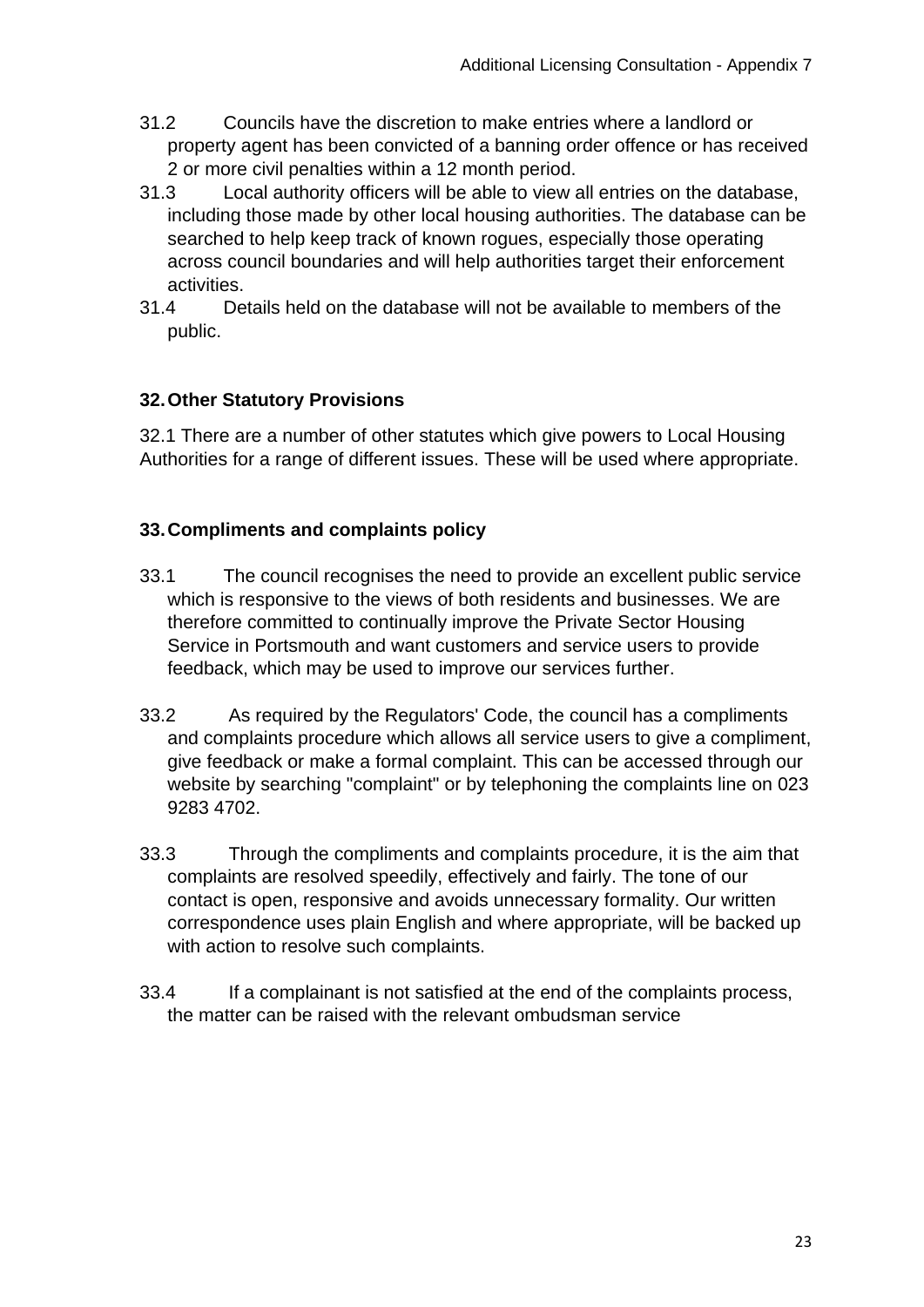- 31.2 Councils have the discretion to make entries where a landlord or property agent has been convicted of a banning order offence or has received 2 or more civil penalties within a 12 month period.
- 31.3 Local authority officers will be able to view all entries on the database, including those made by other local housing authorities. The database can be searched to help keep track of known rogues, especially those operating across council boundaries and will help authorities target their enforcement activities.
- 31.4 Details held on the database will not be available to members of the public.

# **32.Other Statutory Provisions**

32.1 There are a number of other statutes which give powers to Local Housing Authorities for a range of different issues. These will be used where appropriate.

# **33.Compliments and complaints policy**

- 33.1 The council recognises the need to provide an excellent public service which is responsive to the views of both residents and businesses. We are therefore committed to continually improve the Private Sector Housing Service in Portsmouth and want customers and service users to provide feedback, which may be used to improve our services further.
- 33.2 As required by the Regulators' Code, the council has a compliments and complaints procedure which allows all service users to give a compliment, give feedback or make a formal complaint. This can be accessed through our website by searching "complaint" or by telephoning the complaints line on 023 9283 4702.
- 33.3 Through the compliments and complaints procedure, it is the aim that complaints are resolved speedily, effectively and fairly. The tone of our contact is open, responsive and avoids unnecessary formality. Our written correspondence uses plain English and where appropriate, will be backed up with action to resolve such complaints.
- 33.4 If a complainant is not satisfied at the end of the complaints process, the matter can be raised with the relevant ombudsman service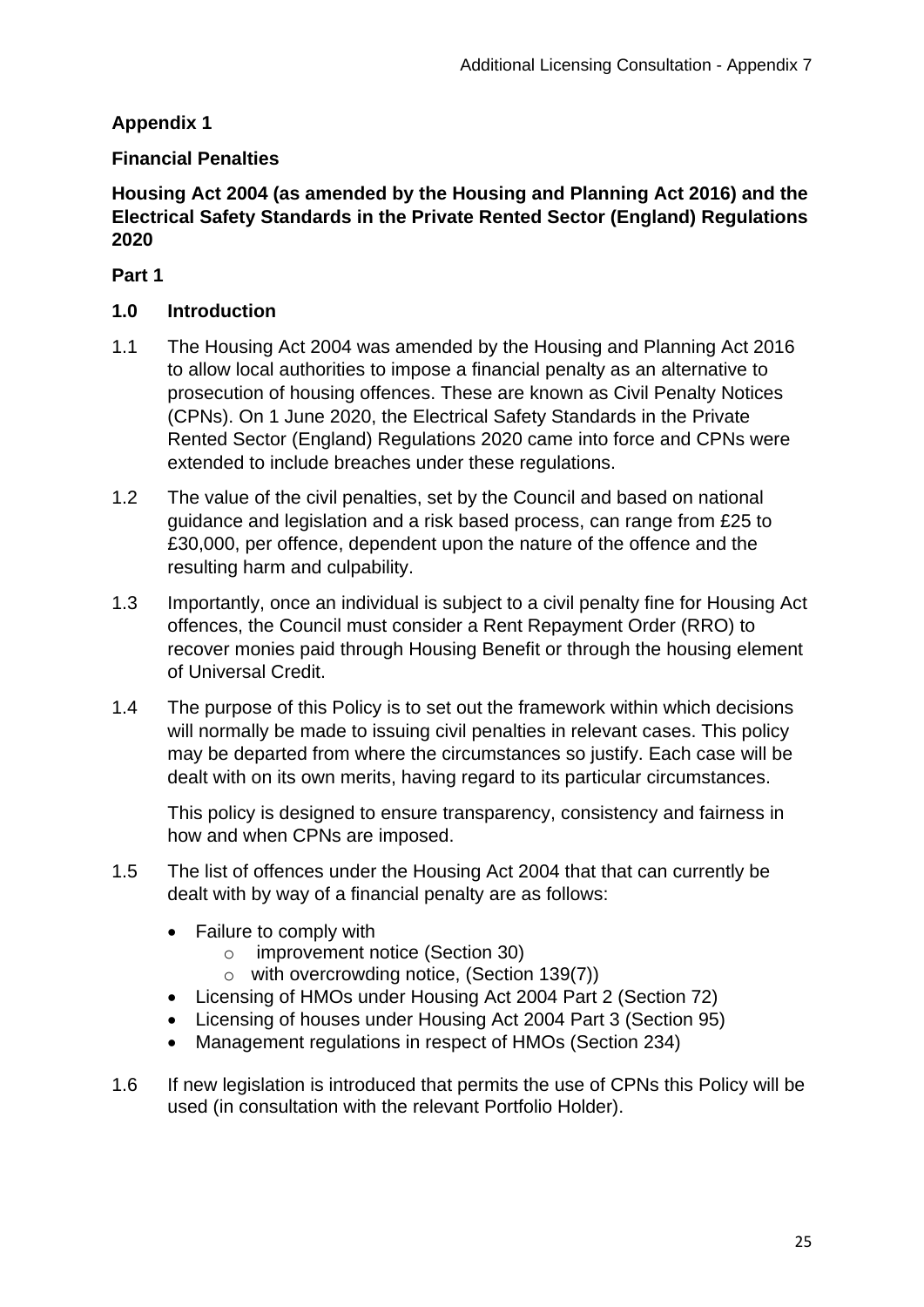# **Appendix 1**

## **Financial Penalties**

## **Housing Act 2004 (as amended by the Housing and Planning Act 2016) and the Electrical Safety Standards in the Private Rented Sector (England) Regulations 2020**

## **Part 1**

## **1.0 Introduction**

- 1.1 The Housing Act 2004 was amended by the Housing and Planning Act 2016 to allow local authorities to impose a financial penalty as an alternative to prosecution of housing offences. These are known as Civil Penalty Notices (CPNs). On 1 June 2020, the Electrical Safety Standards in the Private Rented Sector (England) Regulations 2020 came into force and CPNs were extended to include breaches under these regulations.
- 1.2 The value of the civil penalties, set by the Council and based on national guidance and legislation and a risk based process, can range from £25 to £30,000, per offence, dependent upon the nature of the offence and the resulting harm and culpability.
- 1.3 Importantly, once an individual is subject to a civil penalty fine for Housing Act offences, the Council must consider a Rent Repayment Order (RRO) to recover monies paid through Housing Benefit or through the housing element of Universal Credit.
- 1.4 The purpose of this Policy is to set out the framework within which decisions will normally be made to issuing civil penalties in relevant cases. This policy may be departed from where the circumstances so justify. Each case will be dealt with on its own merits, having regard to its particular circumstances.

This policy is designed to ensure transparency, consistency and fairness in how and when CPNs are imposed.

- 1.5 The list of offences under the Housing Act 2004 that that can currently be dealt with by way of a financial penalty are as follows:
	- Failure to comply with
		- o improvement notice (Section 30)
		- o with overcrowding notice, (Section 139(7))
	- Licensing of HMOs under Housing Act 2004 Part 2 (Section 72)
	- Licensing of houses under Housing Act 2004 Part 3 (Section 95)
	- Management regulations in respect of HMOs (Section 234)
- 1.6 If new legislation is introduced that permits the use of CPNs this Policy will be used (in consultation with the relevant Portfolio Holder).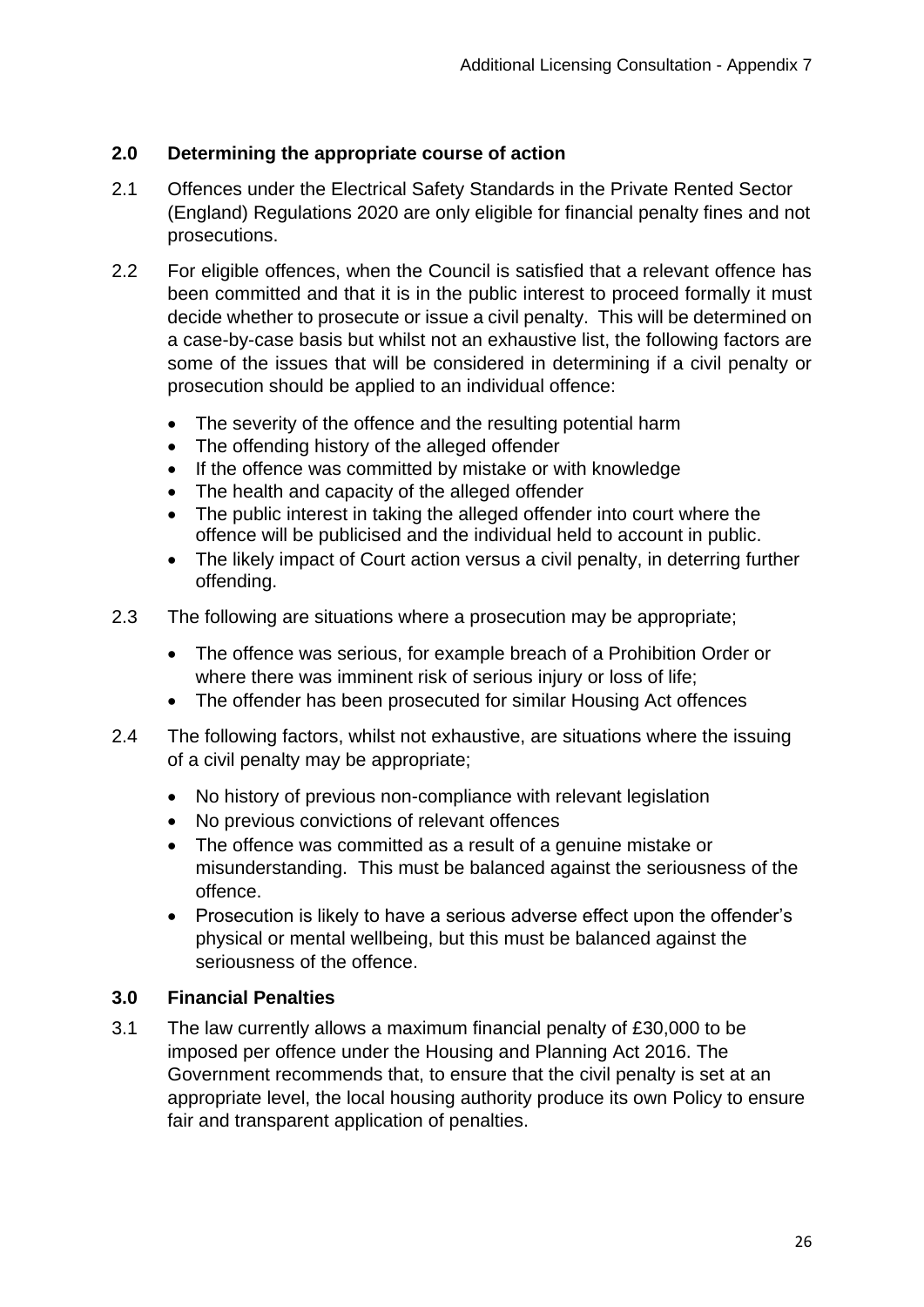# **2.0 Determining the appropriate course of action**

- 2.1 Offences under the Electrical Safety Standards in the Private Rented Sector (England) Regulations 2020 are only eligible for financial penalty fines and not prosecutions.
- 2.2 For eligible offences, when the Council is satisfied that a relevant offence has been committed and that it is in the public interest to proceed formally it must decide whether to prosecute or issue a civil penalty. This will be determined on a case-by-case basis but whilst not an exhaustive list, the following factors are some of the issues that will be considered in determining if a civil penalty or prosecution should be applied to an individual offence:
	- The severity of the offence and the resulting potential harm
	- The offending history of the alleged offender
	- If the offence was committed by mistake or with knowledge
	- The health and capacity of the alleged offender
	- The public interest in taking the alleged offender into court where the offence will be publicised and the individual held to account in public.
	- The likely impact of Court action versus a civil penalty, in deterring further offending.
- 2.3 The following are situations where a prosecution may be appropriate;
	- The offence was serious, for example breach of a Prohibition Order or where there was imminent risk of serious injury or loss of life;
	- The offender has been prosecuted for similar Housing Act offences
- 2.4 The following factors, whilst not exhaustive, are situations where the issuing of a civil penalty may be appropriate;
	- No history of previous non-compliance with relevant legislation
	- No previous convictions of relevant offences
	- The offence was committed as a result of a genuine mistake or misunderstanding. This must be balanced against the seriousness of the offence.
	- Prosecution is likely to have a serious adverse effect upon the offender's physical or mental wellbeing, but this must be balanced against the seriousness of the offence.

# **3.0 Financial Penalties**

3.1 The law currently allows a maximum financial penalty of £30,000 to be imposed per offence under the Housing and Planning Act 2016. The Government recommends that, to ensure that the civil penalty is set at an appropriate level, the local housing authority produce its own Policy to ensure fair and transparent application of penalties.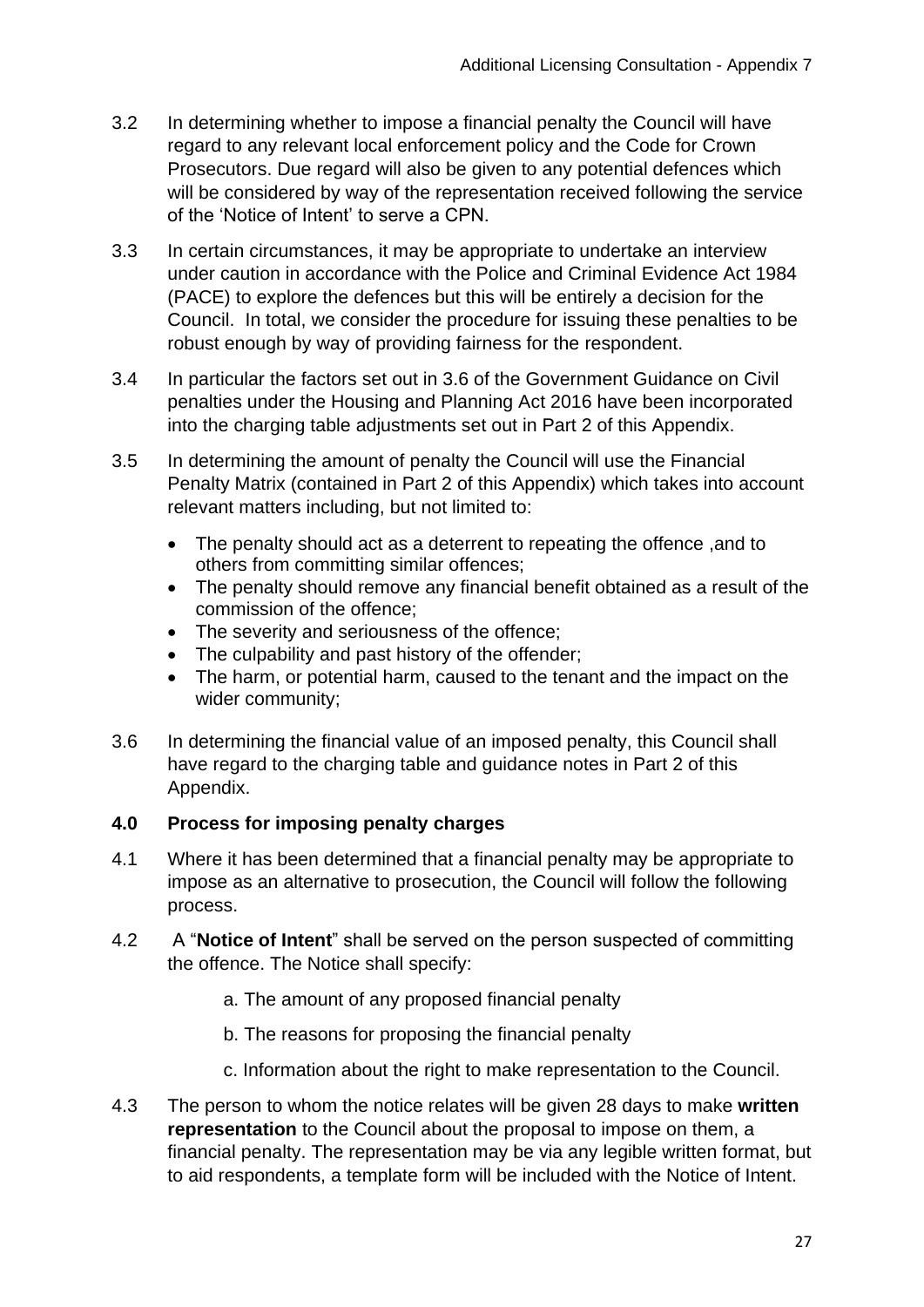- 3.2 In determining whether to impose a financial penalty the Council will have regard to any relevant local enforcement policy and the Code for Crown Prosecutors. Due regard will also be given to any potential defences which will be considered by way of the representation received following the service of the 'Notice of Intent' to serve a CPN.
- 3.3 In certain circumstances, it may be appropriate to undertake an interview under caution in accordance with the Police and Criminal Evidence Act 1984 (PACE) to explore the defences but this will be entirely a decision for the Council. In total, we consider the procedure for issuing these penalties to be robust enough by way of providing fairness for the respondent.
- 3.4 In particular the factors set out in 3.6 of the Government Guidance on Civil penalties under the Housing and Planning Act 2016 have been incorporated into the charging table adjustments set out in Part 2 of this Appendix.
- 3.5 In determining the amount of penalty the Council will use the Financial Penalty Matrix (contained in Part 2 of this Appendix) which takes into account relevant matters including, but not limited to:
	- The penalty should act as a deterrent to repeating the offence ,and to others from committing similar offences;
	- The penalty should remove any financial benefit obtained as a result of the commission of the offence;
	- The severity and seriousness of the offence;
	- The culpability and past history of the offender;
	- The harm, or potential harm, caused to the tenant and the impact on the wider community;
- 3.6 In determining the financial value of an imposed penalty, this Council shall have regard to the charging table and guidance notes in Part 2 of this Appendix.

# **4.0 Process for imposing penalty charges**

- 4.1 Where it has been determined that a financial penalty may be appropriate to impose as an alternative to prosecution, the Council will follow the following process.
- 4.2 A "**Notice of Intent**" shall be served on the person suspected of committing the offence. The Notice shall specify:
	- a. The amount of any proposed financial penalty
	- b. The reasons for proposing the financial penalty
	- c. Information about the right to make representation to the Council.
- 4.3 The person to whom the notice relates will be given 28 days to make **written representation** to the Council about the proposal to impose on them, a financial penalty. The representation may be via any legible written format, but to aid respondents, a template form will be included with the Notice of Intent.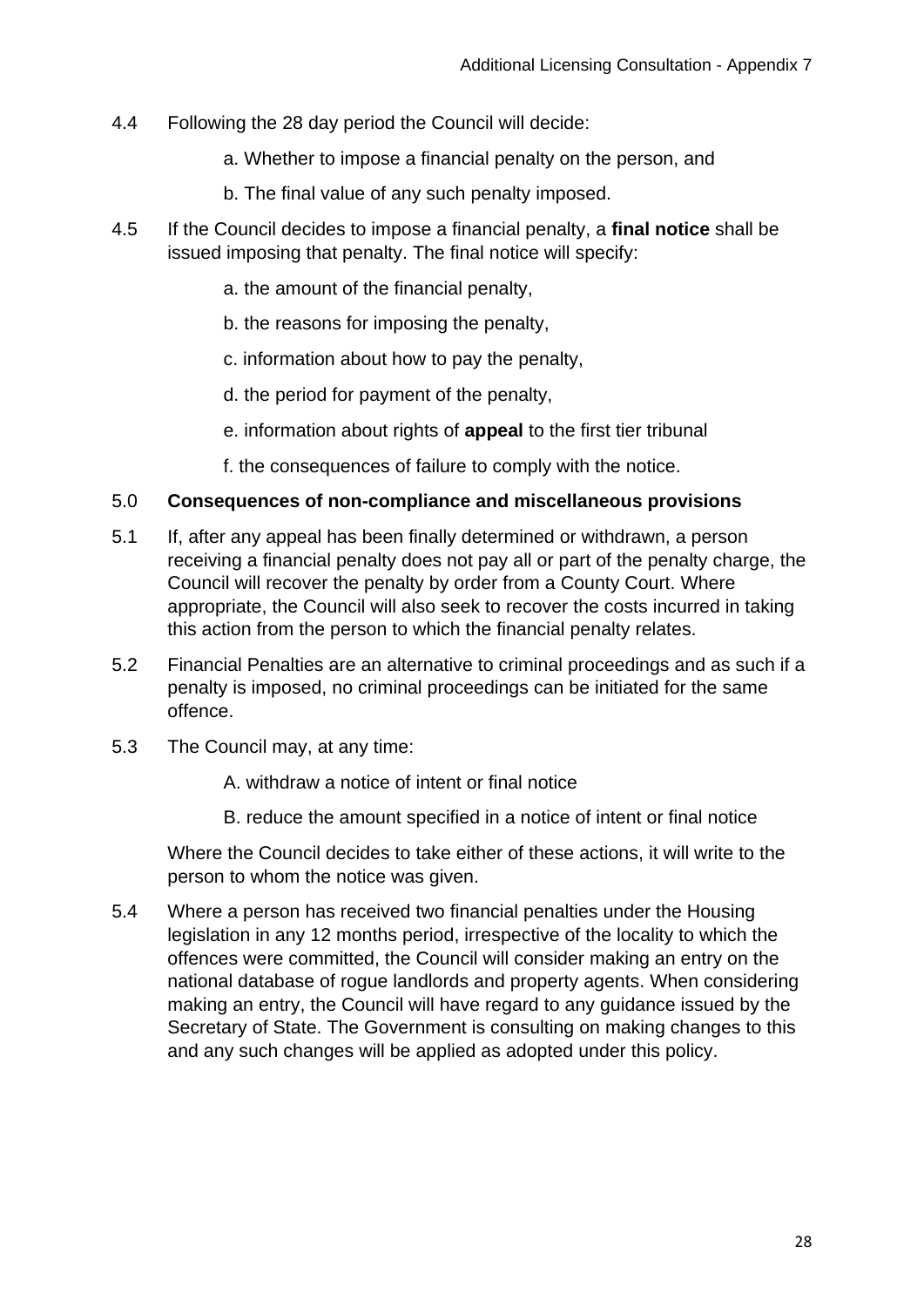- 4.4 Following the 28 day period the Council will decide:
	- a. Whether to impose a financial penalty on the person, and
	- b. The final value of any such penalty imposed.
- 4.5 If the Council decides to impose a financial penalty, a **final notice** shall be issued imposing that penalty. The final notice will specify:
	- a. the amount of the financial penalty,
	- b. the reasons for imposing the penalty,
	- c. information about how to pay the penalty,
	- d. the period for payment of the penalty,
	- e. information about rights of **appeal** to the first tier tribunal
	- f. the consequences of failure to comply with the notice.

#### 5.0 **Consequences of non-compliance and miscellaneous provisions**

- 5.1 If, after any appeal has been finally determined or withdrawn, a person receiving a financial penalty does not pay all or part of the penalty charge, the Council will recover the penalty by order from a County Court. Where appropriate, the Council will also seek to recover the costs incurred in taking this action from the person to which the financial penalty relates.
- 5.2 Financial Penalties are an alternative to criminal proceedings and as such if a penalty is imposed, no criminal proceedings can be initiated for the same offence.
- 5.3 The Council may, at any time:
	- A. withdraw a notice of intent or final notice
	- B. reduce the amount specified in a notice of intent or final notice

Where the Council decides to take either of these actions, it will write to the person to whom the notice was given.

5.4 Where a person has received two financial penalties under the Housing legislation in any 12 months period, irrespective of the locality to which the offences were committed, the Council will consider making an entry on the national database of rogue landlords and property agents. When considering making an entry, the Council will have regard to any guidance issued by the Secretary of State. The Government is consulting on making changes to this and any such changes will be applied as adopted under this policy.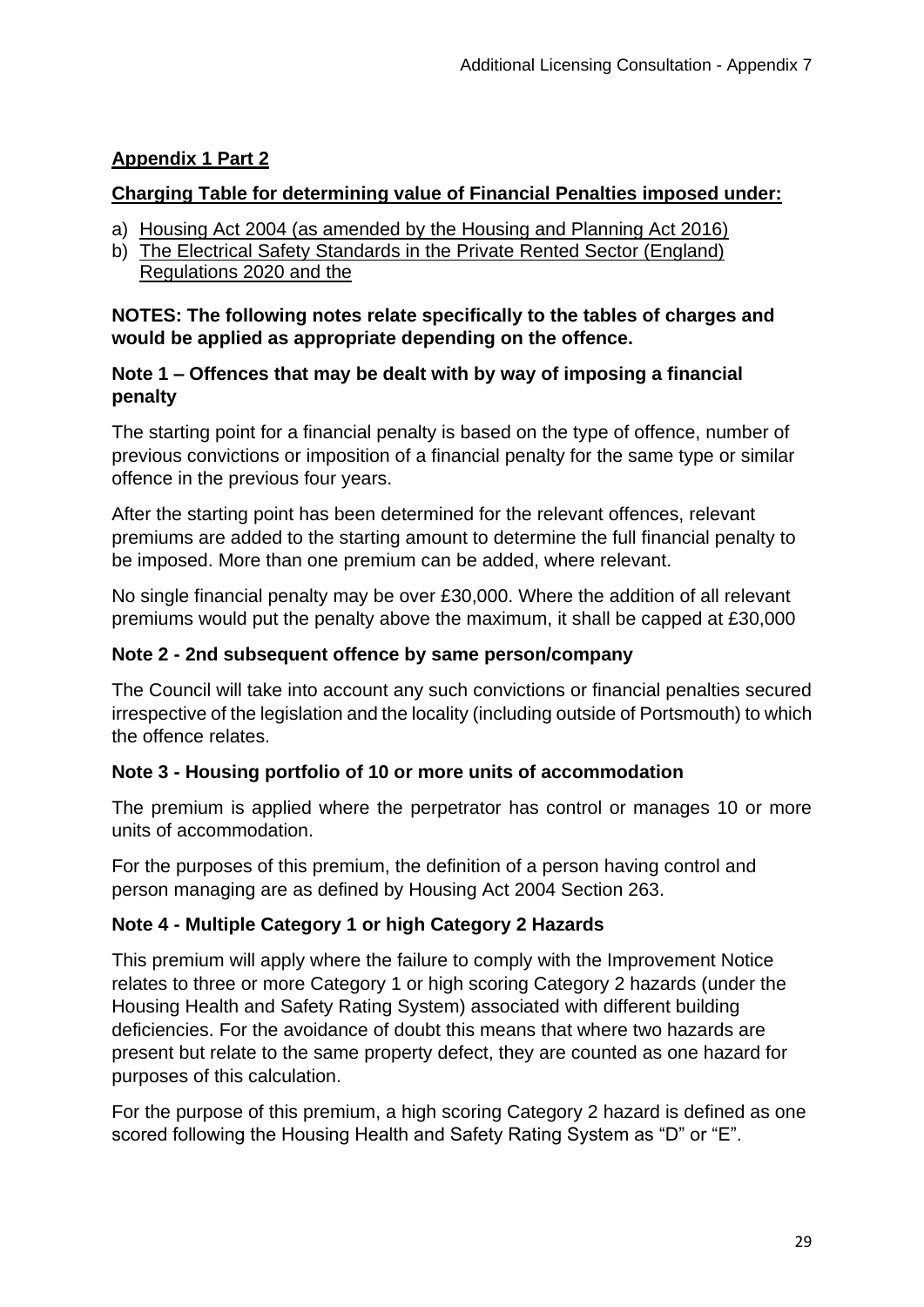# **Appendix 1 Part 2**

## **Charging Table for determining value of Financial Penalties imposed under:**

- a) Housing Act 2004 (as amended by the Housing and Planning Act 2016)
- b) The Electrical Safety Standards in the Private Rented Sector (England) Regulations 2020 and the

#### **NOTES: The following notes relate specifically to the tables of charges and would be applied as appropriate depending on the offence.**

## **Note 1 – Offences that may be dealt with by way of imposing a financial penalty**

The starting point for a financial penalty is based on the type of offence, number of previous convictions or imposition of a financial penalty for the same type or similar offence in the previous four years.

After the starting point has been determined for the relevant offences, relevant premiums are added to the starting amount to determine the full financial penalty to be imposed. More than one premium can be added, where relevant.

No single financial penalty may be over £30,000. Where the addition of all relevant premiums would put the penalty above the maximum, it shall be capped at £30,000

#### **Note 2 - 2nd subsequent offence by same person/company**

The Council will take into account any such convictions or financial penalties secured irrespective of the legislation and the locality (including outside of Portsmouth) to which the offence relates.

## **Note 3 - Housing portfolio of 10 or more units of accommodation**

The premium is applied where the perpetrator has control or manages 10 or more units of accommodation.

For the purposes of this premium, the definition of a person having control and person managing are as defined by Housing Act 2004 Section 263.

## **Note 4 - Multiple Category 1 or high Category 2 Hazards**

This premium will apply where the failure to comply with the Improvement Notice relates to three or more Category 1 or high scoring Category 2 hazards (under the Housing Health and Safety Rating System) associated with different building deficiencies. For the avoidance of doubt this means that where two hazards are present but relate to the same property defect, they are counted as one hazard for purposes of this calculation.

For the purpose of this premium, a high scoring Category 2 hazard is defined as one scored following the Housing Health and Safety Rating System as "D" or "E".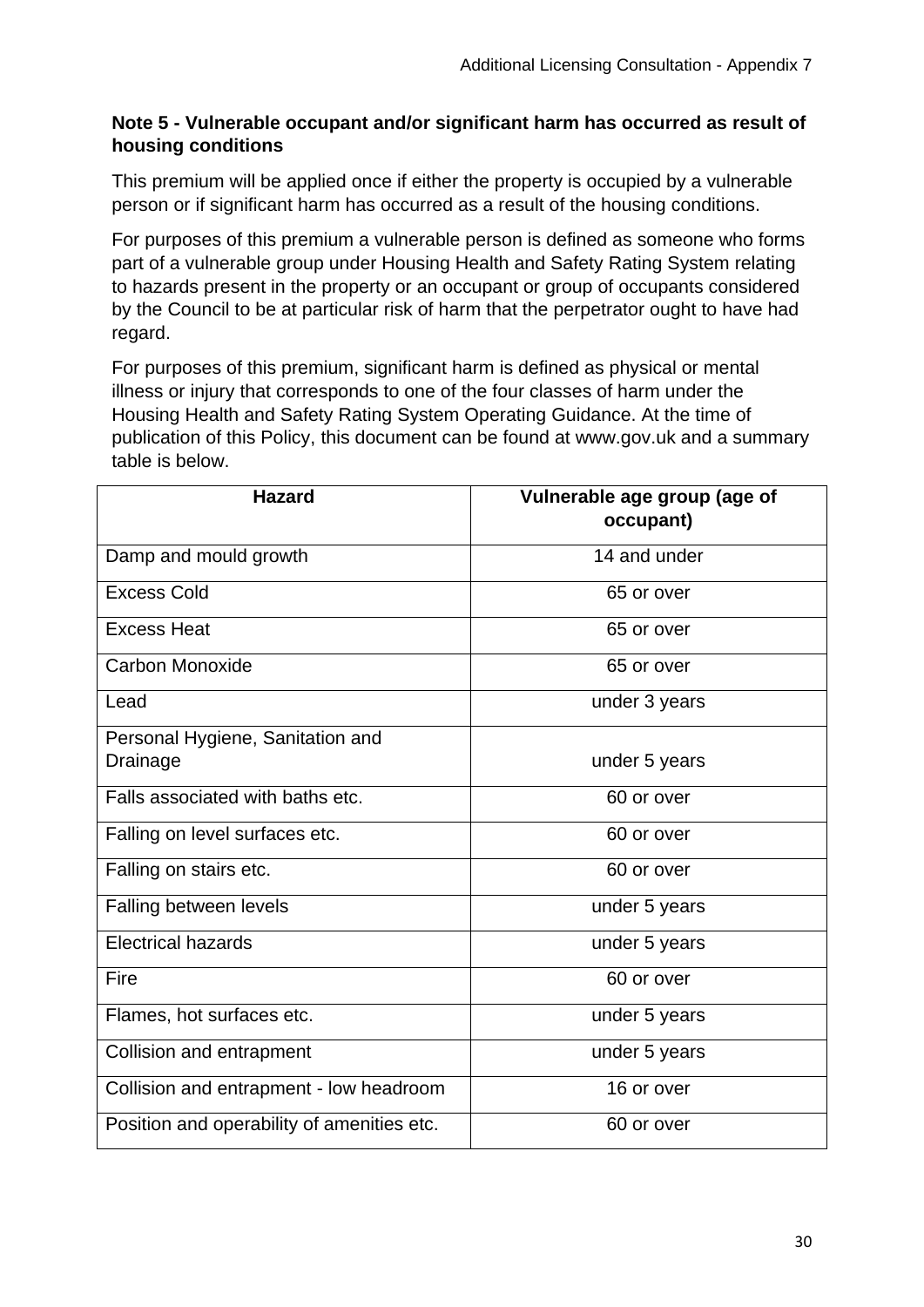#### **Note 5 - Vulnerable occupant and/or significant harm has occurred as result of housing conditions**

This premium will be applied once if either the property is occupied by a vulnerable person or if significant harm has occurred as a result of the housing conditions.

For purposes of this premium a vulnerable person is defined as someone who forms part of a vulnerable group under Housing Health and Safety Rating System relating to hazards present in the property or an occupant or group of occupants considered by the Council to be at particular risk of harm that the perpetrator ought to have had regard.

For purposes of this premium, significant harm is defined as physical or mental illness or injury that corresponds to one of the four classes of harm under the Housing Health and Safety Rating System Operating Guidance. At the time of publication of this Policy, this document can be found at www.gov.uk and a summary table is below.

| <b>Hazard</b>                              | Vulnerable age group (age of<br>occupant) |
|--------------------------------------------|-------------------------------------------|
| Damp and mould growth                      | 14 and under                              |
| <b>Excess Cold</b>                         | 65 or over                                |
| <b>Excess Heat</b>                         | 65 or over                                |
| Carbon Monoxide                            | 65 or over                                |
| Lead                                       | under 3 years                             |
| Personal Hygiene, Sanitation and           |                                           |
| Drainage                                   | under 5 years                             |
| Falls associated with baths etc.           | 60 or over                                |
| Falling on level surfaces etc.             | 60 or over                                |
| Falling on stairs etc.                     | 60 or over                                |
| Falling between levels                     | under 5 years                             |
| <b>Electrical hazards</b>                  | under 5 years                             |
| Fire                                       | 60 or over                                |
| Flames, hot surfaces etc.                  | under 5 years                             |
| Collision and entrapment                   | under 5 years                             |
| Collision and entrapment - low headroom    | 16 or over                                |
| Position and operability of amenities etc. | 60 or over                                |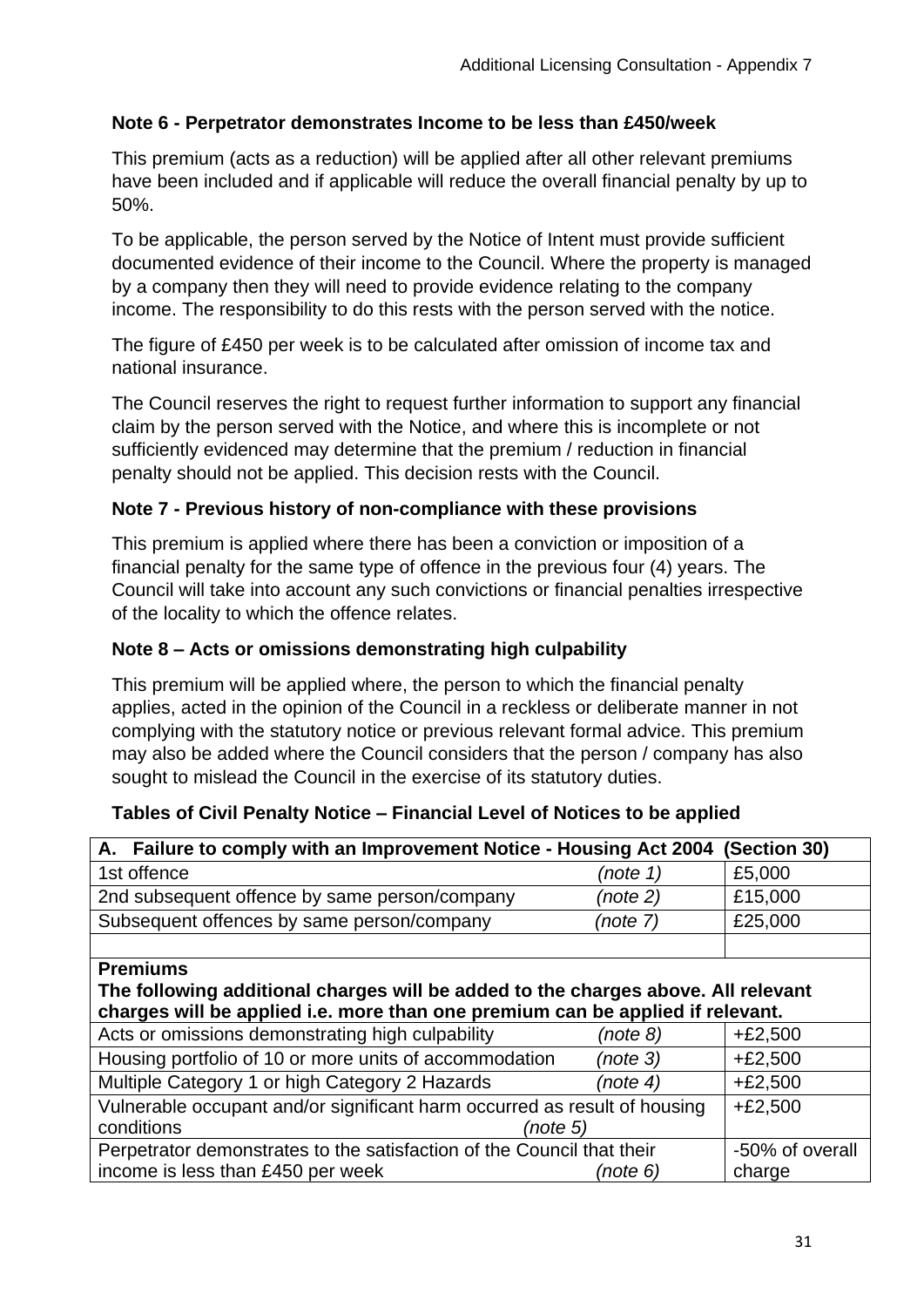## **Note 6 - Perpetrator demonstrates Income to be less than £450/week**

This premium (acts as a reduction) will be applied after all other relevant premiums have been included and if applicable will reduce the overall financial penalty by up to 50%.

To be applicable, the person served by the Notice of Intent must provide sufficient documented evidence of their income to the Council. Where the property is managed by a company then they will need to provide evidence relating to the company income. The responsibility to do this rests with the person served with the notice.

The figure of £450 per week is to be calculated after omission of income tax and national insurance.

The Council reserves the right to request further information to support any financial claim by the person served with the Notice, and where this is incomplete or not sufficiently evidenced may determine that the premium / reduction in financial penalty should not be applied. This decision rests with the Council.

## **Note 7 - Previous history of non-compliance with these provisions**

This premium is applied where there has been a conviction or imposition of a financial penalty for the same type of offence in the previous four (4) years. The Council will take into account any such convictions or financial penalties irrespective of the locality to which the offence relates.

#### **Note 8 – Acts or omissions demonstrating high culpability**

This premium will be applied where, the person to which the financial penalty applies, acted in the opinion of the Council in a reckless or deliberate manner in not complying with the statutory notice or previous relevant formal advice. This premium may also be added where the Council considers that the person / company has also sought to mislead the Council in the exercise of its statutory duties.

| A. Failure to comply with an Improvement Notice - Housing Act 2004                | (Section 30) |                 |
|-----------------------------------------------------------------------------------|--------------|-----------------|
| 1st offence                                                                       | (note 1)     | £5,000          |
| 2nd subsequent offence by same person/company                                     | (note 2)     | £15,000         |
| Subsequent offences by same person/company                                        | (note 7)     | £25,000         |
|                                                                                   |              |                 |
| <b>Premiums</b>                                                                   |              |                 |
| The following additional charges will be added to the charges above. All relevant |              |                 |
| charges will be applied i.e. more than one premium can be applied if relevant.    |              |                 |
| Acts or omissions demonstrating high culpability                                  | (note 8)     | $+£2,500$       |
| Housing portfolio of 10 or more units of accommodation                            | (note 3)     | $+£2,500$       |
| Multiple Category 1 or high Category 2 Hazards                                    | (note 4)     | $+£2,500$       |
| Vulnerable occupant and/or significant harm occurred as result of housing         | $+£2,500$    |                 |
| conditions<br>(note 5)                                                            |              |                 |
| Perpetrator demonstrates to the satisfaction of the Council that their            |              | -50% of overall |
| income is less than £450 per week                                                 | (note 6)     | charge          |

#### **Tables of Civil Penalty Notice – Financial Level of Notices to be applied**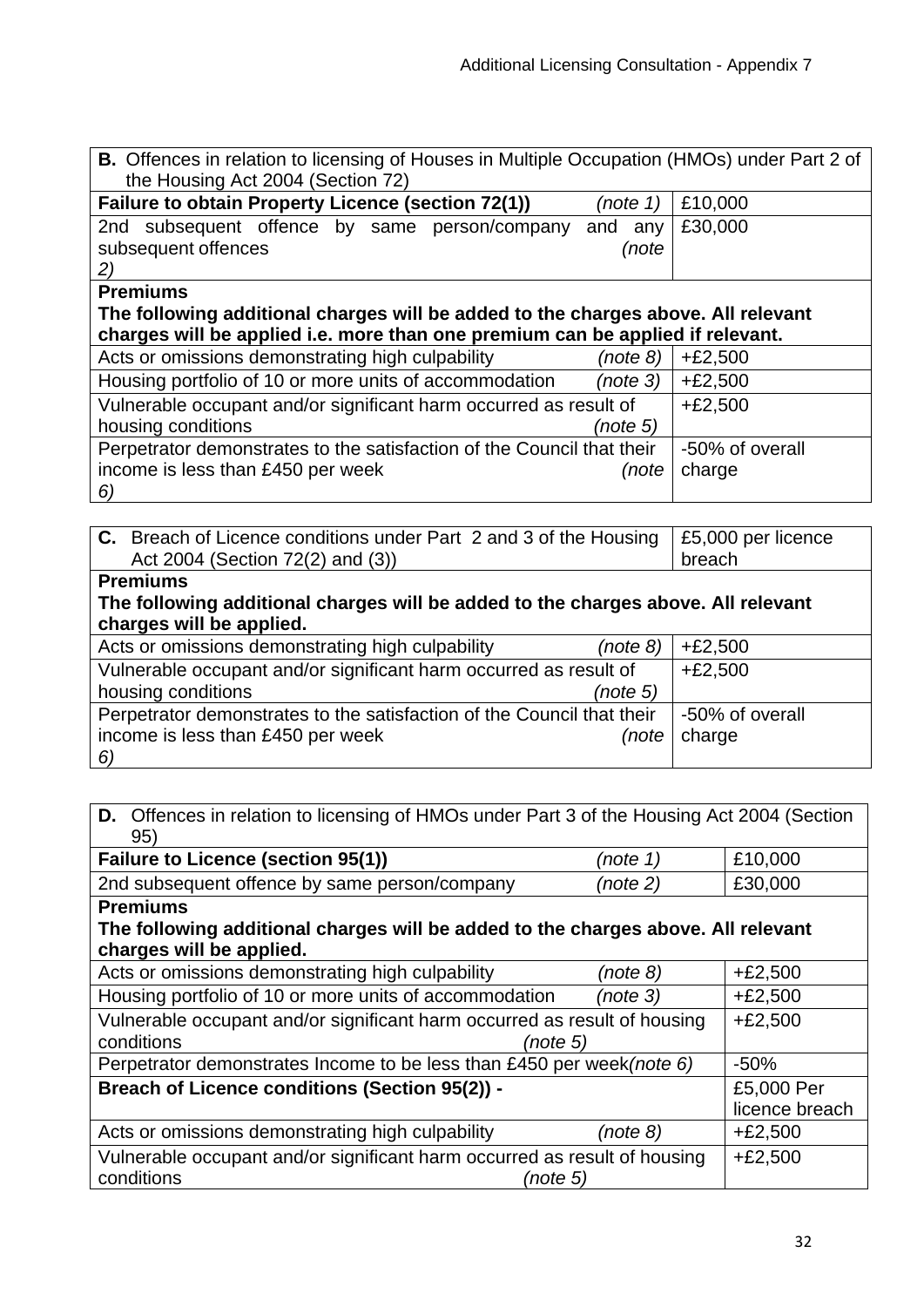| <b>B.</b> Offences in relation to licensing of Houses in Multiple Occupation (HMOs) under Part 2 of<br>the Housing Act 2004 (Section 72) |            |                 |  |  |
|------------------------------------------------------------------------------------------------------------------------------------------|------------|-----------------|--|--|
| <b>Failure to obtain Property Licence (section 72(1))</b>                                                                                | (note 1)   | £10,000         |  |  |
| 2nd subsequent offence by same person/company                                                                                            | and<br>any | £30,000         |  |  |
| subsequent offences                                                                                                                      | (note      |                 |  |  |
| 2)                                                                                                                                       |            |                 |  |  |
| <b>Premiums</b>                                                                                                                          |            |                 |  |  |
| The following additional charges will be added to the charges above. All relevant                                                        |            |                 |  |  |
| charges will be applied i.e. more than one premium can be applied if relevant.                                                           |            |                 |  |  |
| Acts or omissions demonstrating high culpability                                                                                         | (note 8)   | $+£2,500$       |  |  |
| Housing portfolio of 10 or more units of accommodation                                                                                   | (note 3)   | $+£2,500$       |  |  |
| Vulnerable occupant and/or significant harm occurred as result of                                                                        |            | $+£2,500$       |  |  |
| housing conditions                                                                                                                       | (note 5)   |                 |  |  |
| Perpetrator demonstrates to the satisfaction of the Council that their                                                                   |            | -50% of overall |  |  |
| income is less than £450 per week                                                                                                        | (note      | charge          |  |  |
| 6)                                                                                                                                       |            |                 |  |  |
|                                                                                                                                          |            |                 |  |  |

| C. Breach of Licence conditions under Part 2 and 3 of the Housing<br>Act 2004 (Section 72(2) and (3)) | £5,000 per licence<br>breach |
|-------------------------------------------------------------------------------------------------------|------------------------------|
| <b>Premiums</b>                                                                                       |                              |
| The following additional charges will be added to the charges above. All relevant                     |                              |
| charges will be applied.                                                                              |                              |
| Acts or omissions demonstrating high culpability<br>(note 8)                                          | $+£2,500$                    |
| Vulnerable occupant and/or significant harm occurred as result of                                     | $+£2,500$                    |
| housing conditions<br>(note 5)                                                                        |                              |
| Perpetrator demonstrates to the satisfaction of the Council that their                                | -50% of overall              |
| income is less than £450 per week<br>(note                                                            | charge                       |
| 6)                                                                                                    |                              |

# **D.** Offences in relation to licensing of HMOs under Part 3 of the Housing Act 2004 (Section 95)

| Failure to Licence (section 95(1))                                                | (note 1)  | £10,000        |
|-----------------------------------------------------------------------------------|-----------|----------------|
| 2nd subsequent offence by same person/company                                     | (note 2)  | £30,000        |
| <b>Premiums</b>                                                                   |           |                |
| The following additional charges will be added to the charges above. All relevant |           |                |
| charges will be applied.                                                          |           |                |
| Acts or omissions demonstrating high culpability                                  | (note 8)  | $+£2,500$      |
| Housing portfolio of 10 or more units of accommodation                            | (note 3)  | $+£2,500$      |
| Vulnerable occupant and/or significant harm occurred as result of housing         | $+£2,500$ |                |
| conditions<br>(note 5)                                                            |           |                |
| Perpetrator demonstrates Income to be less than £450 per week (note 6)            | $-50%$    |                |
| Breach of Licence conditions (Section 95(2)) -                                    |           | £5,000 Per     |
|                                                                                   |           | licence breach |
| Acts or omissions demonstrating high culpability                                  | (note 8)  | $+£2,500$      |
| Vulnerable occupant and/or significant harm occurred as result of housing         | $+£2,500$ |                |
| conditions<br>(note 5)                                                            |           |                |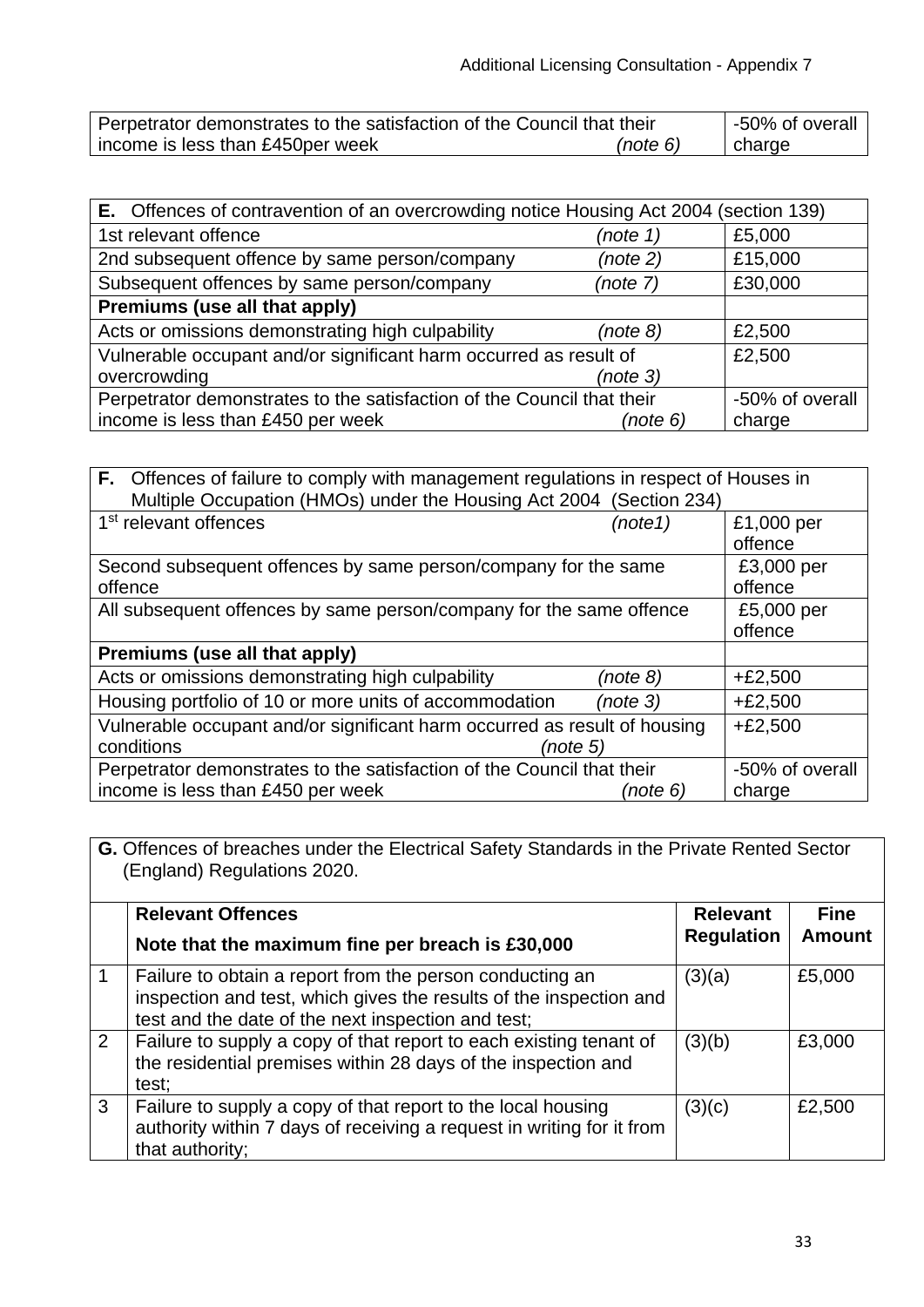| Perpetrator demonstrates to the satisfaction of the Council that their |  | -50% of overall |        |
|------------------------------------------------------------------------|--|-----------------|--------|
| income is less than £450 per week                                      |  | (note 6)        | charge |

| <b>E.</b> Offences of contravention of an overcrowding notice Housing Act 2004 (section 139) |                 |         |  |
|----------------------------------------------------------------------------------------------|-----------------|---------|--|
| 1st relevant offence                                                                         | (note 1)        | £5,000  |  |
| 2nd subsequent offence by same person/company                                                | (note 2)        | £15,000 |  |
| Subsequent offences by same person/company<br>(note 7)                                       |                 | £30,000 |  |
| Premiums (use all that apply)                                                                |                 |         |  |
| Acts or omissions demonstrating high culpability                                             | (note 8)        | £2,500  |  |
| Vulnerable occupant and/or significant harm occurred as result of                            | £2,500          |         |  |
| overcrowding                                                                                 | (note 3)        |         |  |
| Perpetrator demonstrates to the satisfaction of the Council that their                       | -50% of overall |         |  |
| income is less than £450 per week                                                            | (note 6)        | charge  |  |

| <b>F.</b> Offences of failure to comply with management regulations in respect of Houses in<br>Multiple Occupation (HMOs) under the Housing Act 2004 (Section 234) |                 |            |  |
|--------------------------------------------------------------------------------------------------------------------------------------------------------------------|-----------------|------------|--|
| 1 <sup>st</sup> relevant offences                                                                                                                                  | (note 1)        | £1,000 per |  |
|                                                                                                                                                                    |                 | offence    |  |
| Second subsequent offences by same person/company for the same                                                                                                     | £3,000 per      |            |  |
| offence                                                                                                                                                            | offence         |            |  |
| All subsequent offences by same person/company for the same offence                                                                                                | £5,000 per      |            |  |
|                                                                                                                                                                    |                 | offence    |  |
| Premiums (use all that apply)                                                                                                                                      |                 |            |  |
| Acts or omissions demonstrating high culpability                                                                                                                   | (note 8)        | $+£2,500$  |  |
| Housing portfolio of 10 or more units of accommodation                                                                                                             | (note 3)        | $+£2,500$  |  |
| Vulnerable occupant and/or significant harm occurred as result of housing                                                                                          |                 | $+£2,500$  |  |
| conditions<br>(note 5)                                                                                                                                             |                 |            |  |
| Perpetrator demonstrates to the satisfaction of the Council that their                                                                                             | -50% of overall |            |  |
| income is less than £450 per week                                                                                                                                  | (note 6)        | charge     |  |

**G.** Offences of breaches under the Electrical Safety Standards in the Private Rented Sector (England) Regulations 2020.

|             | <b>Relevant Offences</b><br>Note that the maximum fine per breach is £30,000                                                                                                         | <b>Relevant</b><br><b>Regulation</b> | <b>Fine</b><br><b>Amount</b> |
|-------------|--------------------------------------------------------------------------------------------------------------------------------------------------------------------------------------|--------------------------------------|------------------------------|
|             | Failure to obtain a report from the person conducting an<br>inspection and test, which gives the results of the inspection and<br>test and the date of the next inspection and test; | (3)(a)                               | £5,000                       |
| $2^{\circ}$ | Failure to supply a copy of that report to each existing tenant of<br>the residential premises within 28 days of the inspection and<br>test;                                         | (3)(b)                               | £3,000                       |
| 3           | Failure to supply a copy of that report to the local housing<br>authority within 7 days of receiving a request in writing for it from<br>that authority;                             | (3)(c)                               | £2,500                       |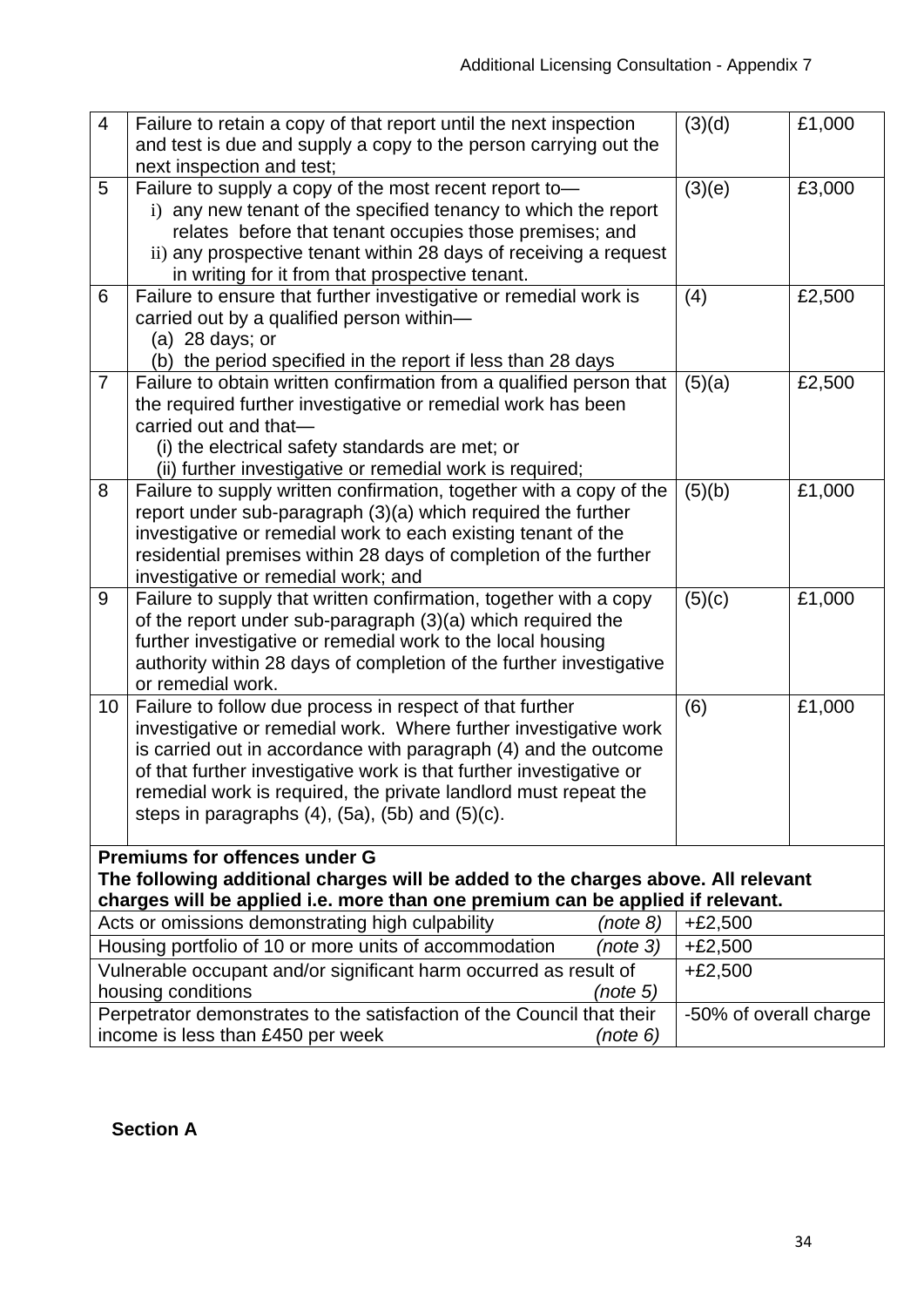| $\overline{4}$                                                                 | Failure to retain a copy of that report until the next inspection                                                            | (3)(d)                 | £1,000 |  |  |
|--------------------------------------------------------------------------------|------------------------------------------------------------------------------------------------------------------------------|------------------------|--------|--|--|
|                                                                                | and test is due and supply a copy to the person carrying out the                                                             |                        |        |  |  |
|                                                                                | next inspection and test;                                                                                                    |                        |        |  |  |
| 5                                                                              | Failure to supply a copy of the most recent report to-                                                                       | (3)(e)                 | £3,000 |  |  |
|                                                                                | i) any new tenant of the specified tenancy to which the report                                                               |                        |        |  |  |
|                                                                                | relates before that tenant occupies those premises; and                                                                      |                        |        |  |  |
|                                                                                | ii) any prospective tenant within 28 days of receiving a request                                                             |                        |        |  |  |
|                                                                                | in writing for it from that prospective tenant.                                                                              |                        |        |  |  |
| 6                                                                              | Failure to ensure that further investigative or remedial work is                                                             | (4)                    | £2,500 |  |  |
|                                                                                | carried out by a qualified person within-<br>(a) 28 days; or                                                                 |                        |        |  |  |
|                                                                                | (b) the period specified in the report if less than 28 days                                                                  |                        |        |  |  |
| $\overline{7}$                                                                 | Failure to obtain written confirmation from a qualified person that                                                          | (5)(a)                 | £2,500 |  |  |
|                                                                                | the required further investigative or remedial work has been                                                                 |                        |        |  |  |
|                                                                                | carried out and that-                                                                                                        |                        |        |  |  |
|                                                                                | (i) the electrical safety standards are met; or                                                                              |                        |        |  |  |
|                                                                                | (ii) further investigative or remedial work is required;                                                                     |                        |        |  |  |
| 8                                                                              | Failure to supply written confirmation, together with a copy of the                                                          | (5)(b)                 | £1,000 |  |  |
|                                                                                | report under sub-paragraph (3)(a) which required the further                                                                 |                        |        |  |  |
|                                                                                | investigative or remedial work to each existing tenant of the                                                                |                        |        |  |  |
|                                                                                | residential premises within 28 days of completion of the further                                                             |                        |        |  |  |
|                                                                                | investigative or remedial work; and                                                                                          |                        |        |  |  |
| 9                                                                              | Failure to supply that written confirmation, together with a copy                                                            | (5)(c)                 | £1,000 |  |  |
|                                                                                | of the report under sub-paragraph (3)(a) which required the                                                                  |                        |        |  |  |
|                                                                                | further investigative or remedial work to the local housing                                                                  |                        |        |  |  |
|                                                                                | authority within 28 days of completion of the further investigative                                                          |                        |        |  |  |
|                                                                                | or remedial work.                                                                                                            |                        |        |  |  |
| 10                                                                             | Failure to follow due process in respect of that further<br>investigative or remedial work. Where further investigative work | (6)                    | £1,000 |  |  |
|                                                                                | is carried out in accordance with paragraph (4) and the outcome                                                              |                        |        |  |  |
|                                                                                | of that further investigative work is that further investigative or                                                          |                        |        |  |  |
|                                                                                | remedial work is required, the private landlord must repeat the                                                              |                        |        |  |  |
|                                                                                | steps in paragraphs $(4)$ , $(5a)$ , $(5b)$ and $(5)(c)$ .                                                                   |                        |        |  |  |
|                                                                                |                                                                                                                              |                        |        |  |  |
|                                                                                | <b>Premiums for offences under G</b>                                                                                         |                        |        |  |  |
|                                                                                | The following additional charges will be added to the charges above. All relevant                                            |                        |        |  |  |
| charges will be applied i.e. more than one premium can be applied if relevant. |                                                                                                                              |                        |        |  |  |
|                                                                                | Acts or omissions demonstrating high culpability<br>(note 8)                                                                 | $+£2,500$              |        |  |  |
| Housing portfolio of 10 or more units of accommodation<br>(note 3)             |                                                                                                                              | $+£2,500$              |        |  |  |
| Vulnerable occupant and/or significant harm occurred as result of              |                                                                                                                              | $+£2,500$              |        |  |  |
| housing conditions<br>(note 5)                                                 |                                                                                                                              |                        |        |  |  |
|                                                                                | Perpetrator demonstrates to the satisfaction of the Council that their                                                       | -50% of overall charge |        |  |  |
|                                                                                | income is less than £450 per week<br>(note 6)                                                                                |                        |        |  |  |

**Section A**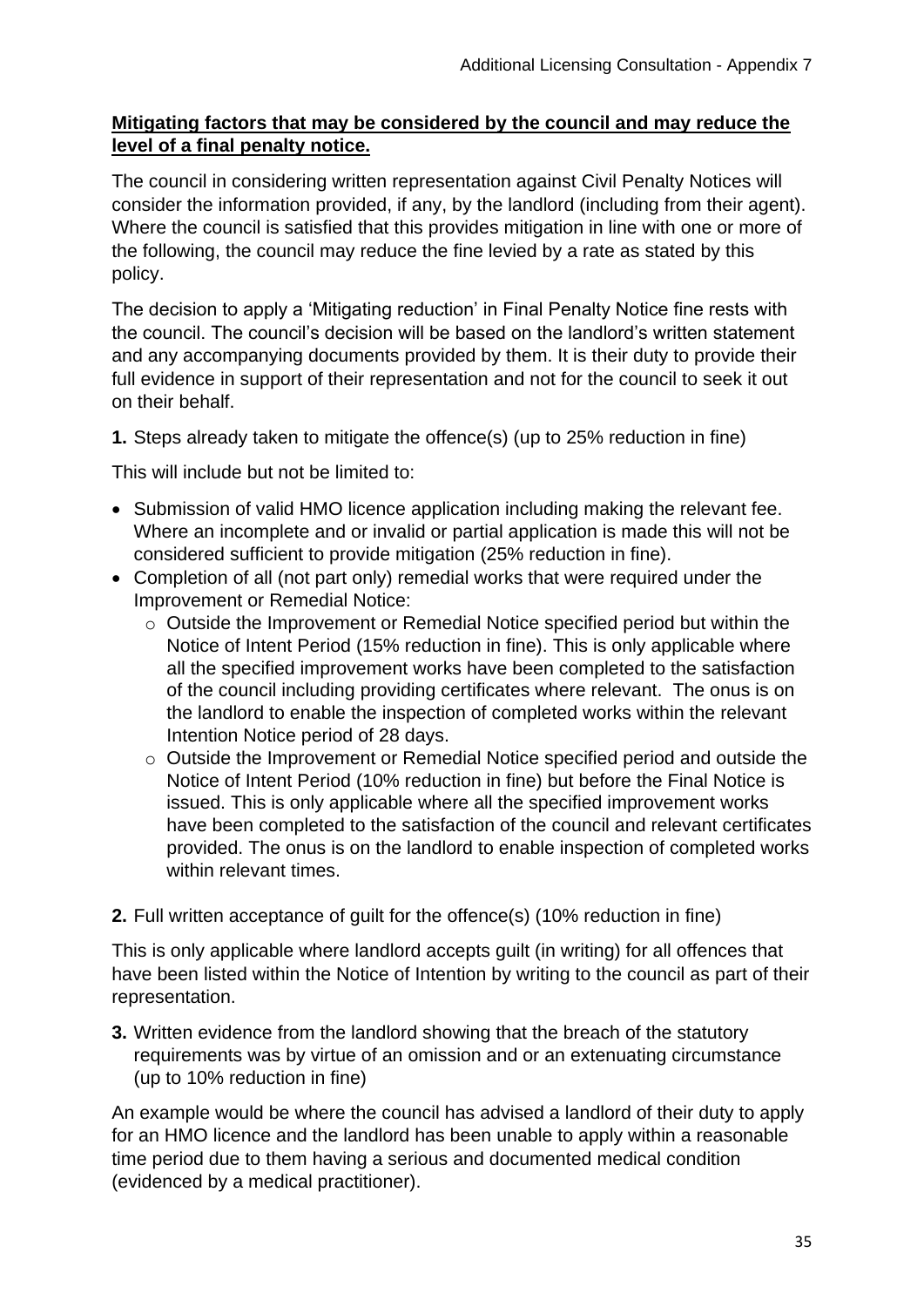## **Mitigating factors that may be considered by the council and may reduce the level of a final penalty notice.**

The council in considering written representation against Civil Penalty Notices will consider the information provided, if any, by the landlord (including from their agent). Where the council is satisfied that this provides mitigation in line with one or more of the following, the council may reduce the fine levied by a rate as stated by this policy.

The decision to apply a 'Mitigating reduction' in Final Penalty Notice fine rests with the council. The council's decision will be based on the landlord's written statement and any accompanying documents provided by them. It is their duty to provide their full evidence in support of their representation and not for the council to seek it out on their behalf.

**1.** Steps already taken to mitigate the offence(s) (up to 25% reduction in fine)

This will include but not be limited to:

- Submission of valid HMO licence application including making the relevant fee. Where an incomplete and or invalid or partial application is made this will not be considered sufficient to provide mitigation (25% reduction in fine).
- Completion of all (not part only) remedial works that were required under the Improvement or Remedial Notice:
	- o Outside the Improvement or Remedial Notice specified period but within the Notice of Intent Period (15% reduction in fine). This is only applicable where all the specified improvement works have been completed to the satisfaction of the council including providing certificates where relevant. The onus is on the landlord to enable the inspection of completed works within the relevant Intention Notice period of 28 days.
	- o Outside the Improvement or Remedial Notice specified period and outside the Notice of Intent Period (10% reduction in fine) but before the Final Notice is issued. This is only applicable where all the specified improvement works have been completed to the satisfaction of the council and relevant certificates provided. The onus is on the landlord to enable inspection of completed works within relevant times.
- **2.** Full written acceptance of guilt for the offence(s) (10% reduction in fine)

This is only applicable where landlord accepts guilt (in writing) for all offences that have been listed within the Notice of Intention by writing to the council as part of their representation.

**3.** Written evidence from the landlord showing that the breach of the statutory requirements was by virtue of an omission and or an extenuating circumstance (up to 10% reduction in fine)

An example would be where the council has advised a landlord of their duty to apply for an HMO licence and the landlord has been unable to apply within a reasonable time period due to them having a serious and documented medical condition (evidenced by a medical practitioner).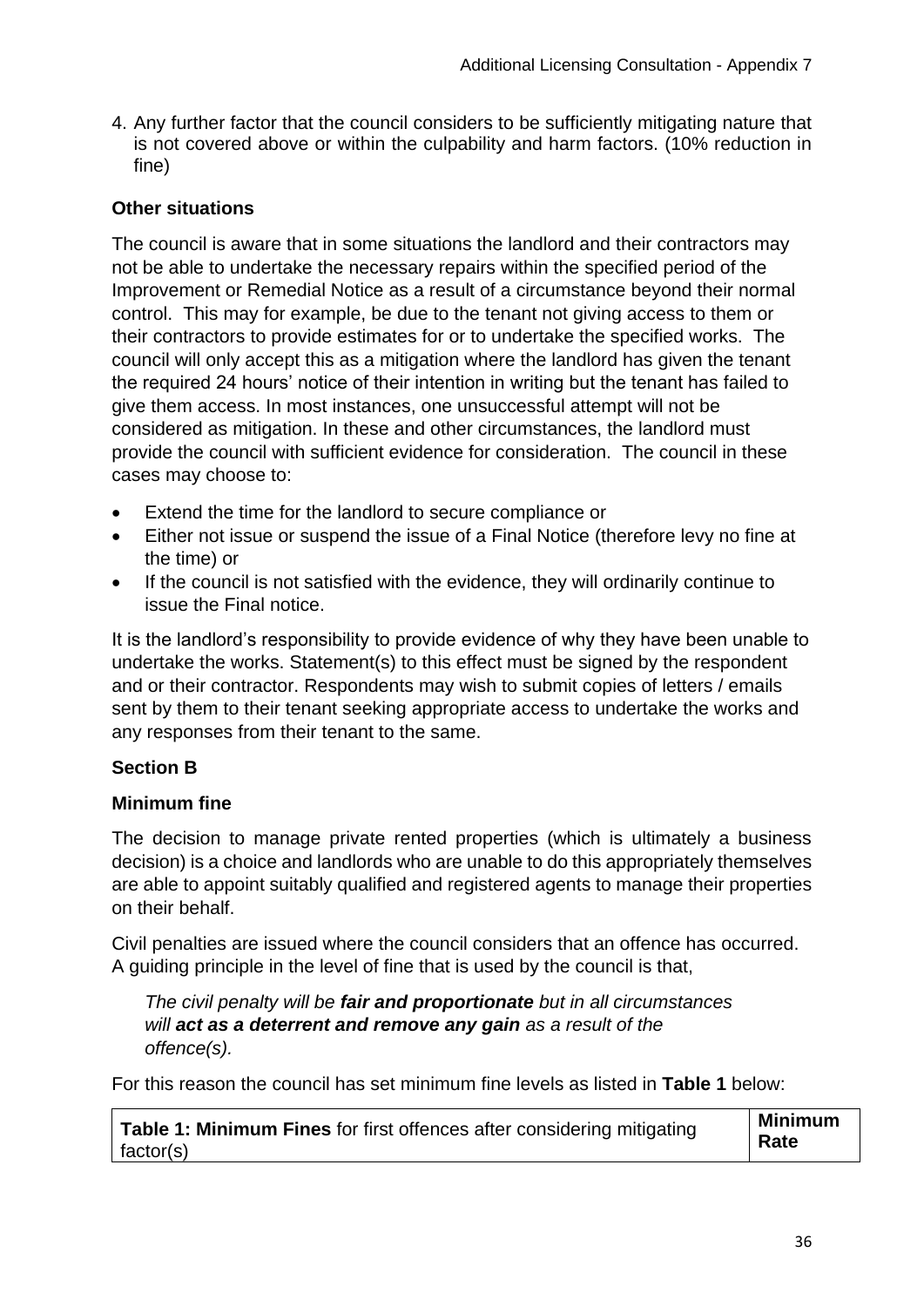4. Any further factor that the council considers to be sufficiently mitigating nature that is not covered above or within the culpability and harm factors. (10% reduction in fine)

## **Other situations**

The council is aware that in some situations the landlord and their contractors may not be able to undertake the necessary repairs within the specified period of the Improvement or Remedial Notice as a result of a circumstance beyond their normal control. This may for example, be due to the tenant not giving access to them or their contractors to provide estimates for or to undertake the specified works. The council will only accept this as a mitigation where the landlord has given the tenant the required 24 hours' notice of their intention in writing but the tenant has failed to give them access. In most instances, one unsuccessful attempt will not be considered as mitigation. In these and other circumstances, the landlord must provide the council with sufficient evidence for consideration. The council in these cases may choose to:

- Extend the time for the landlord to secure compliance or
- Either not issue or suspend the issue of a Final Notice (therefore levy no fine at the time) or
- If the council is not satisfied with the evidence, they will ordinarily continue to issue the Final notice.

It is the landlord's responsibility to provide evidence of why they have been unable to undertake the works. Statement(s) to this effect must be signed by the respondent and or their contractor. Respondents may wish to submit copies of letters / emails sent by them to their tenant seeking appropriate access to undertake the works and any responses from their tenant to the same.

## **Section B**

## **Minimum fine**

The decision to manage private rented properties (which is ultimately a business decision) is a choice and landlords who are unable to do this appropriately themselves are able to appoint suitably qualified and registered agents to manage their properties on their behalf.

Civil penalties are issued where the council considers that an offence has occurred. A guiding principle in the level of fine that is used by the council is that,

*The civil penalty will be fair and proportionate but in all circumstances will act as a deterrent and remove any gain as a result of the offence(s).*

For this reason the council has set minimum fine levels as listed in **Table 1** below:

| Table 1: Minimum Fines for first offences after considering mitigating | <b>Minimum</b> |
|------------------------------------------------------------------------|----------------|
| factor(s)                                                              | Rate           |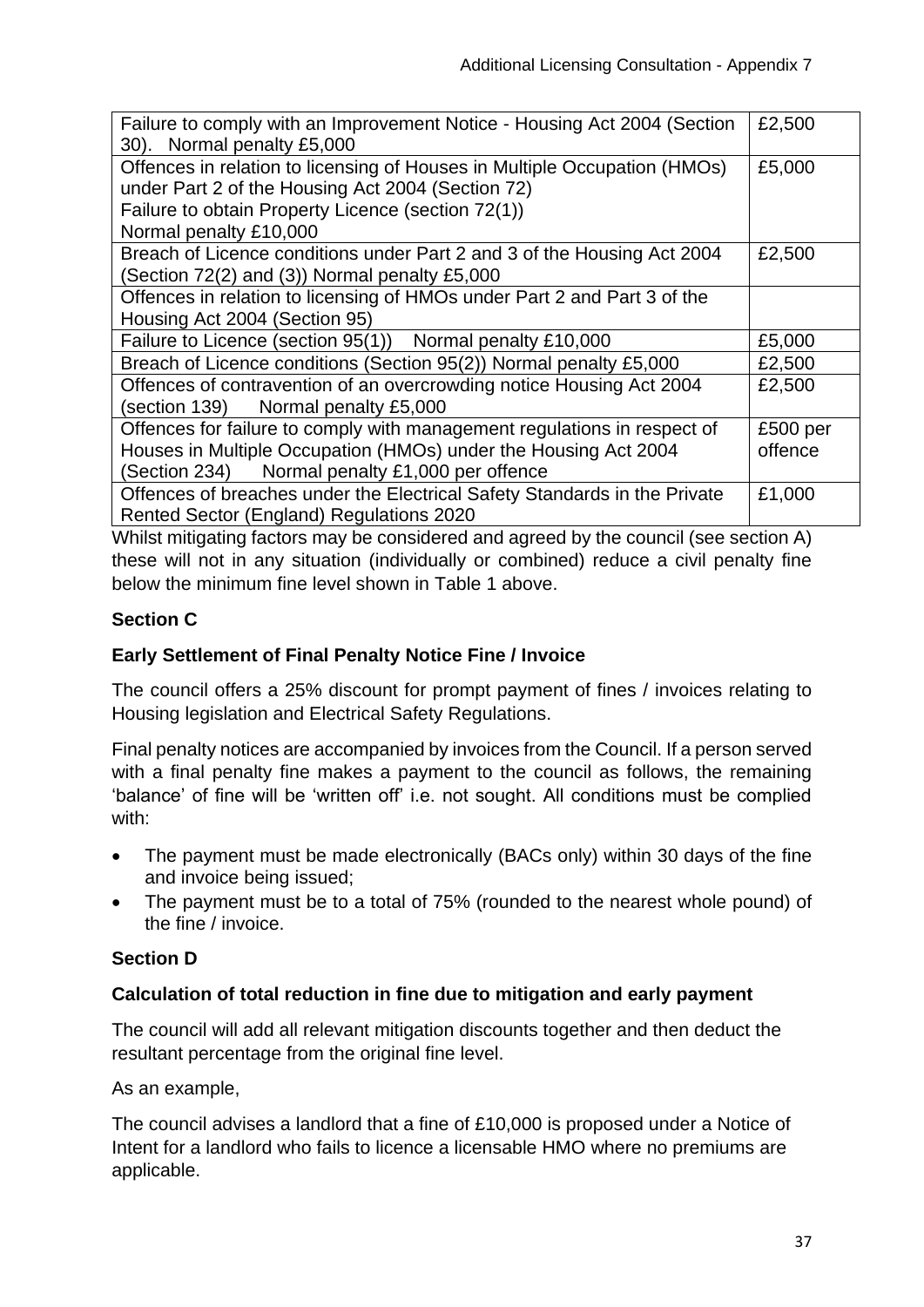| Failure to comply with an Improvement Notice - Housing Act 2004 (Section<br>30). Normal penalty £5,000                         | £2,500   |
|--------------------------------------------------------------------------------------------------------------------------------|----------|
| Offences in relation to licensing of Houses in Multiple Occupation (HMOs)<br>under Part 2 of the Housing Act 2004 (Section 72) | £5,000   |
| Failure to obtain Property Licence (section 72(1))<br>Normal penalty £10,000                                                   |          |
| Breach of Licence conditions under Part 2 and 3 of the Housing Act 2004<br>(Section 72(2) and (3)) Normal penalty £5,000       | £2,500   |
| Offences in relation to licensing of HMOs under Part 2 and Part 3 of the<br>Housing Act 2004 (Section 95)                      |          |
| Failure to Licence (section 95(1)) Normal penalty £10,000                                                                      | £5,000   |
| Breach of Licence conditions (Section 95(2)) Normal penalty £5,000                                                             | £2,500   |
| Offences of contravention of an overcrowding notice Housing Act 2004<br>(section 139)<br>Normal penalty £5,000                 | £2,500   |
| Offences for failure to comply with management regulations in respect of                                                       | £500 per |
| Houses in Multiple Occupation (HMOs) under the Housing Act 2004                                                                | offence  |
| (Section 234) Normal penalty £1,000 per offence                                                                                |          |
| Offences of breaches under the Electrical Safety Standards in the Private<br>Rented Sector (England) Regulations 2020          | £1,000   |

Whilst mitigating factors may be considered and agreed by the council (see section A) these will not in any situation (individually or combined) reduce a civil penalty fine below the minimum fine level shown in Table 1 above.

## **Section C**

## **Early Settlement of Final Penalty Notice Fine / Invoice**

The council offers a 25% discount for prompt payment of fines / invoices relating to Housing legislation and Electrical Safety Regulations.

Final penalty notices are accompanied by invoices from the Council. If a person served with a final penalty fine makes a payment to the council as follows, the remaining 'balance' of fine will be 'written off' i.e. not sought. All conditions must be complied with:

- The payment must be made electronically (BACs only) within 30 days of the fine and invoice being issued;
- The payment must be to a total of 75% (rounded to the nearest whole pound) of the fine / invoice.

## **Section D**

#### **Calculation of total reduction in fine due to mitigation and early payment**

The council will add all relevant mitigation discounts together and then deduct the resultant percentage from the original fine level.

#### As an example,

The council advises a landlord that a fine of £10,000 is proposed under a Notice of Intent for a landlord who fails to licence a licensable HMO where no premiums are applicable.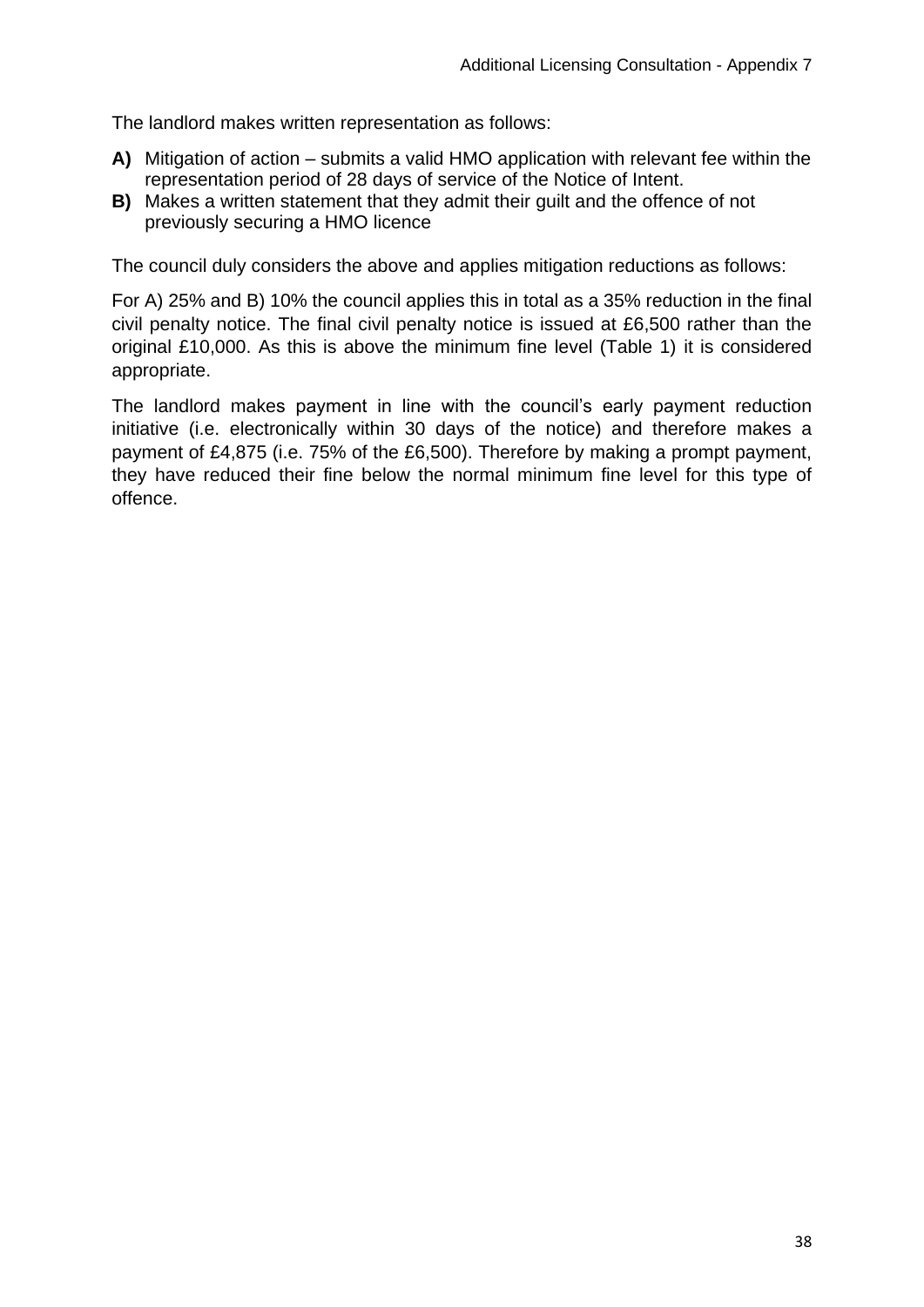The landlord makes written representation as follows:

- **A)** Mitigation of action submits a valid HMO application with relevant fee within the representation period of 28 days of service of the Notice of Intent.
- **B)** Makes a written statement that they admit their guilt and the offence of not previously securing a HMO licence

The council duly considers the above and applies mitigation reductions as follows:

For A) 25% and B) 10% the council applies this in total as a 35% reduction in the final civil penalty notice. The final civil penalty notice is issued at £6,500 rather than the original £10,000. As this is above the minimum fine level (Table 1) it is considered appropriate.

The landlord makes payment in line with the council's early payment reduction initiative (i.e. electronically within 30 days of the notice) and therefore makes a payment of £4,875 (i.e. 75% of the £6,500). Therefore by making a prompt payment, they have reduced their fine below the normal minimum fine level for this type of offence.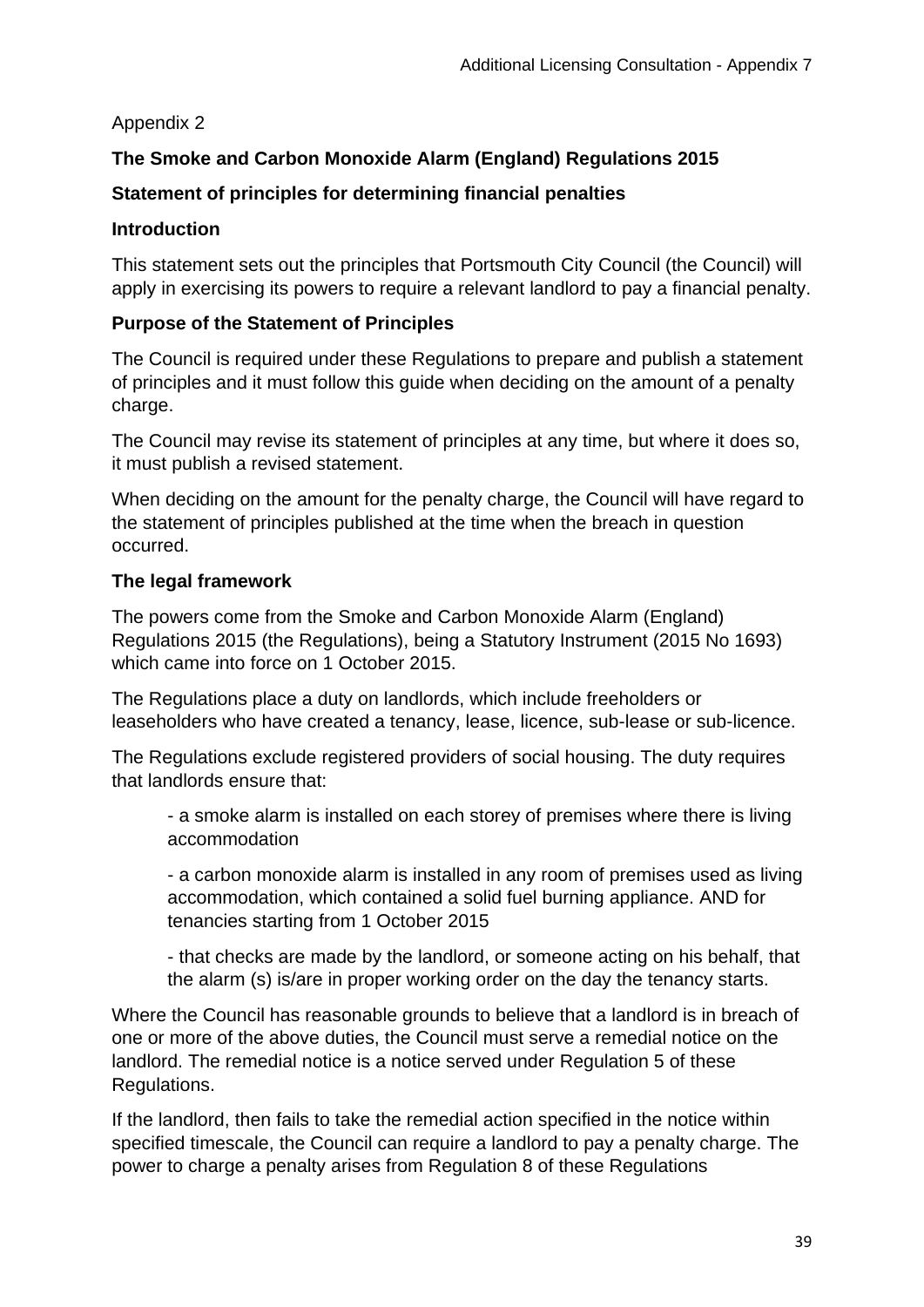## Appendix 2

# **The Smoke and Carbon Monoxide Alarm (England) Regulations 2015**

# **Statement of principles for determining financial penalties**

## **Introduction**

This statement sets out the principles that Portsmouth City Council (the Council) will apply in exercising its powers to require a relevant landlord to pay a financial penalty.

## **Purpose of the Statement of Principles**

The Council is required under these Regulations to prepare and publish a statement of principles and it must follow this guide when deciding on the amount of a penalty charge.

The Council may revise its statement of principles at any time, but where it does so, it must publish a revised statement.

When deciding on the amount for the penalty charge, the Council will have regard to the statement of principles published at the time when the breach in question occurred.

## **The legal framework**

The powers come from the Smoke and Carbon Monoxide Alarm (England) Regulations 2015 (the Regulations), being a Statutory Instrument (2015 No 1693) which came into force on 1 October 2015.

The Regulations place a duty on landlords, which include freeholders or leaseholders who have created a tenancy, lease, licence, sub-lease or sub-licence.

The Regulations exclude registered providers of social housing. The duty requires that landlords ensure that:

- a smoke alarm is installed on each storey of premises where there is living accommodation

- a carbon monoxide alarm is installed in any room of premises used as living accommodation, which contained a solid fuel burning appliance. AND for tenancies starting from 1 October 2015

- that checks are made by the landlord, or someone acting on his behalf, that the alarm (s) is/are in proper working order on the day the tenancy starts.

Where the Council has reasonable grounds to believe that a landlord is in breach of one or more of the above duties, the Council must serve a remedial notice on the landlord. The remedial notice is a notice served under Regulation 5 of these Regulations.

If the landlord, then fails to take the remedial action specified in the notice within specified timescale, the Council can require a landlord to pay a penalty charge. The power to charge a penalty arises from Regulation 8 of these Regulations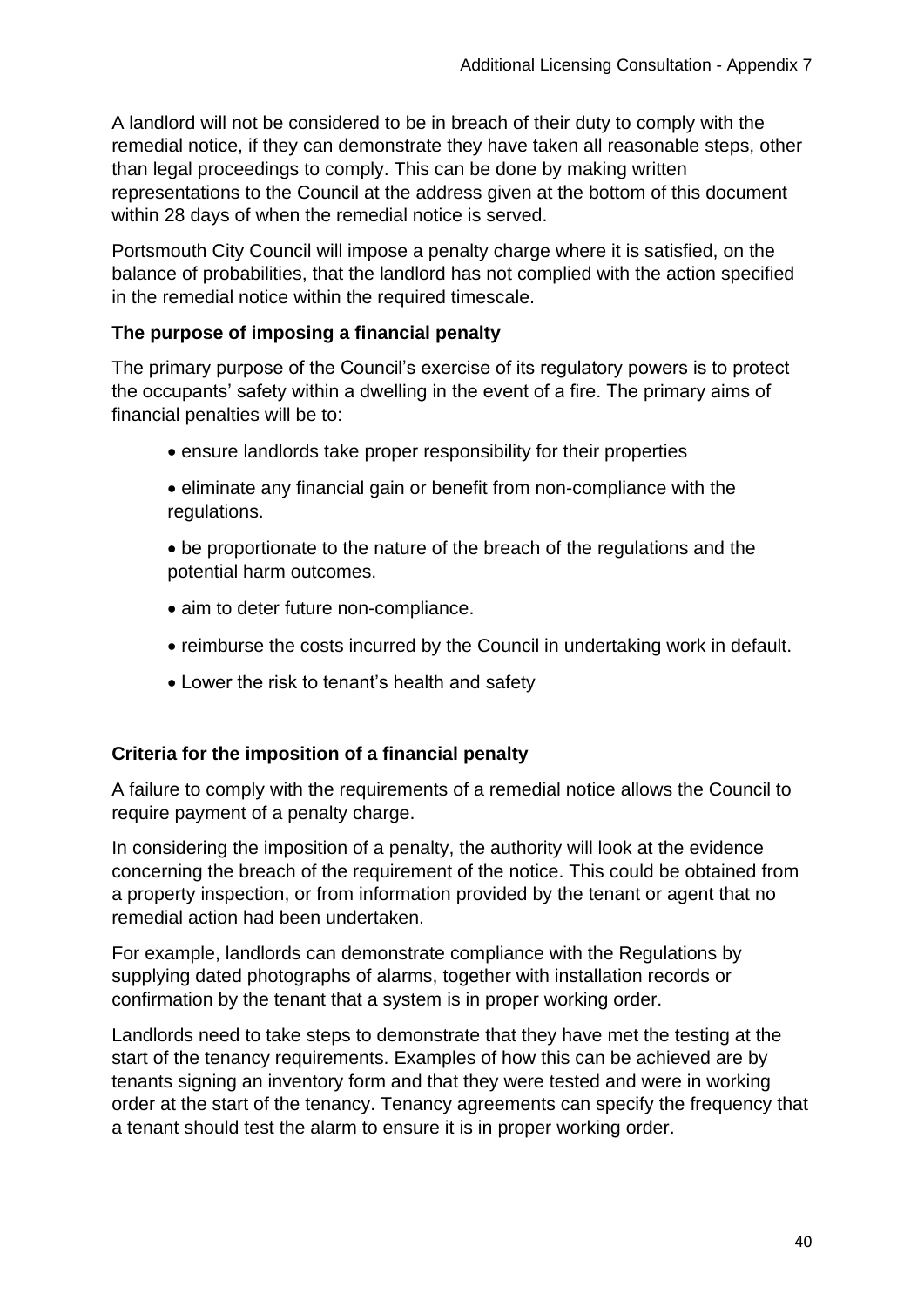A landlord will not be considered to be in breach of their duty to comply with the remedial notice, if they can demonstrate they have taken all reasonable steps, other than legal proceedings to comply. This can be done by making written representations to the Council at the address given at the bottom of this document within 28 days of when the remedial notice is served.

Portsmouth City Council will impose a penalty charge where it is satisfied, on the balance of probabilities, that the landlord has not complied with the action specified in the remedial notice within the required timescale.

## **The purpose of imposing a financial penalty**

The primary purpose of the Council's exercise of its regulatory powers is to protect the occupants' safety within a dwelling in the event of a fire. The primary aims of financial penalties will be to:

- ensure landlords take proper responsibility for their properties
- eliminate any financial gain or benefit from non-compliance with the regulations.
- be proportionate to the nature of the breach of the regulations and the potential harm outcomes.
- aim to deter future non-compliance.
- reimburse the costs incurred by the Council in undertaking work in default.
- Lower the risk to tenant's health and safety

#### **Criteria for the imposition of a financial penalty**

A failure to comply with the requirements of a remedial notice allows the Council to require payment of a penalty charge.

In considering the imposition of a penalty, the authority will look at the evidence concerning the breach of the requirement of the notice. This could be obtained from a property inspection, or from information provided by the tenant or agent that no remedial action had been undertaken.

For example, landlords can demonstrate compliance with the Regulations by supplying dated photographs of alarms, together with installation records or confirmation by the tenant that a system is in proper working order.

Landlords need to take steps to demonstrate that they have met the testing at the start of the tenancy requirements. Examples of how this can be achieved are by tenants signing an inventory form and that they were tested and were in working order at the start of the tenancy. Tenancy agreements can specify the frequency that a tenant should test the alarm to ensure it is in proper working order.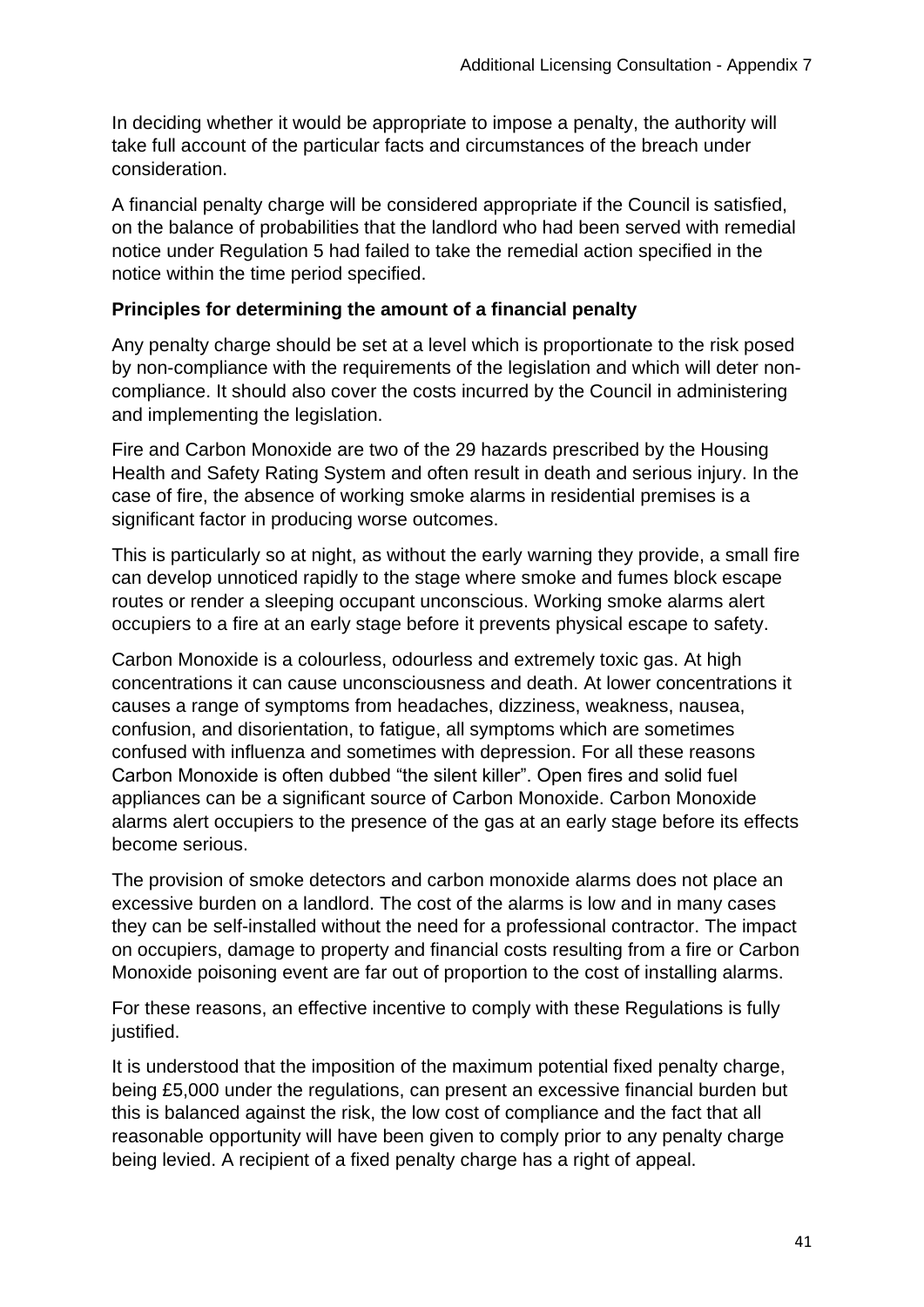In deciding whether it would be appropriate to impose a penalty, the authority will take full account of the particular facts and circumstances of the breach under consideration.

A financial penalty charge will be considered appropriate if the Council is satisfied, on the balance of probabilities that the landlord who had been served with remedial notice under Regulation 5 had failed to take the remedial action specified in the notice within the time period specified.

#### **Principles for determining the amount of a financial penalty**

Any penalty charge should be set at a level which is proportionate to the risk posed by non-compliance with the requirements of the legislation and which will deter noncompliance. It should also cover the costs incurred by the Council in administering and implementing the legislation.

Fire and Carbon Monoxide are two of the 29 hazards prescribed by the Housing Health and Safety Rating System and often result in death and serious injury. In the case of fire, the absence of working smoke alarms in residential premises is a significant factor in producing worse outcomes.

This is particularly so at night, as without the early warning they provide, a small fire can develop unnoticed rapidly to the stage where smoke and fumes block escape routes or render a sleeping occupant unconscious. Working smoke alarms alert occupiers to a fire at an early stage before it prevents physical escape to safety.

Carbon Monoxide is a colourless, odourless and extremely toxic gas. At high concentrations it can cause unconsciousness and death. At lower concentrations it causes a range of symptoms from headaches, dizziness, weakness, nausea, confusion, and disorientation, to fatigue, all symptoms which are sometimes confused with influenza and sometimes with depression. For all these reasons Carbon Monoxide is often dubbed "the silent killer". Open fires and solid fuel appliances can be a significant source of Carbon Monoxide. Carbon Monoxide alarms alert occupiers to the presence of the gas at an early stage before its effects become serious.

The provision of smoke detectors and carbon monoxide alarms does not place an excessive burden on a landlord. The cost of the alarms is low and in many cases they can be self-installed without the need for a professional contractor. The impact on occupiers, damage to property and financial costs resulting from a fire or Carbon Monoxide poisoning event are far out of proportion to the cost of installing alarms.

For these reasons, an effective incentive to comply with these Regulations is fully justified.

It is understood that the imposition of the maximum potential fixed penalty charge, being £5,000 under the regulations, can present an excessive financial burden but this is balanced against the risk, the low cost of compliance and the fact that all reasonable opportunity will have been given to comply prior to any penalty charge being levied. A recipient of a fixed penalty charge has a right of appeal.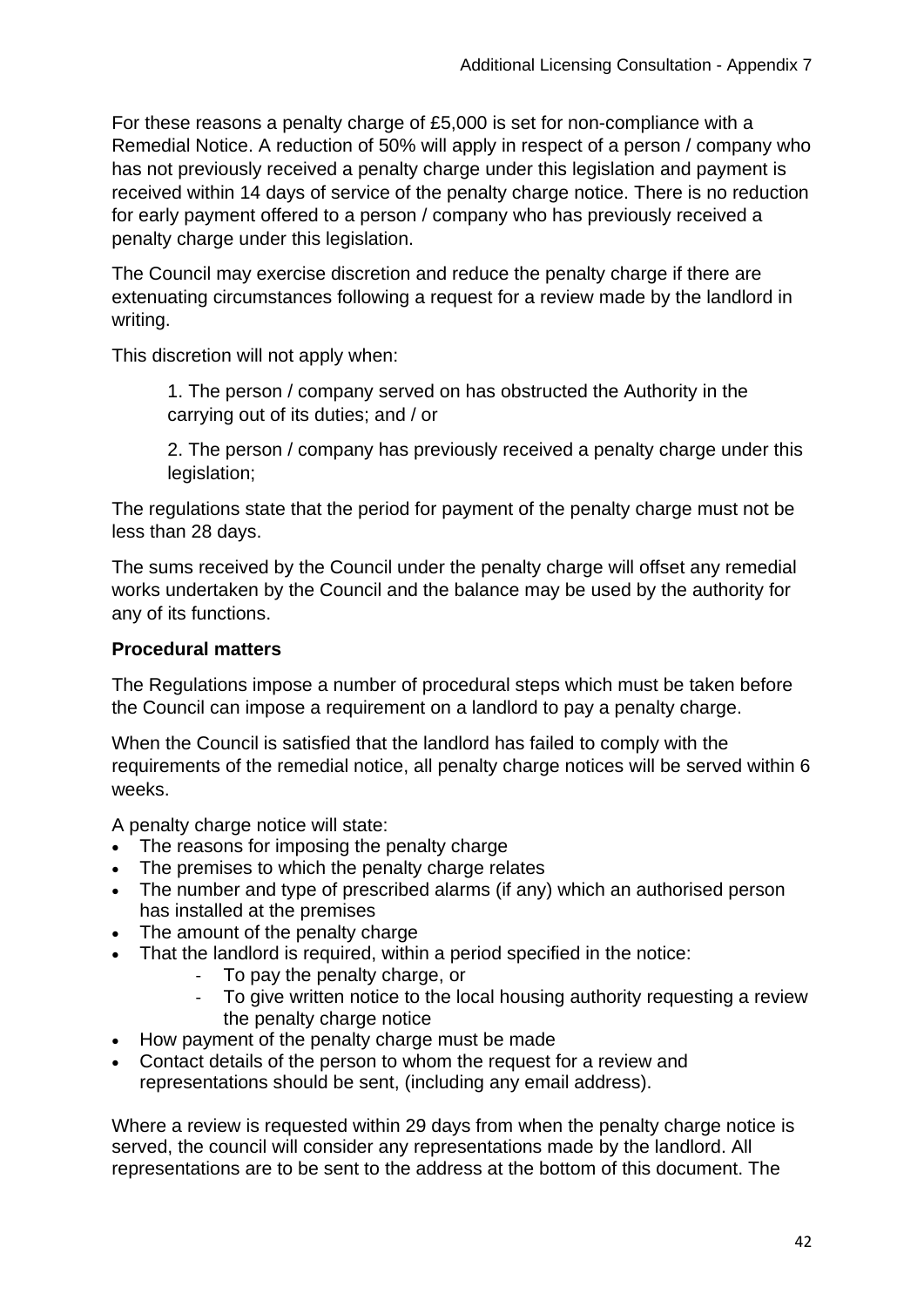For these reasons a penalty charge of £5,000 is set for non-compliance with a Remedial Notice. A reduction of 50% will apply in respect of a person / company who has not previously received a penalty charge under this legislation and payment is received within 14 days of service of the penalty charge notice. There is no reduction for early payment offered to a person / company who has previously received a penalty charge under this legislation.

The Council may exercise discretion and reduce the penalty charge if there are extenuating circumstances following a request for a review made by the landlord in writing.

This discretion will not apply when:

1. The person / company served on has obstructed the Authority in the carrying out of its duties; and / or

2. The person / company has previously received a penalty charge under this legislation;

The regulations state that the period for payment of the penalty charge must not be less than 28 days.

The sums received by the Council under the penalty charge will offset any remedial works undertaken by the Council and the balance may be used by the authority for any of its functions.

#### **Procedural matters**

The Regulations impose a number of procedural steps which must be taken before the Council can impose a requirement on a landlord to pay a penalty charge.

When the Council is satisfied that the landlord has failed to comply with the requirements of the remedial notice, all penalty charge notices will be served within 6 weeks.

A penalty charge notice will state:

- The reasons for imposing the penalty charge
- The premises to which the penalty charge relates
- The number and type of prescribed alarms (if any) which an authorised person has installed at the premises
- The amount of the penalty charge
- That the landlord is required, within a period specified in the notice:
	- To pay the penalty charge, or<br>- To give written notice to the lo
	- To give written notice to the local housing authority requesting a review the penalty charge notice
- How payment of the penalty charge must be made
- Contact details of the person to whom the request for a review and representations should be sent, (including any email address).

Where a review is requested within 29 days from when the penalty charge notice is served, the council will consider any representations made by the landlord. All representations are to be sent to the address at the bottom of this document. The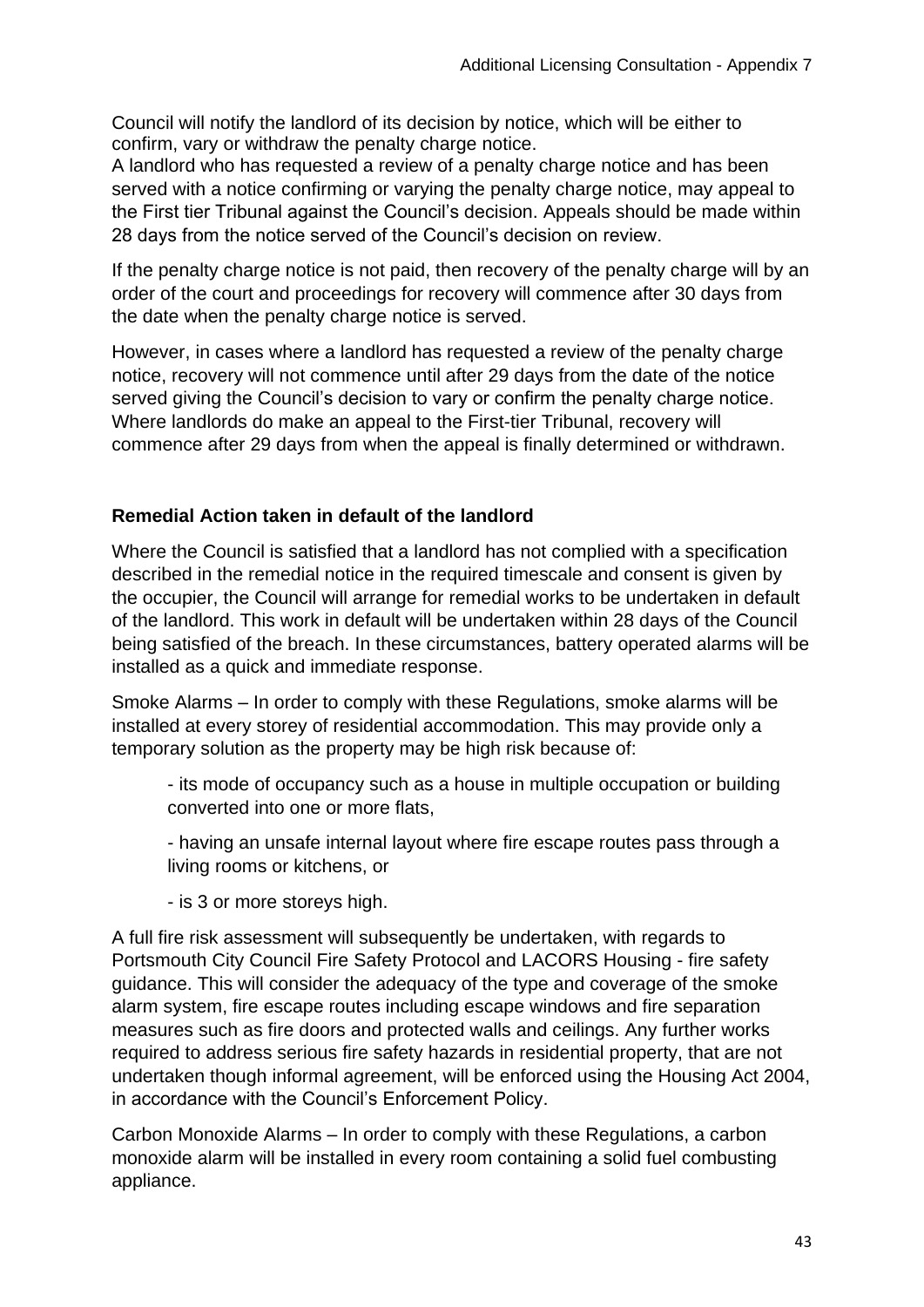Council will notify the landlord of its decision by notice, which will be either to confirm, vary or withdraw the penalty charge notice.

A landlord who has requested a review of a penalty charge notice and has been served with a notice confirming or varying the penalty charge notice, may appeal to the First tier Tribunal against the Council's decision. Appeals should be made within 28 days from the notice served of the Council's decision on review.

If the penalty charge notice is not paid, then recovery of the penalty charge will by an order of the court and proceedings for recovery will commence after 30 days from the date when the penalty charge notice is served.

However, in cases where a landlord has requested a review of the penalty charge notice, recovery will not commence until after 29 days from the date of the notice served giving the Council's decision to vary or confirm the penalty charge notice. Where landlords do make an appeal to the First-tier Tribunal, recovery will commence after 29 days from when the appeal is finally determined or withdrawn.

## **Remedial Action taken in default of the landlord**

Where the Council is satisfied that a landlord has not complied with a specification described in the remedial notice in the required timescale and consent is given by the occupier, the Council will arrange for remedial works to be undertaken in default of the landlord. This work in default will be undertaken within 28 days of the Council being satisfied of the breach. In these circumstances, battery operated alarms will be installed as a quick and immediate response.

Smoke Alarms – In order to comply with these Regulations, smoke alarms will be installed at every storey of residential accommodation. This may provide only a temporary solution as the property may be high risk because of:

- its mode of occupancy such as a house in multiple occupation or building converted into one or more flats,
- having an unsafe internal layout where fire escape routes pass through a living rooms or kitchens, or

- is 3 or more storeys high.

A full fire risk assessment will subsequently be undertaken, with regards to Portsmouth City Council Fire Safety Protocol and LACORS Housing - fire safety guidance. This will consider the adequacy of the type and coverage of the smoke alarm system, fire escape routes including escape windows and fire separation measures such as fire doors and protected walls and ceilings. Any further works required to address serious fire safety hazards in residential property, that are not undertaken though informal agreement, will be enforced using the Housing Act 2004, in accordance with the Council's Enforcement Policy.

Carbon Monoxide Alarms – In order to comply with these Regulations, a carbon monoxide alarm will be installed in every room containing a solid fuel combusting appliance.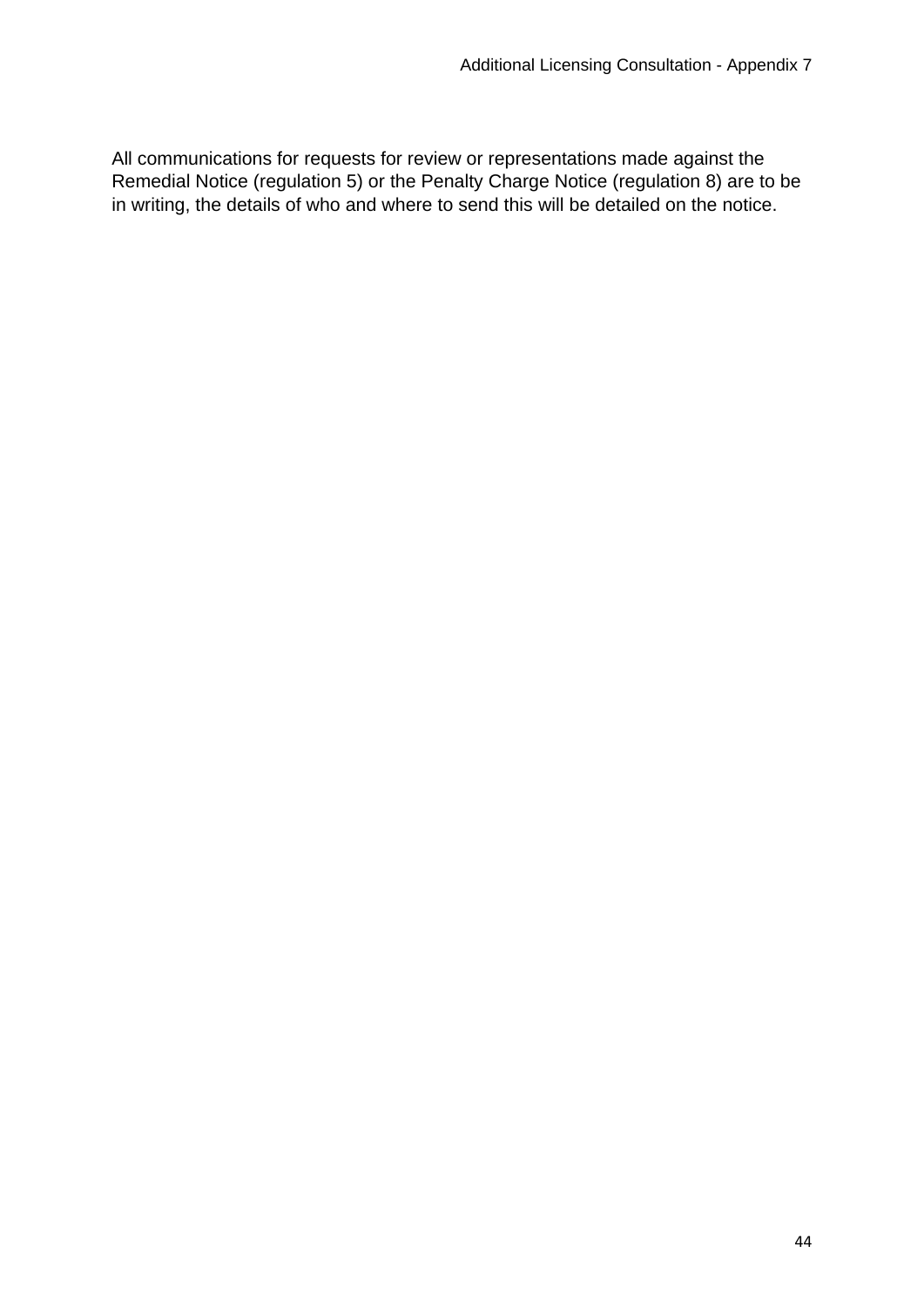All communications for requests for review or representations made against the Remedial Notice (regulation 5) or the Penalty Charge Notice (regulation 8) are to be in writing, the details of who and where to send this will be detailed on the notice.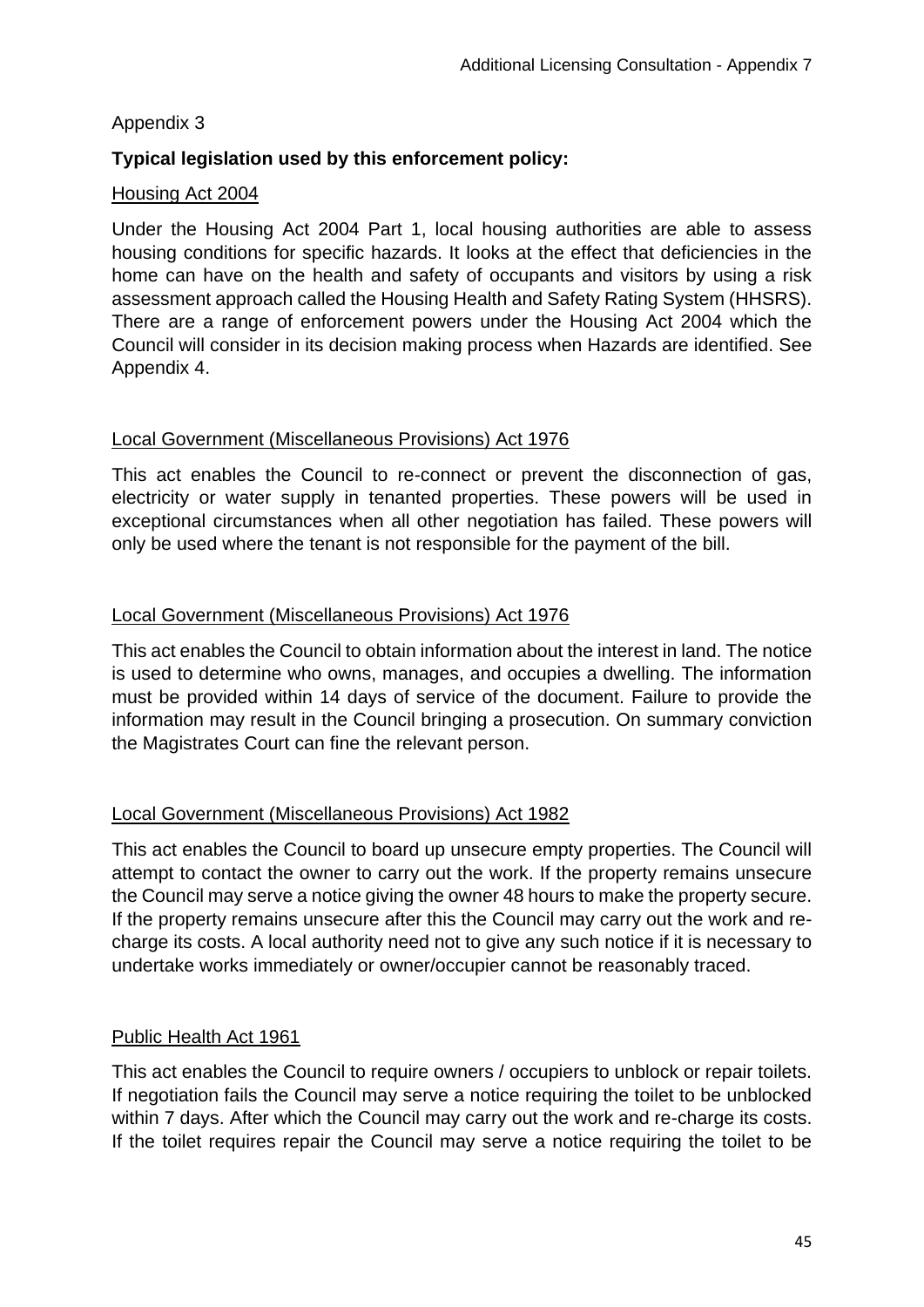## Appendix 3

## **Typical legislation used by this enforcement policy:**

#### Housing Act 2004

Under the Housing Act 2004 Part 1, local housing authorities are able to assess housing conditions for specific hazards. It looks at the effect that deficiencies in the home can have on the health and safety of occupants and visitors by using a risk assessment approach called the Housing Health and Safety Rating System (HHSRS). There are a range of enforcement powers under the Housing Act 2004 which the Council will consider in its decision making process when Hazards are identified. See Appendix 4.

#### Local Government (Miscellaneous Provisions) Act 1976

This act enables the Council to re-connect or prevent the disconnection of gas, electricity or water supply in tenanted properties. These powers will be used in exceptional circumstances when all other negotiation has failed. These powers will only be used where the tenant is not responsible for the payment of the bill.

#### Local Government (Miscellaneous Provisions) Act 1976

This act enables the Council to obtain information about the interest in land. The notice is used to determine who owns, manages, and occupies a dwelling. The information must be provided within 14 days of service of the document. Failure to provide the information may result in the Council bringing a prosecution. On summary conviction the Magistrates Court can fine the relevant person.

## Local Government (Miscellaneous Provisions) Act 1982

This act enables the Council to board up unsecure empty properties. The Council will attempt to contact the owner to carry out the work. If the property remains unsecure the Council may serve a notice giving the owner 48 hours to make the property secure. If the property remains unsecure after this the Council may carry out the work and recharge its costs. A local authority need not to give any such notice if it is necessary to undertake works immediately or owner/occupier cannot be reasonably traced.

## Public Health Act 1961

This act enables the Council to require owners / occupiers to unblock or repair toilets. If negotiation fails the Council may serve a notice requiring the toilet to be unblocked within 7 days. After which the Council may carry out the work and re-charge its costs. If the toilet requires repair the Council may serve a notice requiring the toilet to be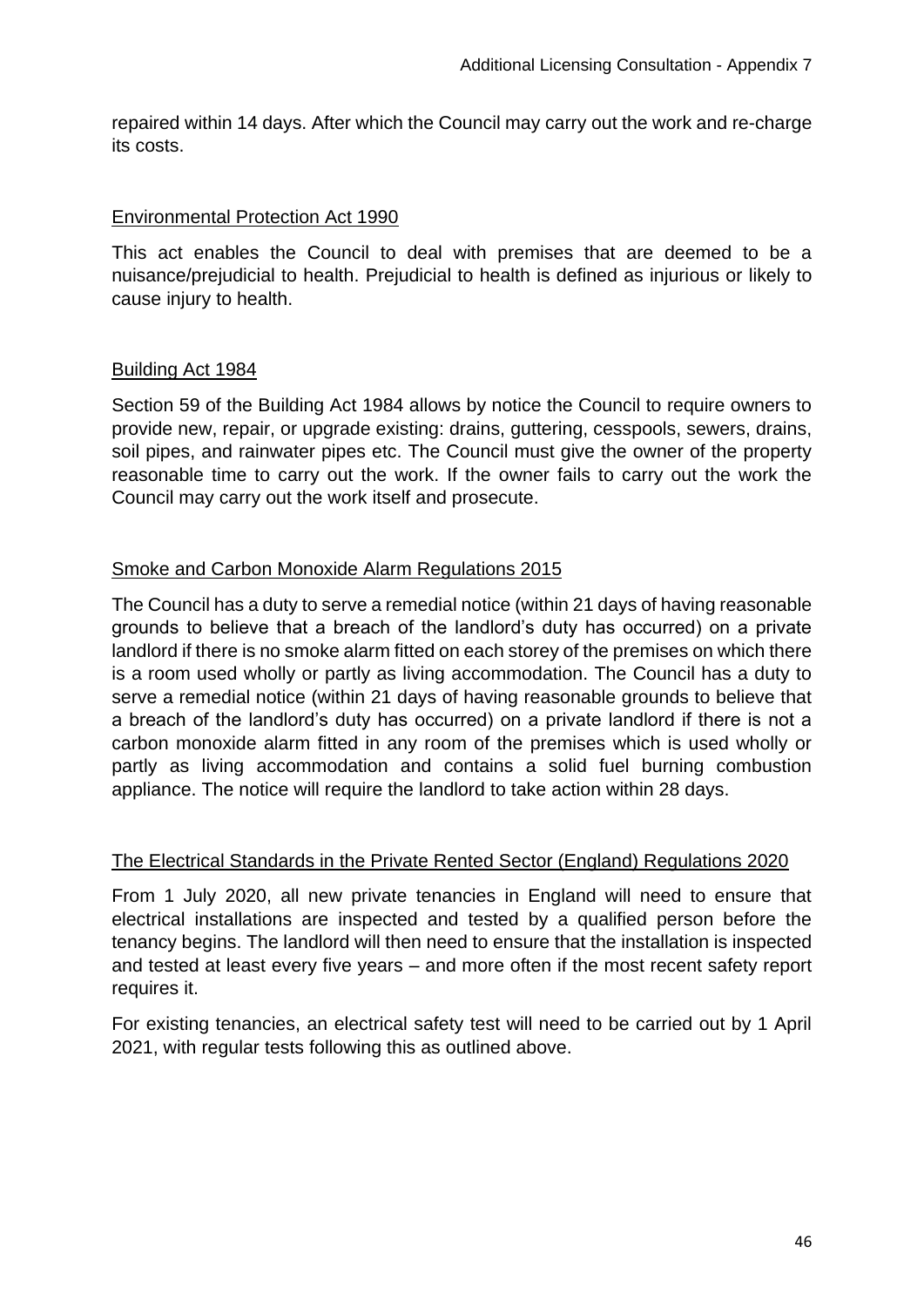repaired within 14 days. After which the Council may carry out the work and re-charge its costs.

#### Environmental Protection Act 1990

This act enables the Council to deal with premises that are deemed to be a nuisance/prejudicial to health. Prejudicial to health is defined as injurious or likely to cause injury to health.

#### Building Act 1984

Section 59 of the Building Act 1984 allows by notice the Council to require owners to provide new, repair, or upgrade existing: drains, guttering, cesspools, sewers, drains, soil pipes, and rainwater pipes etc. The Council must give the owner of the property reasonable time to carry out the work. If the owner fails to carry out the work the Council may carry out the work itself and prosecute.

#### Smoke and Carbon Monoxide Alarm Regulations 2015

The Council has a duty to serve a remedial notice (within 21 days of having reasonable grounds to believe that a breach of the landlord's duty has occurred) on a private landlord if there is no smoke alarm fitted on each storey of the premises on which there is a room used wholly or partly as living accommodation. The Council has a duty to serve a remedial notice (within 21 days of having reasonable grounds to believe that a breach of the landlord's duty has occurred) on a private landlord if there is not a carbon monoxide alarm fitted in any room of the premises which is used wholly or partly as living accommodation and contains a solid fuel burning combustion appliance. The notice will require the landlord to take action within 28 days.

#### The Electrical Standards in the Private Rented Sector (England) Regulations 2020

From 1 July 2020, all new private tenancies in England will need to ensure that electrical installations are inspected and tested by a qualified person before the tenancy begins. The landlord will then need to ensure that the installation is inspected and tested at least every five years – and more often if the most recent safety report requires it.

For existing tenancies, an electrical safety test will need to be carried out by 1 April 2021, with regular tests following this as outlined above.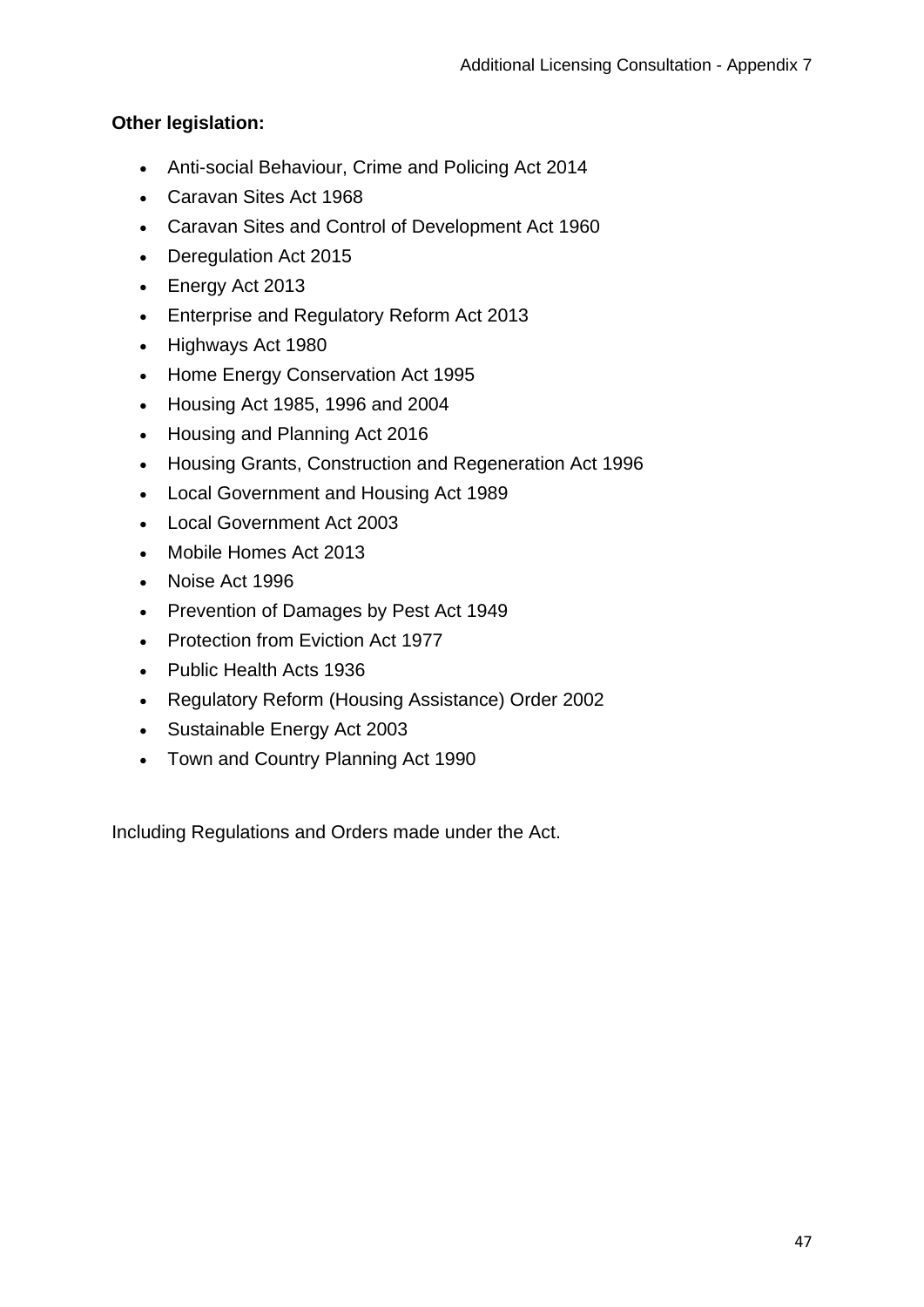## **Other legislation:**

- Anti-social Behaviour, Crime and Policing Act 2014
- Caravan Sites Act 1968
- Caravan Sites and Control of Development Act 1960
- Deregulation Act 2015
- Energy Act 2013
- Enterprise and Regulatory Reform Act 2013
- Highways Act 1980
- Home Energy Conservation Act 1995
- Housing Act 1985, 1996 and 2004
- Housing and Planning Act 2016
- Housing Grants, Construction and Regeneration Act 1996
- Local Government and Housing Act 1989
- Local Government Act 2003
- Mobile Homes Act 2013
- Noise Act 1996
- Prevention of Damages by Pest Act 1949
- Protection from Eviction Act 1977
- Public Health Acts 1936
- Regulatory Reform (Housing Assistance) Order 2002
- Sustainable Energy Act 2003
- Town and Country Planning Act 1990

Including Regulations and Orders made under the Act.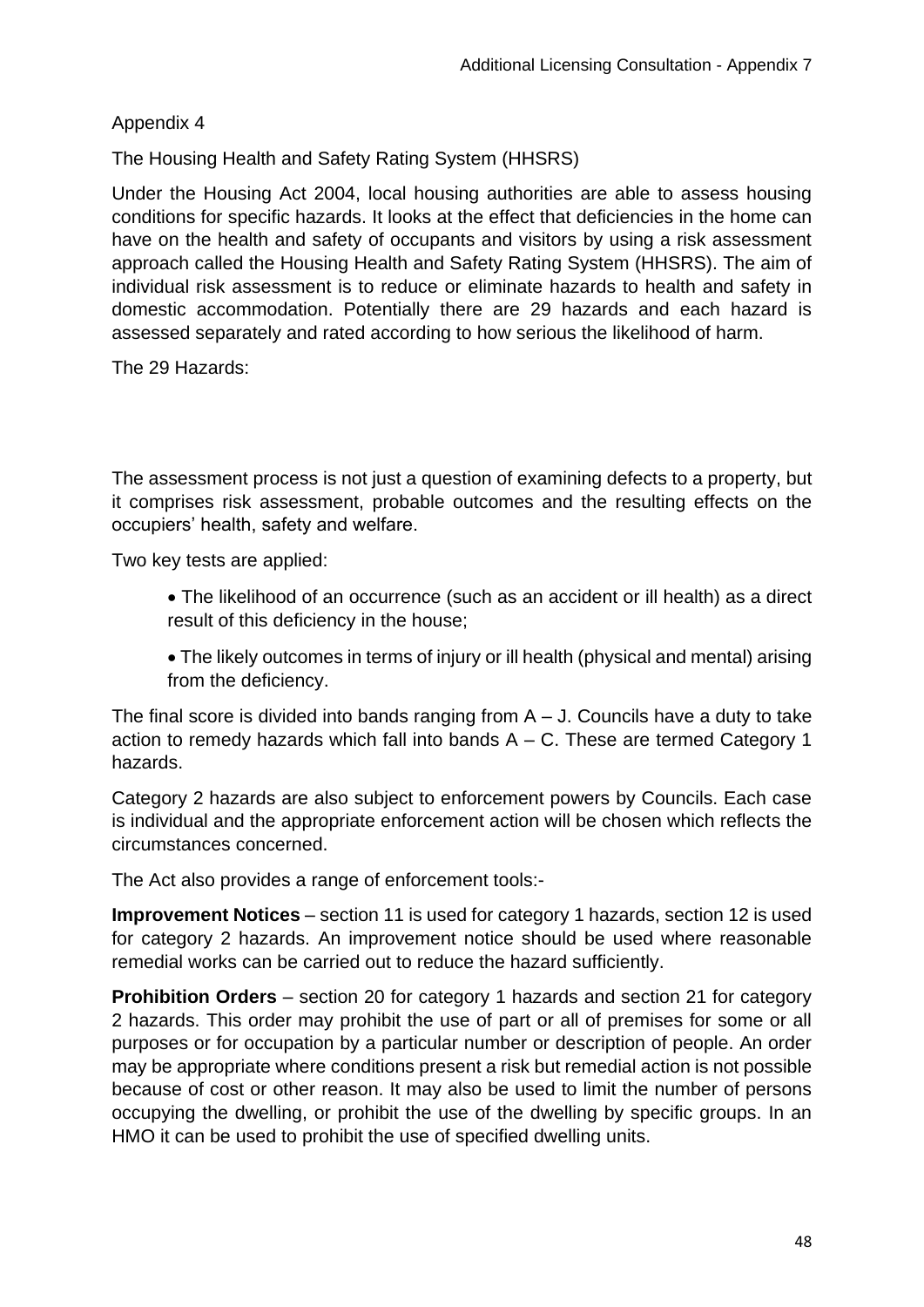Appendix 4

The Housing Health and Safety Rating System (HHSRS)

Under the Housing Act 2004, local housing authorities are able to assess housing conditions for specific hazards. It looks at the effect that deficiencies in the home can have on the health and safety of occupants and visitors by using a risk assessment approach called the Housing Health and Safety Rating System (HHSRS). The aim of individual risk assessment is to reduce or eliminate hazards to health and safety in domestic accommodation. Potentially there are 29 hazards and each hazard is assessed separately and rated according to how serious the likelihood of harm.

The 29 Hazards:

The assessment process is not just a question of examining defects to a property, but it comprises risk assessment, probable outcomes and the resulting effects on the occupiers' health, safety and welfare.

Two key tests are applied:

- The likelihood of an occurrence (such as an accident or ill health) as a direct result of this deficiency in the house;
- The likely outcomes in terms of injury or ill health (physical and mental) arising from the deficiency.

The final score is divided into bands ranging from  $A - J$ . Councils have a duty to take action to remedy hazards which fall into bands A – C. These are termed Category 1 hazards.

Category 2 hazards are also subject to enforcement powers by Councils. Each case is individual and the appropriate enforcement action will be chosen which reflects the circumstances concerned.

The Act also provides a range of enforcement tools:-

**Improvement Notices** – section 11 is used for category 1 hazards, section 12 is used for category 2 hazards. An improvement notice should be used where reasonable remedial works can be carried out to reduce the hazard sufficiently.

**Prohibition Orders** – section 20 for category 1 hazards and section 21 for category 2 hazards. This order may prohibit the use of part or all of premises for some or all purposes or for occupation by a particular number or description of people. An order may be appropriate where conditions present a risk but remedial action is not possible because of cost or other reason. It may also be used to limit the number of persons occupying the dwelling, or prohibit the use of the dwelling by specific groups. In an HMO it can be used to prohibit the use of specified dwelling units.